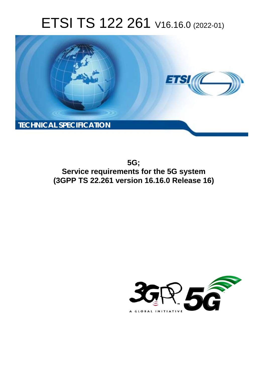# ETSI TS 122 261 V16.16.0 (2022-01)



**5G; Service requirements for the 5G system (3GPP TS 22.261 version 16.16.0 Release 16)** 

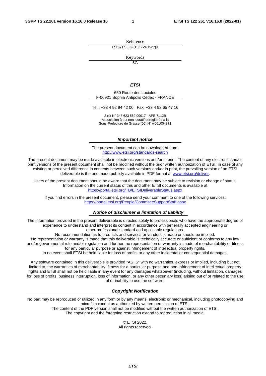Reference RTS/TSGS-0122261vgg0

Keywords

 $\overline{5G}$ 

#### *ETSI*

650 Route des Lucioles F-06921 Sophia Antipolis Cedex - FRANCE

Tel.: +33 4 92 94 42 00 Fax: +33 4 93 65 47 16

Siret N° 348 623 562 00017 - APE 7112B Association à but non lucratif enregistrée à la Sous-Préfecture de Grasse (06) N° w061004871

#### *Important notice*

The present document can be downloaded from: <http://www.etsi.org/standards-search>

The present document may be made available in electronic versions and/or in print. The content of any electronic and/or print versions of the present document shall not be modified without the prior written authorization of ETSI. In case of any existing or perceived difference in contents between such versions and/or in print, the prevailing version of an ETSI deliverable is the one made publicly available in PDF format at [www.etsi.org/deliver](http://www.etsi.org/deliver).

Users of the present document should be aware that the document may be subject to revision or change of status. Information on the current status of this and other ETSI documents is available at <https://portal.etsi.org/TB/ETSIDeliverableStatus.aspx>

If you find errors in the present document, please send your comment to one of the following services: <https://portal.etsi.org/People/CommiteeSupportStaff.aspx>

#### *Notice of disclaimer & limitation of liability*

The information provided in the present deliverable is directed solely to professionals who have the appropriate degree of experience to understand and interpret its content in accordance with generally accepted engineering or other professional standard and applicable regulations.

No recommendation as to products and services or vendors is made or should be implied.

No representation or warranty is made that this deliverable is technically accurate or sufficient or conforms to any law and/or governmental rule and/or regulation and further, no representation or warranty is made of merchantability or fitness for any particular purpose or against infringement of intellectual property rights.

In no event shall ETSI be held liable for loss of profits or any other incidental or consequential damages.

Any software contained in this deliverable is provided "AS IS" with no warranties, express or implied, including but not limited to, the warranties of merchantability, fitness for a particular purpose and non-infringement of intellectual property rights and ETSI shall not be held liable in any event for any damages whatsoever (including, without limitation, damages for loss of profits, business interruption, loss of information, or any other pecuniary loss) arising out of or related to the use of or inability to use the software.

#### *Copyright Notification*

No part may be reproduced or utilized in any form or by any means, electronic or mechanical, including photocopying and microfilm except as authorized by written permission of ETSI. The content of the PDF version shall not be modified without the written authorization of ETSI.

The copyright and the foregoing restriction extend to reproduction in all media.

© ETSI 2022. All rights reserved.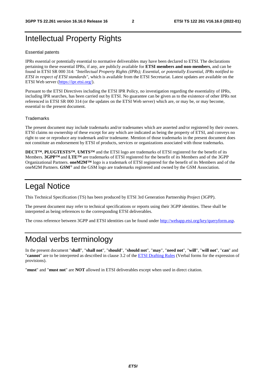### Intellectual Property Rights

#### Essential patents

IPRs essential or potentially essential to normative deliverables may have been declared to ETSI. The declarations pertaining to these essential IPRs, if any, are publicly available for **ETSI members and non-members**, and can be found in ETSI SR 000 314: *"Intellectual Property Rights (IPRs); Essential, or potentially Essential, IPRs notified to ETSI in respect of ETSI standards"*, which is available from the ETSI Secretariat. Latest updates are available on the ETSI Web server ([https://ipr.etsi.org/\)](https://ipr.etsi.org/).

Pursuant to the ETSI Directives including the ETSI IPR Policy, no investigation regarding the essentiality of IPRs, including IPR searches, has been carried out by ETSI. No guarantee can be given as to the existence of other IPRs not referenced in ETSI SR 000 314 (or the updates on the ETSI Web server) which are, or may be, or may become, essential to the present document.

#### **Trademarks**

The present document may include trademarks and/or tradenames which are asserted and/or registered by their owners. ETSI claims no ownership of these except for any which are indicated as being the property of ETSI, and conveys no right to use or reproduce any trademark and/or tradename. Mention of those trademarks in the present document does not constitute an endorsement by ETSI of products, services or organizations associated with those trademarks.

**DECT™**, **PLUGTESTS™**, **UMTS™** and the ETSI logo are trademarks of ETSI registered for the benefit of its Members. **3GPP™** and **LTE™** are trademarks of ETSI registered for the benefit of its Members and of the 3GPP Organizational Partners. **oneM2M™** logo is a trademark of ETSI registered for the benefit of its Members and of the oneM2M Partners. **GSM**® and the GSM logo are trademarks registered and owned by the GSM Association.

### Legal Notice

This Technical Specification (TS) has been produced by ETSI 3rd Generation Partnership Project (3GPP).

The present document may refer to technical specifications or reports using their 3GPP identities. These shall be interpreted as being references to the corresponding ETSI deliverables.

The cross reference between 3GPP and ETSI identities can be found under<http://webapp.etsi.org/key/queryform.asp>.

### Modal verbs terminology

In the present document "**shall**", "**shall not**", "**should**", "**should not**", "**may**", "**need not**", "**will**", "**will not**", "**can**" and "**cannot**" are to be interpreted as described in clause 3.2 of the [ETSI Drafting Rules](https://portal.etsi.org/Services/editHelp!/Howtostart/ETSIDraftingRules.aspx) (Verbal forms for the expression of provisions).

"**must**" and "**must not**" are **NOT** allowed in ETSI deliverables except when used in direct citation.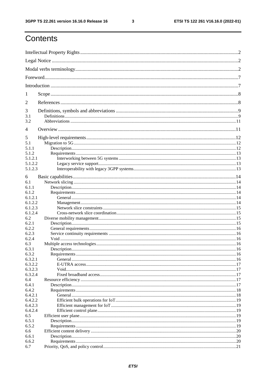$\mathbf{3}$ 

## Contents

| 1          |  |  |  |
|------------|--|--|--|
| 2          |  |  |  |
| 3          |  |  |  |
| 3.1<br>3.2 |  |  |  |
| 4          |  |  |  |
| 5          |  |  |  |
| 5.1        |  |  |  |
| 5.1.1      |  |  |  |
| 5.1.2      |  |  |  |
| 5.1.2.1    |  |  |  |
| 5.1.2.2    |  |  |  |
| 5.1.2.3    |  |  |  |
| 6          |  |  |  |
| 6.1        |  |  |  |
| 6.1.1      |  |  |  |
| 6.1.2      |  |  |  |
| 6.1.2.1    |  |  |  |
| 6.1.2.2    |  |  |  |
| 6.1.2.3    |  |  |  |
| 6.1.2.4    |  |  |  |
| 6.2        |  |  |  |
| 6.2.1      |  |  |  |
| 6.2.2      |  |  |  |
| 6.2.3      |  |  |  |
| 6.2.4      |  |  |  |
| 6.3        |  |  |  |
| 6.3.1      |  |  |  |
| 6.3.2      |  |  |  |
| 6.3.2.1    |  |  |  |
| 6.3.2.2    |  |  |  |
| 6.3.2.3    |  |  |  |
| 6.3.2.4    |  |  |  |
| 6.4        |  |  |  |
| 6.4.1      |  |  |  |
| 6.4.2      |  |  |  |
| 6.4.2.1    |  |  |  |
| 6.4.2.2    |  |  |  |
| 6.4.2.3    |  |  |  |
| 6.4.2.4    |  |  |  |
| 6.5        |  |  |  |
| 6.5.1      |  |  |  |
| 6.5.2      |  |  |  |
| 6.6        |  |  |  |
| 6.6.1      |  |  |  |
| 6.6.2      |  |  |  |
| 6.7        |  |  |  |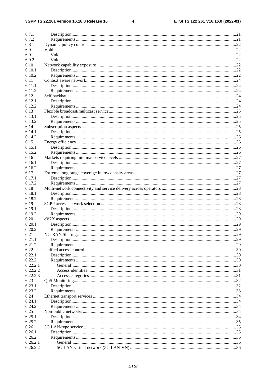#### $\overline{\mathbf{4}}$

| 6.7.1                |     |
|----------------------|-----|
| 6.7.2                |     |
|                      |     |
| 6.8                  |     |
| 6.9                  |     |
| 6.9.1                |     |
| 6.9.2                |     |
| 6.10                 |     |
| 6.10.1               |     |
| 6.10.2               |     |
| 6.11                 |     |
| 6.11.1               |     |
| 6.11.2               |     |
|                      |     |
| 6.12                 |     |
| 6.12.1               |     |
| 6.12.2               |     |
| 6.13                 |     |
| 6.13.1               |     |
| 6.13.2               |     |
| 6.14                 |     |
| 6.14.1               |     |
| 6.14.2               |     |
| 6.15                 |     |
| 6.15.1               |     |
| 6.15.2               |     |
| 6.16                 |     |
| 6.16.1               |     |
|                      |     |
| 6.16.2               |     |
| 6.17                 |     |
| 6.17.1               |     |
| 6.17.2               |     |
| 6.18                 |     |
| 6.18.1               |     |
| 6.18.2               |     |
| 6.19                 |     |
| 6.19.1               |     |
| 6.19.2               |     |
| 6.20                 |     |
| 6.20.1               |     |
| 6.20.2               | .29 |
| 6.21                 |     |
| 6.21.1               |     |
|                      |     |
| 6.21.2               |     |
| 6.22                 |     |
| 6.22.1               |     |
| 6.22.2               |     |
| 6.22.2.1             |     |
| 6.22.2.2             |     |
| 6.22.2.3             |     |
| 6.23                 |     |
| 6.23.1               |     |
| 6.23.2               |     |
| 6.24                 |     |
| 6.24.1               |     |
| 6.24.2               |     |
|                      |     |
|                      |     |
| 6.25                 |     |
| 6.25.1               |     |
| 6.25.2               |     |
| 6.26                 |     |
| 6.26.1               |     |
| 6.26.2               |     |
| 6.26.2.1<br>6.26.2.2 |     |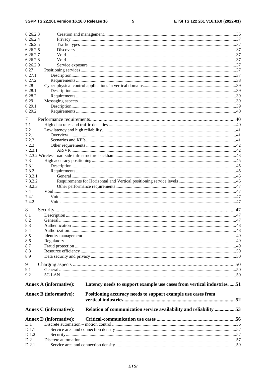#### $5\phantom{.0}$

| 6.26.2.3         |                               |                                                                       |  |
|------------------|-------------------------------|-----------------------------------------------------------------------|--|
| 6.26.2.4         |                               |                                                                       |  |
| 6.26.2.5         |                               |                                                                       |  |
| 6.26.2.6         |                               |                                                                       |  |
| 6.26.2.7         |                               |                                                                       |  |
| 6.26.2.8         |                               |                                                                       |  |
| 6.26.2.9         |                               |                                                                       |  |
| 6.27             |                               |                                                                       |  |
| 6.27.1           |                               |                                                                       |  |
| 6.27.2           |                               |                                                                       |  |
| 6.28             |                               |                                                                       |  |
| 6.28.1<br>6.28.2 |                               |                                                                       |  |
| 6.29             |                               |                                                                       |  |
| 6.29.1           |                               |                                                                       |  |
| 6.29.2           |                               |                                                                       |  |
|                  |                               |                                                                       |  |
| 7                |                               |                                                                       |  |
| 7.1              |                               |                                                                       |  |
| 7.2              |                               |                                                                       |  |
| 7.2.1            |                               |                                                                       |  |
| 7.2.2            |                               |                                                                       |  |
| 7.2.3            |                               |                                                                       |  |
| 7.2.3.1          |                               |                                                                       |  |
| 7.3              |                               |                                                                       |  |
| 7.3.1            |                               |                                                                       |  |
| 7.3.2            |                               |                                                                       |  |
| 7.3.2.1          |                               |                                                                       |  |
| 7.3.2.2          |                               |                                                                       |  |
| 7.3.2.3          |                               |                                                                       |  |
| 7.4              |                               |                                                                       |  |
| 7.4.1            |                               |                                                                       |  |
| 7.4.2            |                               |                                                                       |  |
| 8                |                               |                                                                       |  |
| 8.1              |                               |                                                                       |  |
| 8.2              |                               |                                                                       |  |
| 8.3              |                               |                                                                       |  |
| 8.4              |                               |                                                                       |  |
| 8.5              |                               |                                                                       |  |
| 8.6              |                               |                                                                       |  |
| 8.7              |                               |                                                                       |  |
| 8.8              |                               |                                                                       |  |
| 8.9              |                               |                                                                       |  |
| 9                |                               |                                                                       |  |
| 9.1              |                               |                                                                       |  |
| 9.2              |                               |                                                                       |  |
|                  |                               |                                                                       |  |
|                  | <b>Annex A (informative):</b> | Latency needs to support example use cases from vertical industries51 |  |
|                  |                               |                                                                       |  |
|                  | <b>Annex B</b> (informative): | Positioning accuracy needs to support example use cases from          |  |
|                  |                               |                                                                       |  |
|                  | <b>Annex C</b> (informative): | Relation of communication service availability and reliability 53     |  |
|                  |                               |                                                                       |  |
|                  | <b>Annex D</b> (informative): |                                                                       |  |
| D.1              |                               |                                                                       |  |
| D.1.1            |                               |                                                                       |  |
| D.1.2            |                               |                                                                       |  |
| D.2              |                               |                                                                       |  |
| D.2.1            |                               |                                                                       |  |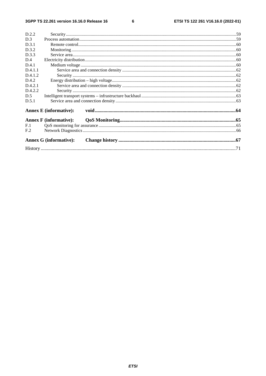$\bf 6$ 

| D.2.2           |                               |  |
|-----------------|-------------------------------|--|
| D.3             |                               |  |
| D.3.1           |                               |  |
| D.3.2           |                               |  |
| D.3.3           |                               |  |
| D.4             |                               |  |
| D.4.1           |                               |  |
| D.4.1.1         |                               |  |
| D.4.1.2         |                               |  |
| D.4.2           |                               |  |
| D.4.2.1         |                               |  |
| D.4.2.2         |                               |  |
| D.5             |                               |  |
| D.5.1           |                               |  |
|                 | <b>Annex E</b> (informative): |  |
|                 | <b>Annex F</b> (informative): |  |
| F.1             |                               |  |
| F <sub>.2</sub> |                               |  |
|                 | <b>Annex G (informative):</b> |  |
|                 |                               |  |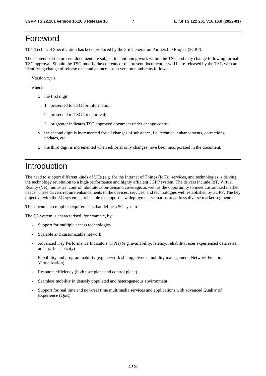### Foreword

This Technical Specification has been produced by the 3rd Generation Partnership Project (3GPP).

The contents of the present document are subject to continuing work within the TSG and may change following formal TSG approval. Should the TSG modify the contents of the present document, it will be re-released by the TSG with an identifying change of release date and an increase in version number as follows:

Version x.y.z

where:

- x the first digit:
	- 1 presented to TSG for information;
	- 2 presented to TSG for approval;
	- 3 or greater indicates TSG approved document under change control.
- y the second digit is incremented for all changes of substance, i.e. technical enhancements, corrections, updates, etc.
- z the third digit is incremented when editorial only changes have been incorporated in the document.

### Introduction

The need to support different kinds of UEs (e.g. for the Internet of Things (IoT)), services, and technologies is driving the technology revolution to a high-performance and highly efficient 3GPP system. The drivers include IoT, Virtual Reality (VR), industrial control, ubiquitous on-demand coverage, as well as the opportunity to meet customized market needs. These drivers require enhancements to the devices, services, and technologies well established by 3GPP. The key objective with the 5G system is to be able to support new deployment scenarios to address diverse market segments.

This document compiles requirements that define a 5G system.

The 5G system is characterised, for example, by:

- Support for multiple access technologies
- Scalable and customizable network
- Advanced Key Performance Indicators (KPIs) (e.g. availability, latency, reliability, user experienced data rates, area traffic capacity)
- Flexibility and programmability (e.g. network slicing, diverse mobility management, Network Function Virtualization)
- Resource efficiency (both user plane and control plane)
- Seamless mobility in densely populated and heterogeneous environment
- Support for real time and non-real time multimedia services and applications with advanced Quality of Experience (QoE)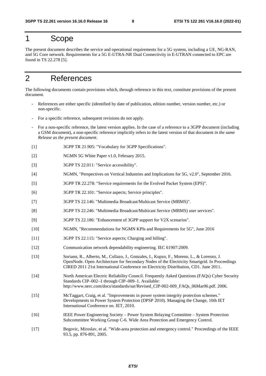### 1 Scope

The present document describes the service and operational requirements for a 5G system, including a UE, NG-RAN, and 5G Core network. Requirements for a 5G E-UTRA-NR Dual Connectivity in E-UTRAN connected to EPC are found in TS 22.278 [5].

### 2 References

The following documents contain provisions which, through reference in this text, constitute provisions of the present document.

- References are either specific (identified by date of publication, edition number, version number, etc.) or non-specific.
- For a specific reference, subsequent revisions do not apply.
- For a non-specific reference, the latest version applies. In the case of a reference to a 3GPP document (including a GSM document), a non-specific reference implicitly refers to the latest version of that document *in the same Release as the present document*.
- [1] 3GPP TR 21.905: "Vocabulary for 3GPP Specifications".
- [2] NGMN 5G White Paper v1.0, February 2015.
- [3] 3GPP TS 22.011: "Service accessibility".
- [4] NGMN, "Perspectives on Vertical Industries and Implications for 5G, v2.0", September 2016.
- [5] 3GPP TR 22.278: "Service requirements for the Evolved Packet System (EPS)".
- [6] 3GPP TR 22.101: "Service aspects; Service principles".
- [7] 3GPP TS 22.146: "Multimedia Broadcast/Multicast Service (MBMS)".
- [8] 3GPP TS 22.246: "Multimedia Broadcast/Multicast Service (MBMS) user services".
- [9] 3GPP TS 22.186: "Enhancement of 3GPP support for V2X scenarios".
- [10] NGMN, "Recommendations for NGMN KPIs and Requirements for 5G", June 2016
- [11] 3GPP TS 22.115: "Service aspects; Charging and billing".
- [12] Communication network dependability engineering. IEC 61907:2009.
- [13] Soriano, R., Alberto, M., Collazo, J., Gonzales, I., Kupzo, F., Moreno, L., & Lorenzo, J. OpenNode. Open Architecture for Secondary Nodes of the Electricity Smartgrid. In Proceedings CIRED 2011 21st International Conference on Electricity Distribution, CD1. June 2011.
- [14] North American Electric Reliability Council. Frequently Asked Questions (FAQs) Cyber Security Standards CIP–002–1 through CIP–009–1. Available: http://www.nerc.com/docs/standards/sar/Revised\_CIP-002-009\_FAQs\_06Mar06.pdf. 2006.
- [15] McTaggart, Craig, et al. "Improvements in power system integrity protection schemes." Developments in Power System Protection (DPSP 2010). Managing the Change, 10th IET International Conference on. IET, 2010.
- [16] IEEE Power Engineering Society Power System Relaying Committee System Protection Subcommittee Working Group C-6. Wide Area Protection and Emergency Control.
- [17] Begovic, Miroslav, et al. "Wide-area protection and emergency control." Proceedings of the IEEE 93.5, pp. 876-891, 2005.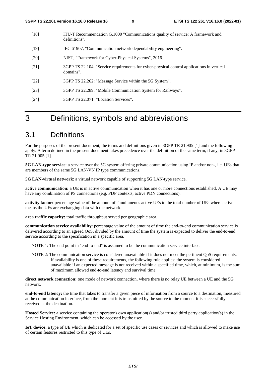- [18] ITU-T Recommendation G.1000 "Communications quality of service: A framework and definitions".
- [19] IEC 61907, "Communication network dependability engineering".
- [20] NIST, "Framework for Cyber-Physical Systems", 2016.
- [21] 3GPP TS 22.104: "Service requirements for cyber-physical control applications in vertical domains".
- [22] 3GPP TS 22.262: "Message Service within the 5G System".
- [23] 3GPP TS 22.289: "Mobile Communication System for Railways".
- [24] 3GPP TS 22.071: "Location Services".

### 3 Definitions, symbols and abbreviations

### 3.1 Definitions

For the purposes of the present document, the terms and definitions given in 3GPP TR 21.905 [1] and the following apply. A term defined in the present document takes precedence over the definition of the same term, if any, in 3GPP TR 21.905 [1].

**5G LAN-type service**: a service over the 5G system offering private communication using IP and/or non-, i.e. UEs that are members of the same 5G LAN-VN IP type communications.

**5G LAN-virtual network**: a virtual network capable of supporting 5G LAN-type service.

**active communication:** a UE is in active communication when it has one or more connections established. A UE may have any combination of PS connections (e.g. PDP contexts, active PDN connections).

**activity factor:** percentage value of the amount of simultaneous active UEs to the total number of UEs where active means the UEs are exchanging data with the network.

**area traffic capacity:** total traffic throughput served per geographic area.

**communication service availability**: percentage value of the amount of time the end-to-end communication service is delivered according to an agreed QoS, divided by the amount of time the system is expected to deliver the end-to-end service according to the specification in a specific area.

NOTE 1: The end point in "end-to-end" is assumed to be the communication service interface.

NOTE 2: The communication service is considered unavailable if it does not meet the pertinent QoS requirements. If availability is one of these requirements, the following rule applies: the system is considered unavailable if an expected message is not received within a specified time, which, at minimum, is the sum of maximum allowed end-to-end latency and survival time.

**direct network connection:** one mode of network connection, where there is no relay UE between a UE and the 5G network.

**end-to-end latency:** the time that takes to transfer a given piece of information from a source to a destination, measured at the communication interface, from the moment it is transmitted by the source to the moment it is successfully received at the destination.

**Hosted Service:** a service containing the operator's own application(s) and/or trusted third party application(s) in the Service Hosting Environment, which can be accessed by the user.

**IoT device:** a type of UE which is dedicated for a set of specific use cases or services and which is allowed to make use of certain features restricted to this type of UEs.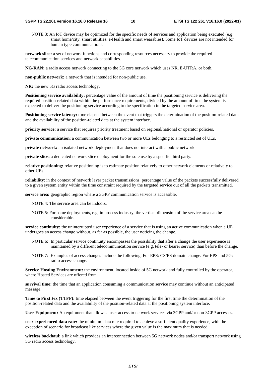NOTE 3: An IoT device may be optimized for the specific needs of services and application being executed (e.g. smart home/city, smart utilities, e-Health and smart wearables). Some IoT devices are not intended for human type communications.

**network slice:** a set of network functions and corresponding resources necessary to provide the required telecommunication services and network capabilities.

**NG-RAN:** a radio access network connecting to the 5G core network which uses NR, E-UTRA, or both.

**non-public network:** a network that is intended for non-public use.

**NR:** the new 5G radio access technology.

**Positioning service availability:** percentage value of the amount of time the positioning service is delivering the required position-related data within the performance requirements, divided by the amount of time the system is expected to deliver the positioning service according to the specification in the targeted service area.

**Positioning service latency:** time elapsed between the event that triggers the determination of the position-related data and the availability of the position-related data at the system interface.

**priority service:** a service that requires priority treatment based on regional/national or operator policies.

**private communication**: a communication between two or more UEs belonging to a restricted set of UEs**.** 

**private network:** an isolated network deployment that does not interact with a public network.

**private slice:** a dedicated network slice deployment for the sole use by a specific third party.

**relative positioning:** relative positioning is to estimate position relatively to other network elements or relatively to other UEs.

**reliability**: in the context of network layer packet transmissions, percentage value of the packets successfully delivered to a given system entity within the time constraint required by the targeted service out of all the packets transmitted.

**service area:** geographic region where a 3GPP communication service is accessible.

NOTE 4: The service area can be indoors.

NOTE 5: For some deployments, e.g. in process industry, the vertical dimension of the service area can be considerable.

**service continuity:** the uninterrupted user experience of a service that is using an active communication when a UE undergoes an access change without, as far as possible, the user noticing the change.

- NOTE 6: In particular service continuity encompasses the possibility that after a change the user experience is maintained by a different telecommunication service (e.g. tele- or bearer service) than before the change.
- NOTE 7: Examples of access changes include the following. For EPS: CS/PS domain change. For EPS and 5G: radio access change.

**Service Hosting Environment:** the environment, located inside of 5G network and fully controlled by the operator, where Hosted Services are offered from.

**survival time:** the time that an application consuming a communication service may continue without an anticipated message.

**Time to First Fix (TTFF):** time elapsed between the event triggering for the first time the determination of the position-related data and the availability of the position-related data at the positioning system interface.

**User Equipment:** An equipment that allows a user access to network services via 3GPP and/or non-3GPP accesses.

**user experienced data rate:** the minimum data rate required to achieve a sufficient quality experience, with the exception of scenario for broadcast like services where the given value is the maximum that is needed.

**wireless backhaul:** a link which provides an interconnection between 5G network nodes and/or transport network using 5G radio access technology**.**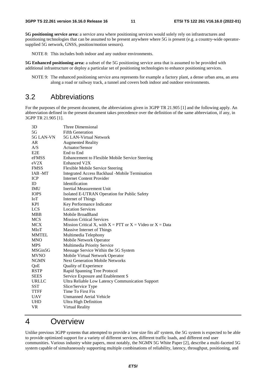**5G positioning service area:** a service area where positioning services would solely rely on infrastructures and positioning technologies that can be assumed to be present anywhere where 5G is present (e.g. a country-wide operatorsupplied 5G network, GNSS, position/motion sensors).

NOTE 8: This includes both indoor and any outdoor environments.

**5G Enhanced positioning area:** a subset of the 5G positioning service area that is assumed to be provided with additional infrastructure or deploy a particular set of positioning technologies to enhance positioning services.

NOTE 9: The enhanced positioning service area represents for example a factory plant, a dense urban area, an area along a road or railway track, a tunnel and covers both indoor and outdoor environments.

### 3.2 Abbreviations

For the purposes of the present document, the abbreviations given in 3GPP TR 21.905 [1] and the following apply. An abbreviation defined in the present document takes precedence over the definition of the same abbreviation, if any, in 3GPP TR 21.905 [1].

| 3D           | Three Dimensional                                               |
|--------------|-----------------------------------------------------------------|
| 5G           | <b>Fifth Generation</b>                                         |
| 5G LAN-VN    | 5G LAN-Virtual Network                                          |
| AR.          | <b>Augmented Reality</b>                                        |
| A/S          | Actuator/Sensor                                                 |
| E2E          | End to End                                                      |
| eFMSS        | Enhancement to Flexible Mobile Service Steering                 |
| eV2X         | <b>Enhanced V2X</b>                                             |
| <b>FMSS</b>  | Flexible Mobile Service Steering                                |
| IAB-MT       | Integrated Access Backhaul -Mobile Termination                  |
| <b>ICP</b>   | <b>Internet Content Provider</b>                                |
| ID           | Identification                                                  |
| <b>IMU</b>   | Inertial Measurement Unit                                       |
| <b>IOPS</b>  | Isolated E-UTRAN Operation for Public Safety                    |
| <b>IoT</b>   | Internet of Things                                              |
| <b>KPI</b>   | Key Performance Indicator                                       |
| <b>LCS</b>   | <b>Location Services</b>                                        |
| <b>MBB</b>   | Mobile BroadBand                                                |
| <b>MCS</b>   | <b>Mission Critical Services</b>                                |
| <b>MCX</b>   | Mission Critical X, with $X = PTT$ or $X = Video$ or $X = Data$ |
| MIoT         | Massive Internet of Things                                      |
| <b>MMTEL</b> | Multimedia Telephony                                            |
| <b>MNO</b>   | Mobile Network Operator                                         |
| <b>MPS</b>   | Multimedia Priority Service                                     |
| MSGin5G      | Message Service Within the 5G System                            |
| <b>MVNO</b>  | Mobile Virtual Network Operator                                 |
| <b>NGMN</b>  | <b>Next Generation Mobile Networks</b>                          |
| QoE          | Quality of Experience                                           |
| <b>RSTP</b>  | Rapid Spanning Tree Protocol                                    |
| <b>SEES</b>  | Service Exposure and Enablement S                               |
| URLLC        | Ultra Reliable Low Latency Communication Support                |
| <b>SST</b>   | Slice/Service Type                                              |
| <b>TTFF</b>  | Time To First Fix                                               |
| <b>UAV</b>   | <b>Unmanned Aerial Vehicle</b>                                  |
| <b>UHD</b>   | <b>Ultra High Definition</b>                                    |
| VR           | Virtual Reality                                                 |

### 4 Overview

Unlike previous 3GPP systems that attempted to provide a 'one size fits all' system, the 5G system is expected to be able to provide optimized support for a variety of different services, different traffic loads, and different end user communities. Various industry white papers, most notably, the NGMN 5G White Paper [2], describe a multi-faceted 5G system capable of simultaneously supporting multiple combinations of reliability, latency, throughput, positioning, and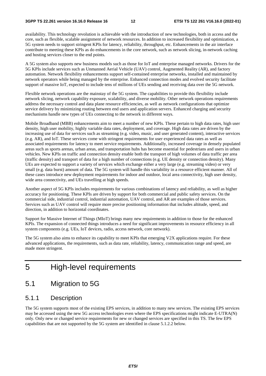availability. This technology revolution is achievable with the introduction of new technologies, both in access and the core, such as flexible, scalable assignment of network resources. In addition to increased flexibility and optimization, a 5G system needs to support stringent KPIs for latency, reliability, throughput, etc. Enhancements in the air interface contribute to meeting these KPIs as do enhancements in the core network, such as network slicing, in-network caching and hosting services closer to the end points.

A 5G system also supports new business models such as those for IoT and enterprise managed networks. Drivers for the 5G KPIs include services such as Unmanned Aerial Vehicle (UAV) control, Augmented Reality (AR), and factory automation. Network flexibility enhancements support self-contained enterprise networks, installed and maintained by network operators while being managed by the enterprise. Enhanced connection modes and evolved security facilitate support of massive IoT, expected to include tens of millions of UEs sending and receiving data over the 5G network.

Flexible network operations are the mainstay of the 5G system. The capabilities to provide this flexibility include network slicing, network capability exposure, scalability, and diverse mobility. Other network operations requirements address the necessary control and data plane resource efficiencies, as well as network configurations that optimize service delivery by minimizing routing between end users and application servers. Enhanced charging and security mechanisms handle new types of UEs connecting to the network in different ways.

Mobile Broadband (MBB) enhancements aim to meet a number of new KPIs. These pertain to high data rates, high user density, high user mobility, highly variable data rates, deployment, and coverage. High data rates are driven by the increasing use of data for services such as streaming (e.g. video, music, and user generated content), interactive services (e.g. AR), and IoT. These services come with stringent requirements for user experienced data rates as well as associated requirements for latency to meet service requirements. Additionally, increased coverage in densely populated areas such as sports arenas, urban areas, and transportation hubs has become essential for pedestrians and users in urban vehicles. New KPIs on traffic and connection density enable both the transport of high volumes of data traffic per area (traffic density) and transport of data for a high number of connections (e.g. UE density or connection density). Many UEs are expected to support a variety of services which exchange either a very large (e.g. streaming video) or very small (e.g. data burst) amount of data. The 5G system will handle this variability in a resource efficient manner. All of these cases introduce new deployment requirements for indoor and outdoor, local area connectivity, high user density, wide area connectivity, and UEs travelling at high speeds.

Another aspect of 5G KPIs includes requirements for various combinations of latency and reliability, as well as higher accuracy for positioning. These KPIs are driven by support for both commercial and public safety services. On the commercial side, industrial control, industrial automation, UAV control, and AR are examples of those services. Services such as UAV control will require more precise positioning information that includes altitude, speed, and direction, in addition to horizontal coordinates.

Support for Massive Internet of Things (MIoT) brings many new requirements in addition to those for the enhanced KPIs. The expansion of connected things introduces a need for significant improvements in resource efficiency in all system components (e.g. UEs, IoT devices, radio, access network, core network).

The 5G system also aims to enhance its capability to meet KPIs that emerging V2X applications require. For these advanced applications, the requirements, such as data rate, reliability, latency, communication range and speed, are made more stringent.

### 5 High-level requirements

### 5.1 Migration to 5G

### 5.1.1 Description

The 5G system supports most of the existing EPS services, in addition to many new services. The existing EPS services may be accessed using the new 5G access technologies even where the EPS specifications might indicate E-UTRA(N) only. Only new or changed service requirements for new or changed services are specified in this TS. The few EPS capabilities that are not supported by the 5G system are identified in clause 5.1.2.2 below.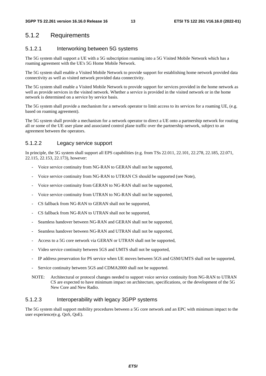### 5.1.2 Requirements

#### 5.1.2.1 Interworking between 5G systems

The 5G system shall support a UE with a 5G subscription roaming into a 5G Visited Mobile Network which has a roaming agreement with the UE's 5G Home Mobile Network.

The 5G system shall enable a Visited Mobile Network to provide support for establishing home network provided data connectivity as well as visited network provided data connectivity.

The 5G system shall enable a Visited Mobile Network to provide support for services provided in the home network as well as provide services in the visited network. Whether a service is provided in the visited network or in the home network is determined on a service by service basis.

The 5G system shall provide a mechanism for a network operator to limit access to its services for a roaming UE, (e.g. based on roaming agreement).

The 5G system shall provide a mechanism for a network operator to direct a UE onto a partnership network for routing all or some of the UE user plane and associated control plane traffic over the partnership network, subject to an agreement between the operators.

#### 5.1.2.2 Legacy service support

In principle, the 5G system shall support all EPS capabilities (e.g. from TSs 22.011, 22.101, 22.278, 22.185, 22.071, 22.115, 22.153, 22.173), however:

- Voice service continuity from NG-RAN to GERAN shall not be supported,
- Voice service continuity from NG-RAN to UTRAN CS should be supported (see Note),
- Voice service continuity from GERAN to NG-RAN shall not be supported,
- Voice service continuity from UTRAN to NG-RAN shall not be supported,
- CS fallback from NG-RAN to GERAN shall not be supported,
- CS fallback from NG-RAN to UTRAN shall not be supported.
- Seamless handover between NG-RAN and GERAN shall not be supported,
- Seamless handover between NG-RAN and UTRAN shall not be supported,
- Access to a 5G core network via GERAN or UTRAN shall not be supported,
- Video service continuity between 5GS and UMTS shall not be supported,
- IP address preservation for PS service when UE moves between 5GS and GSM/UMTS shall not be supported,
- Service continuity between 5GS and CDMA2000 shall not be supported.
- NOTE: Architectural or protocol changes needed to support voice service continuity from NG-RAN to UTRAN CS are expected to have minimum impact on architecture, specifications, or the development of the 5G New Core and New Radio.

#### 5.1.2.3 Interoperability with legacy 3GPP systems

The 5G system shall support mobility procedures between a 5G core network and an EPC with minimum impact to the user experience(e.g. QoS, QoE).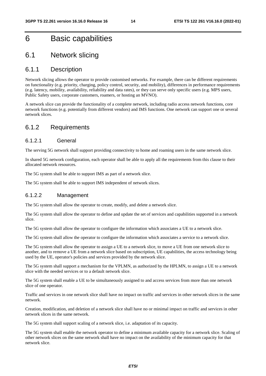### 6 Basic capabilities

### 6.1 Network slicing

#### 6.1.1 Description

Network slicing allows the operator to provide customised networks. For example, there can be different requirements on functionality (e.g. priority, charging, policy control, security, and mobility), differences in performance requirements (e.g. latency, mobility, availability, reliability and data rates), or they can serve only specific users (e.g. MPS users, Public Safety users, corporate customers, roamers, or hosting an MVNO).

A network slice can provide the functionality of a complete network, including radio access network functions, core network functions (e.g. potentially from different vendors) and IMS functions. One network can support one or several network slices.

### 6.1.2 Requirements

#### 6.1.2.1 General

The serving 5G network shall support providing connectivity to home and roaming users in the same network slice.

In shared 5G network configuration, each operator shall be able to apply all the requirements from this clause to their allocated network resources.

The 5G system shall be able to support IMS as part of a network slice.

The 5G system shall be able to support IMS independent of network slices.

#### 6.1.2.2 Management

The 5G system shall allow the operator to create, modify, and delete a network slice.

The 5G system shall allow the operator to define and update the set of services and capabilities supported in a network slice.

The 5G system shall allow the operator to configure the information which associates a UE to a network slice.

The 5G system shall allow the operator to configure the information which associates a service to a network slice.

The 5G system shall allow the operator to assign a UE to a network slice, to move a UE from one network slice to another, and to remove a UE from a network slice based on subscription, UE capabilities, the access technology being used by the UE, operator's policies and services provided by the network slice.

The 5G system shall support a mechanism for the VPLMN, as authorized by the HPLMN, to assign a UE to a network slice with the needed services or to a default network slice.

The 5G system shall enable a UE to be simultaneously assigned to and access services from more than one network slice of one operator.

Traffic and services in one network slice shall have no impact on traffic and services in other network slices in the same network.

Creation, modification, and deletion of a network slice shall have no or minimal impact on traffic and services in other network slices in the same network.

The 5G system shall support scaling of a network slice, i.e. adaptation of its capacity.

The 5G system shall enable the network operator to define a minimum available capacity for a network slice. Scaling of other network slices on the same network shall have no impact on the availability of the minimum capacity for that network slice.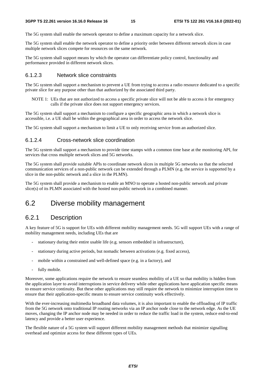The 5G system shall enable the network operator to define a maximum capacity for a network slice.

The 5G system shall enable the network operator to define a priority order between different network slices in case multiple network slices compete for resources on the same network.

The 5G system shall support means by which the operator can differentiate policy control, functionality and performance provided in different network slices.

#### 6.1.2.3 Network slice constraints

The 5G system shall support a mechanism to prevent a UE from trying to access a radio resource dedicated to a specific private slice for any purpose other than that authorized by the associated third party.

NOTE 1: UEs that are not authorized to access a specific private slice will not be able to access it for emergency calls if the private slice does not support emergency services.

The 5G system shall support a mechanism to configure a specific geographic area in which a network slice is accessible, i.e. a UE shall be within the geographical area in order to access the network slice.

The 5G system shall support a mechanism to limit a UE to only receiving service from an authorized slice.

#### 6.1.2.4 Cross-network slice coordination

The 5G system shall support a mechanism to provide time stamps with a common time base at the monitoring API, for services that cross multiple network slices and 5G networks.

The 5G system shall provide suitable APIs to coordinate network slices in multiple 5G networks so that the selected communication services of a non-public network can be extended through a PLMN (e.g. the service is supported by a slice in the non-public network and a slice in the PLMN).

The 5G system shall provide a mechanism to enable an MNO to operate a hosted non-public network and private slice(s) of its PLMN associated with the hosted non-public network in a combined manner.

### 6.2 Diverse mobility management

### 6.2.1 Description

A key feature of 5G is support for UEs with different mobility management needs. 5G will support UEs with a range of mobility management needs, including UEs that are

- stationary during their entire usable life (e.g. sensors embedded in infrastructure),
- stationary during active periods, but nomadic between activations (e.g. fixed access),
- mobile within a constrained and well-defined space (e.g. in a factory), and
- fully mobile.

Moreover, some applications require the network to ensure seamless mobility of a UE so that mobility is hidden from the application layer to avoid interruptions in service delivery while other applications have application specific means to ensure service continuity. But these other applications may still require the network to minimize interruption time to ensure that their application-specific means to ensure service continuity work effectively.

With the ever-increasing multimedia broadband data volumes, it is also important to enable the offloading of IP traffic from the 5G network onto traditional IP routing networks via an IP anchor node close to the network edge. As the UE moves, changing the IP anchor node may be needed in order to reduce the traffic load in the system, reduce end-to-end latency and provide a better user experience.

The flexible nature of a 5G system will support different mobility management methods that minimize signalling overhead and optimize access for these different types of UEs.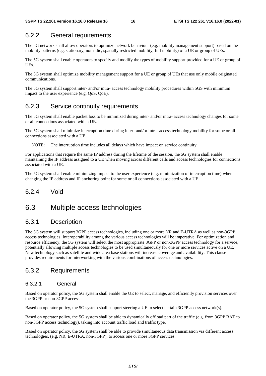### 6.2.2 General requirements

The 5G network shall allow operators to optimize network behaviour (e.g. mobility management support) based on the mobility patterns (e.g. stationary, nomadic, spatially restricted mobility, full mobility) of a UE or group of UEs.

The 5G system shall enable operators to specify and modify the types of mobility support provided for a UE or group of UEs.

The 5G system shall optimize mobility management support for a UE or group of UEs that use only mobile originated communications.

The 5G system shall support inter- and/or intra- access technology mobility procedures within 5GS with minimum impact to the user experience (e.g. QoS, QoE).

### 6.2.3 Service continuity requirements

The 5G system shall enable packet loss to be minimized during inter- and/or intra- access technology changes for some or all connections associated with a UE.

The 5G system shall minimize interruption time during inter- and/or intra- access technology mobility for some or all connections associated with a UE.

NOTE: The interruption time includes all delays which have impact on service continuity.

For applications that require the same IP address during the lifetime of the session, the 5G system shall enable maintaining the IP address assigned to a UE when moving across different cells and access technologies for connections associated with a UE.

The 5G system shall enable minimizing impact to the user experience (e.g. minimization of interruption time) when changing the IP address and IP anchoring point for some or all connections associated with a UE.

#### 6.2.4 Void

### 6.3 Multiple access technologies

### 6.3.1 Description

The 5G system will support 3GPP access technologies, including one or more NR and E-UTRA as well as non-3GPP access technologies. Interoperability among the various access technologies will be imperative. For optimization and resource efficiency, the 5G system will select the most appropriate 3GPP or non-3GPP access technology for a service, potentially allowing multiple access technologies to be used simultaneously for one or more services active on a UE. New technology such as satellite and wide area base stations will increase coverage and availability. This clause provides requirements for interworking with the various combinations of access technologies.

### 6.3.2 Requirements

#### 6.3.2.1 General

Based on operator policy, the 5G system shall enable the UE to select, manage, and efficiently provision services over the 3GPP or non-3GPP access.

Based on operator policy, the 5G system shall support steering a UE to select certain 3GPP access network(s).

Based on operator policy, the 5G system shall be able to dynamically offload part of the traffic (e.g. from 3GPP RAT to non-3GPP access technology), taking into account traffic load and traffic type.

Based on operator policy, the 5G system shall be able to provide simultaneous data transmission via different access technologies, (e.g. NR, E-UTRA, non-3GPP), to access one or more 3GPP services.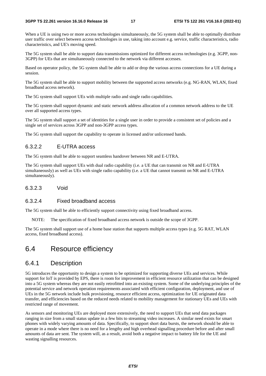When a UE is using two or more access technologies simultaneously, the 5G system shall be able to optimally distribute user traffic over select between access technologies in use, taking into account e.g. service, traffic characteristics, radio characteristics, and UE's moving speed.

The 5G system shall be able to support data transmissions optimized for different access technologies (e.g. 3GPP, non-3GPP) for UEs that are simultaneously connected to the network via different accesses.

Based on operator policy, the 5G system shall be able to add or drop the various access connections for a UE during a session.

The 5G system shall be able to support mobility between the supported access networks (e.g. NG-RAN, WLAN, fixed broadband access network).

The 5G system shall support UEs with multiple radio and single radio capabilities.

The 5G system shall support dynamic and static network address allocation of a common network address to the UE over all supported access types.

The 5G system shall support a set of identities for a single user in order to provide a consistent set of policies and a single set of services across 3GPP and non-3GPP access types.

The 5G system shall support the capability to operate in licensed and/or unlicensed bands.

#### 6.3.2.2 E-UTRA access

The 5G system shall be able to support seamless handover between NR and E-UTRA.

The 5G system shall support UEs with dual radio capability (i.e. a UE that can transmit on NR and E-UTRA simultaneously) as well as UEs with single radio capability (i.e. a UE that cannot transmit on NR and E-UTRA simultaneously).

#### 6.3.2.3 Void

#### 6.3.2.4 Fixed broadband access

The 5G system shall be able to efficiently support connectivity using fixed broadband access.

NOTE: The specification of fixed broadband access network is outside the scope of 3GPP.

The 5G system shall support use of a home base station that supports multiple access types (e.g. 5G RAT, WLAN access, fixed broadband access).

### 6.4 Resource efficiency

### 6.4.1 Description

5G introduces the opportunity to design a system to be optimized for supporting diverse UEs and services. While support for IoT is provided by EPS, there is room for improvement in efficient resource utilization that can be designed into a 5G system whereas they are not easily retrofitted into an existing system. Some of the underlying principles of the potential service and network operation requirements associated with efficient configuration, deployment, and use of UEs in the 5G network include bulk provisioning, resource efficient access, optimization for UE originated data transfer, and efficiencies based on the reduced needs related to mobility management for stationary UEs and UEs with restricted range of movement.

As sensors and monitoring UEs are deployed more extensively, the need to support UEs that send data packages ranging in size from a small status update in a few bits to streaming video increases. A similar need exists for smart phones with widely varying amounts of data. Specifically, to support short data bursts, the network should be able to operate in a mode where there is no need for a lengthy and high overhead signalling procedure before and after small amounts of data are sent. The system will, as a result, avoid both a negative impact to battery life for the UE and wasting signalling resources.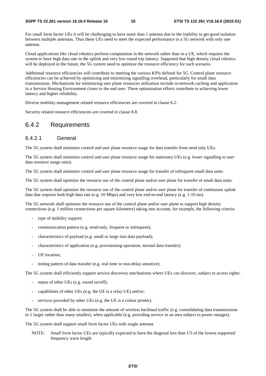For small form factor UEs it will be challenging to have more than 1 antenna due to the inability to get good isolation between multiple antennas. Thus these UEs need to meet the expected performance in a 5G network with only one antenna.

Cloud applications like cloud robotics perform computation in the network rather than in a UE, which requires the system to have high data rate in the uplink and very low round trip latency. Supposed that high density cloud robotics will be deployed in the future, the 5G system need to optimize the resource efficiency for such scenario.

Additional resource efficiencies will contribute to meeting the various KPIs defined for 5G. Control plane resource efficiencies can be achieved by optimizing and minimizing signalling overhead, particularly for small data transmissions. Mechanisms for minimizing user plane resources utilization include in-network caching and application in a Service Hosting Environment closer to the end user. These optimization efforts contribute to achieving lower latency and higher reliability.

Diverse mobility management related resource efficiencies are covered in clause 6.2.

Security related resource efficiencies are covered in clause 8.8.

### 6.4.2 Requirements

#### 6.4.2.1 General

The 5G system shall minimize control and user plane resource usage for data transfer from send only UEs.

The 5G system shall minimize control and user plane resource usage for stationary UEs (e.g. lower signalling to user data resource usage ratio).

The 5G system shall minimize control and user plane resource usage for transfer of infrequent small data units.

The 5G system shall optimize the resource use of the control plane and/or user plane for transfer of small data units.

The 5G system shall optimize the resource use of the control plane and/or user plane for transfer of continuous uplink data that requires both high data rate (e.g. 10 Mbps) and very low end-to-end latency (e.g. 1-10 ms).

The 5G network shall optimize the resource use of the control plane and/or user plane to support high density connections (e.g. 1 million connections per square kilometre) taking into account, for example, the following criteria:

- type of mobility support;
- communication pattern (e.g. send-only, frequent or infrequent);
- characteristics of payload (e.g. small or large size data payload);
- characteristics of application (e.g. provisioning operation, normal data transfer);
- UE location:
- timing pattern of data transfer (e.g. real time or non-delay sensitive).

The 5G system shall efficiently support service discovery mechanisms where UEs can discover, subject to access rights:

- status of other UEs (e.g. sound on/off);
- capabilities of other UEs (e.g. the UE is a relay UE) and/or;
- services provided by other UEs (e.g. the UE is a colour printer).

The 5G system shall be able to minimise the amount of wireless backhaul traffic (e.g. consolidating data transmissions to 1 larger rather than many smaller), when applicable (e.g. providing service in an area subject to power outages).

The 5G system shall support small form factor UEs with single antenna.

NOTE: Small form factor UEs are typically expected to have the diagonal less than 1/5 of the lowest supported frequency wave length.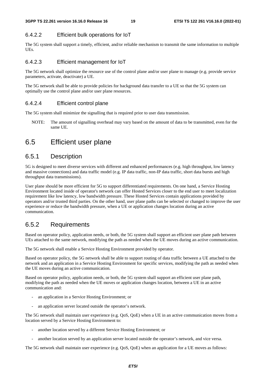### 6.4.2.2 Efficient bulk operations for IoT

The 5G system shall support a timely, efficient, and/or reliable mechanism to transmit the same information to multiple UEs.

#### 6.4.2.3 Efficient management for IoT

The 5G network shall optimize the resource use of the control plane and/or user plane to manage (e.g. provide service parameters, activate, deactivate) a UE.

The 5G network shall be able to provide policies for background data transfer to a UE so that the 5G system can optimally use the control plane and/or user plane resources.

#### 6.4.2.4 Efficient control plane

The 5G system shall minimize the signalling that is required prior to user data transmission.

NOTE: The amount of signalling overhead may vary based on the amount of data to be transmitted, even for the same UE.

### 6.5 Efficient user plane

### 6.5.1 Description

5G is designed to meet diverse services with different and enhanced performances (e.g. high throughput, low latency and massive connections) and data traffic model (e.g. IP data traffic, non-IP data traffic, short data bursts and high throughput data transmissions).

User plane should be more efficient for 5G to support differentiated requirements. On one hand, a Service Hosting Environment located inside of operator's network can offer Hosted Services closer to the end user to meet localization requirement like low latency, low bandwidth pressure. These Hosted Services contain applications provided by operators and/or trusted third parties. On the other hand, user plane paths can be selected or changed to improve the user experience or reduce the bandwidth pressure, when a UE or application changes location during an active communication.

### 6.5.2 Requirements

Based on operator policy, application needs, or both, the 5G system shall support an efficient user plane path between UEs attached to the same network, modifying the path as needed when the UE moves during an active communication.

The 5G network shall enable a Service Hosting Environment provided by operator.

Based on operator policy, the 5G network shall be able to support routing of data traffic between a UE attached to the network and an application in a Service Hosting Environment for specific services, modifying the path as needed when the UE moves during an active communication.

Based on operator policy, application needs, or both, the 5G system shall support an efficient user plane path, modifying the path as needed when the UE moves or application changes location, between a UE in an active communication and:

- an application in a Service Hosting Environment; or
- an application server located outside the operator's network.

The 5G network shall maintain user experience (e.g. QoS, QoE) when a UE in an active communication moves from a location served by a Service Hosting Environment to:

- another location served by a different Service Hosting Environment; or
- another location served by an application server located outside the operator's network, and vice versa.

The 5G network shall maintain user experience (e.g. QoS, QoE) when an application for a UE moves as follows: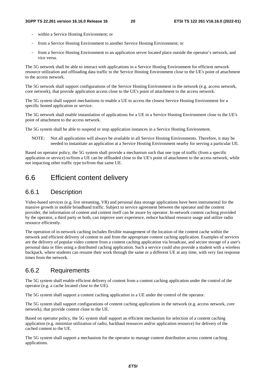- within a Service Hosting Environment; or
- from a Service Hosting Environment to another Service Hosting Environment; or
- from a Service Hosting Environment to an application server located place outside the operator's network, and vice versa.

The 5G network shall be able to interact with applications in a Service Hosting Environment for efficient network resource utilization and offloading data traffic to the Service Hosting Environment close to the UE's point of attachment to the access network.

The 5G network shall support configurations of the Service Hosting Environment in the network (e.g. access network, core network), that provide application access close to the UE's point of attachment to the access network.

The 5G system shall support mechanisms to enable a UE to access the closest Service Hosting Environment for a specific hosted application or service.

The 5G network shall enable instantiation of applications for a UE in a Service Hosting Environment close to the UE's point of attachment to the access network.

The 5G system shall be able to suspend or stop application instances in a Service Hosting Environment.

NOTE: Not all applications will always be available in all Service Hosting Environments. Therefore, it may be needed to instantiate an application at a Service Hosting Environment nearby for serving a particular UE.

Based on operator policy, the 5G system shall provide a mechanism such that one type of traffic (from a specific application or service) to/from a UE can be offloaded close to the UE's point of attachment to the access network, while not impacting other traffic type to/from that same UE.

### 6.6 Efficient content delivery

### 6.6.1 Description

Video-based services (e.g. live streaming, VR) and personal data storage applications have been instrumental for the massive growth in mobile broadband traffic. Subject to service agreement between the operator and the content provider, the information of content and content itself can be aware by operator. In-network content caching provided by the operator, a third party or both, can improve user experience, reduce backhaul resource usage and utilize radio resource efficiently.

The operation of in-network caching includes flexible management of the location of the content cache within the network and efficient delivery of content to and from the appropriate content caching application. Examples of services are the delivery of popular video content from a content caching application via broadcast, and secure storage of a user's personal data or files using a distributed caching application. Such a service could also provide a student with a wireless backpack, where students can resume their work through the same or a different UE at any time, with very fast response times from the network.

### 6.6.2 Requirements

The 5G system shall enable efficient delivery of content from a content caching application under the control of the operator (e.g. a cache located close to the UE).

The 5G system shall support a content caching application in a UE under the control of the operator.

The 5G system shall support configurations of content caching applications in the network (e.g. access network, core network), that provide content close to the UE.

Based on operator policy, the 5G system shall support an efficient mechanism for selection of a content caching application (e.g. minimize utilization of radio, backhaul resources and/or application resource) for delivery of the cached content to the UE.

The 5G system shall support a mechanism for the operator to manage content distribution across content caching applications.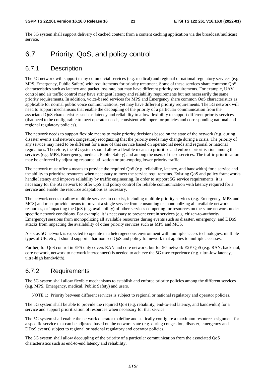The 5G system shall support delivery of cached content from a content caching application via the broadcast/multicast service.

### 6.7 Priority, QoS, and policy control

#### 6.7.1 Description

The 5G network will support many commercial services (e.g. medical) and regional or national regulatory services (e.g. MPS, Emergency, Public Safety) with requirements for priority treatment. Some of these services share common QoS characteristics such as latency and packet loss rate, but may have different priority requirements. For example, UAV control and air traffic control may have stringent latency and reliability requirements but not necessarily the same priority requirements. In addition, voice-based services for MPS and Emergency share common QoS characteristics as applicable for normal public voice communications, yet may have different priority requirements. The 5G network will need to support mechanisms that enable the decoupling of the priority of a particular communication from the associated QoS characteristics such as latency and reliability to allow flexibility to support different priority services (that need to be configurable to meet operator needs, consistent with operator policies and corresponding national and regional regulatory policies).

The network needs to support flexible means to make priority decisions based on the state of the network (e.g. during disaster events and network congestion) recognizing that the priority needs may change during a crisis. The priority of any service may need to be different for a user of that service based on operational needs and regional or national regulations. Therefore, the 5G system should allow a flexible means to prioritise and enforce prioritisation among the services (e.g. MPS, Emergency, medical, Public Safety) and among the users of these services. The traffic prioritisation may be enforced by adjusting resource utilization or pre-empting lower priority traffic.

The network must offer a means to provide the required QoS (e.g. reliability, latency, and bandwidth) for a service and the ability to prioritize resources when necessary to meet the service requirements. Existing QoS and policy frameworks handle latency and improve reliability by traffic engineering. In order to support 5G service requirements, it is necessary for the 5G network to offer QoS and policy control for reliable communication with latency required for a service and enable the resource adaptations as necessary.

The network needs to allow multiple services to coexist, including multiple priority services (e.g. Emergency, MPS and MCS) and must provide means to prevent a single service from consuming or monopolizing all available network resources, or impacting the QoS (e.g. availability) of other services competing for resources on the same network under specific network conditions. For example, it is necessary to prevent certain services (e.g. citizen-to-authority Emergency) sessions from monopolizing all available resources during events such as disaster, emergency, and DDoS attacks from impacting the availability of other priority services such as MPS and MCS.

Also, as 5G network is expected to operate in a heterogeneous environment with multiple access technologies, multiple types of UE, etc., it should support a harmonised QoS and policy framework that applies to multiple accesses.

Further, for QoS control in EPS only covers RAN and core network, but for 5G network E2E QoS (e.g. RAN, backhaul, core network, network to network interconnect) is needed to achieve the 5G user experience (e.g. ultra-low latency, ultra-high bandwidth).

### 6.7.2 Requirements

The 5G system shall allow flexible mechanisms to establish and enforce priority policies among the different services (e.g. MPS, Emergency, medical, Public Safety) and users.

NOTE 1: Priority between different services is subject to regional or national regulatory and operator policies.

The 5G system shall be able to provide the required QoS (e.g. reliability, end-to-end latency, and bandwidth) for a service and support prioritization of resources when necessary for that service.

The 5G system shall enable the network operator to define and statically configure a maximum resource assignment for a specific service that can be adjusted based on the network state (e.g. during congestion, disaster, emergency and DDoS events) subject to regional or national regulatory and operator policies.

The 5G system shall allow decoupling of the priority of a particular communication from the associated QoS characteristics such as end-to-end latency and reliability.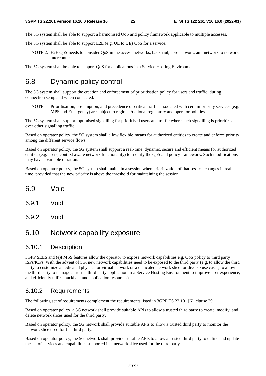The 5G system shall be able to support a harmonised QoS and policy framework applicable to multiple accesses.

The 5G system shall be able to support E2E (e.g. UE to UE) QoS for a service.

NOTE 2: E2E QoS needs to consider QoS in the access networks, backhaul, core network, and network to network interconnect.

The 5G system shall be able to support QoS for applications in a Service Hosting Environment.

### 6.8 Dynamic policy control

The 5G system shall support the creation and enforcement of prioritisation policy for users and traffic, during connection setup and when connected.

NOTE: Prioritisation, pre-emption, and precedence of critical traffic associated with certain priority services (e.g. MPS and Emergency) are subject to regional/national regulatory and operator policies.

The 5G system shall support optimised signalling for prioritised users and traffic where such signalling is prioritized over other signalling traffic.

Based on operator policy, the 5G system shall allow flexible means for authorized entities to create and enforce priority among the different service flows.

Based on operator policy, the 5G system shall support a real-time, dynamic, secure and efficient means for authorized entities (e.g. users, context aware network functionality) to modify the QoS and policy framework. Such modifications may have a variable duration.

Based on operator policy, the 5G system shall maintain a session when prioritization of that session changes in real time, provided that the new priority is above the threshold for maintaining the session.

- 6.9 Void
- 6.9.1 Void
- 6.9.2 Void

### 6.10 Network capability exposure

### 6.10.1 Description

3GPP SEES and (e)FMSS features allow the operator to expose network capabilities e.g. QoS policy to third party ISPs/ICPs. With the advent of 5G, new network capabilities need to be exposed to the third party (e.g. to allow the third party to customize a dedicated physical or virtual network or a dedicated network slice for diverse use cases; to allow the third party to manage a trusted third party application in a Service Hosting Environment to improve user experience, and efficiently utilize backhaul and application resources).

#### 6.10.2 Requirements

The following set of requirements complement the requirements listed in 3GPP TS 22.101 [6], clause 29.

Based on operator policy, a 5G network shall provide suitable APIs to allow a trusted third party to create, modify, and delete network slices used for the third party.

Based on operator policy, the 5G network shall provide suitable APIs to allow a trusted third party to monitor the network slice used for the third party.

Based on operator policy, the 5G network shall provide suitable APIs to allow a trusted third party to define and update the set of services and capabilities supported in a network slice used for the third party.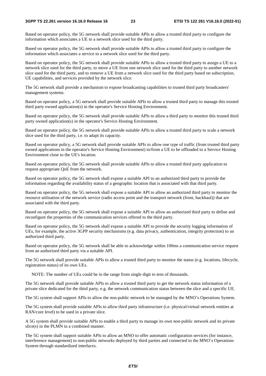Based on operator policy, the 5G network shall provide suitable APIs to allow a trusted third party to configure the information which associates a UE to a network slice used for the third party.

Based on operator policy, the 5G network shall provide suitable APIs to allow a trusted third party to configure the information which associates a service to a network slice used for the third party.

Based on operator policy, the 5G network shall provide suitable APIs to allow a trusted third party to assign a UE to a network slice used for the third party, to move a UE from one network slice used for the third party to another network slice used for the third party, and to remove a UE from a network slice used for the third party based on subscription, UE capabilities, and services provided by the network slice.

The 5G network shall provide a mechanism to expose broadcasting capabilities to trusted third party broadcasters' management systems.

Based on operator policy, a 5G network shall provide suitable APIs to allow a trusted third party to manage this trusted third party owned application(s) in the operator's Service Hosting Environment.

Based on operator policy, the 5G network shall provide suitable APIs to allow a third party to monitor this trusted third party owned application(s) in the operator's Service Hosting Environment.

Based on operator policy, the 5G network shall provide suitable APIs to allow a trusted third party to scale a network slice used for the third party, i.e. to adapt its capacity.

Based on operator policy, a 5G network shall provide suitable APIs to allow one type of traffic (from trusted third party owned applications in the operator's Service Hosting Environment) to/from a UE to be offloaded to a Service Hosting Environment close to the UE's location.

Based on operator policy, the 5G network shall provide suitable APIs to allow a trusted third party application to request appropriate QoE from the network.

Based on operator policy, the 5G network shall expose a suitable API to an authorized third party to provide the information regarding the availability status of a geographic location that is associated with that third party.

Based on operator policy, the 5G network shall expose a suitable API to allow an authorized third party to monitor the resource utilisation of the network service (radio access point and the transport network (front, backhaul)) that are associated with the third party.

Based on operator policy, the 5G network shall expose a suitable API to allow an authorized third party to define and reconfigure the properties of the communication services offered to the third party.

Based on operator policy, the 5G network shall expose a suitable API to provide the security logging information of UEs, for example, the active 3GPP security mechanisms (e.g. data privacy, authentication, integrity protection) to an authorized third party.

Based on operator policy, the 5G network shall be able to acknowledge within 100ms a communication service request from an authorized third party via a suitable API.

The 5G network shall provide suitable APIs to allow a trusted third party to monitor the status (e.g. locations, lifecycle, registration status) of its own UEs.

NOTE: The number of UEs could be in the range from single digit to tens of thousands.

The 5G network shall provide suitable APIs to allow a trusted third party to get the network status information of a private slice dedicated for the third party, e.g. the network communication status between the slice and a specific UE.

The 5G system shall support APIs to allow the non-public network to be managed by the MNO's Operations System.

The 5G system shall provide suitable APIs to allow third party infrastructure (i.e. physical/virtual network entities at RAN/core level) to be used in a private slice.

A 5G system shall provide suitable APIs to enable a third party to manage its own non-public network and its private slice(s) in the PLMN in a combined manner.

The 5G system shall support suitable APIs to allow an MNO to offer automatic configuration services (for instance, interference management) to non-public networks deployed by third parties and connected to the MNO's Operations System through standardized interfaces.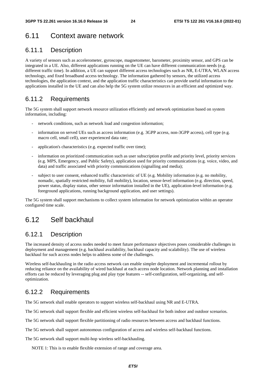### 6.11 Context aware network

### 6.11.1 Description

A variety of sensors such as accelerometer, gyroscope, magnetometer, barometer, proximity sensor, and GPS can be integrated in a UE. Also, different applications running on the UE can have different communication needs (e.g. different traffic time). In addition, a UE can support different access technologies such as NR, E-UTRA, WLAN access technology, and fixed broadband access technology. The information gathered by sensors, the utilized access technologies, the application context, and the application traffic characteristics can provide useful information to the applications installed in the UE and can also help the 5G system utilize resources in an efficient and optimized way.

### 6.11.2 Requirements

The 5G system shall support network resource utilization efficiently and network optimization based on system information, including:

- network conditions, such as network load and congestion information;
- information on served UEs such as access information (e.g. 3GPP access, non-3GPP access), cell type (e.g. macro cell, small cell), user experienced data rate;
- application's characteristics (e.g. expected traffic over time);
- information on prioritized communication such as user subscription profile and priority level, priority services (e.g. MPS, Emergency, and Public Safety), application used for priority communications (e.g. voice, video, and data) and traffic associated with priority communications (signalling and media);
- subject to user consent, enhanced traffic characteristic of UE (e.g. Mobility information (e.g. no mobility, nomadic, spatially restricted mobility, full mobility), location, sensor-level information (e.g. direction, speed, power status, display status, other sensor information installed in the UE), application-level information (e.g. foreground applications, running background application, and user settings).

The 5G system shall support mechanisms to collect system information for network optimization within an operator configured time scale.

### 6.12 Self backhaul

### 6.12.1 Description

The increased density of access nodes needed to meet future performance objectives poses considerable challenges in deployment and management (e.g. backhaul availability, backhaul capacity and scalability). The use of wireless backhaul for such access nodes helps to address some of the challenges.

Wireless self-backhauling in the radio access network can enable simpler deployment and incremental rollout by reducing reliance on the availability of wired backhaul at each access node location. Network planning and installation efforts can be reduced by leveraging plug and play type features -- self-configuration, self-organizing, and selfoptimization.

### 6.12.2 Requirements

The 5G network shall enable operators to support wireless self-backhaul using NR and E-UTRA.

The 5G network shall support flexible and efficient wireless self-backhaul for both indoor and outdoor scenarios.

The 5G network shall support flexible partitioning of radio resources between access and backhaul functions.

The 5G network shall support autonomous configuration of access and wireless self-backhaul functions.

The 5G network shall support multi-hop wireless self-backhauling.

NOTE 1: This is to enable flexible extension of range and coverage area.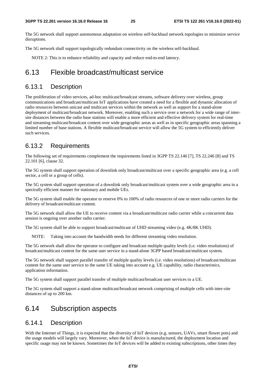The 5G network shall support autonomous adaptation on wireless self-backhaul network topologies to minimize service disruptions.

The 5G network shall support topologically redundant connectivity on the wireless self-backhaul.

NOTE 2: This is to enhance reliability and capacity and reduce end-to-end latency.

### 6.13 Flexible broadcast/multicast service

#### 6.13.1 Description

The proliferation of video services, ad-hoc multicast/broadcast streams, software delivery over wireless, group communications and broadcast/multicast IoT applications have created a need for a flexible and dynamic allocation of radio resources between unicast and multicast services within the network as well as support for a stand-alone deployment of multicast/broadcast network. Moreover, enabling such a service over a network for a wide range of intersite distances between the radio base stations will enable a more efficient and effective delivery system for real-time and streaming multicast/broadcast content over wide geographic areas as well as in specific geographic areas spanning a limited number of base stations. A flexible multicast/broadcast service will allow the 5G system to efficiently deliver such services.

### 6.13.2 Requirements

The following set of requirements complement the requirements listed in 3GPP TS 22.146 [7], TS 22.246 [8] and TS 22.101 [6], clause 32.

The 5G system shall support operation of downlink only broadcast/multicast over a specific geographic area (e.g. a cell sector, a cell or a group of cells).

The 5G system shall support operation of a downlink only broadcast/multicast system over a wide geographic area in a spectrally efficient manner for stationary and mobile UEs.

The 5G system shall enable the operator to reserve 0% to 100% of radio resources of one or more radio carriers for the delivery of broadcast/multicast content.

The 5G network shall allow the UE to receive content via a broadcast/multicast radio carrier while a concurrent data session is ongoing over another radio carrier.

The 5G system shall be able to support broadcast/multicast of UHD streaming video (e.g. 4K/8K UHD).

NOTE: Taking into account the bandwidth needs for different streaming video resolution.

The 5G network shall allow the operator to configure and broadcast multiple quality levels (i.e. video resolutions) of broadcast/multicast content for the same user service in a stand-alone 3GPP based broadcast/multicast system.

The 5G network shall support parallel transfer of multiple quality levels (i.e. video resolutions) of broadcast/multicast content for the same user service to the same UE taking into account e.g. UE capability, radio characteristics, application information.

The 5G system shall support parallel transfer of multiple multicast/broadcast user services to a UE.

The 5G system shall support a stand-alone multicast/broadcast network comprising of multiple cells with inter-site distances of up to 200 km.

### 6.14 Subscription aspects

### 6.14.1 Description

With the Internet of Things, it is expected that the diversity of IoT devices (e.g. sensors, UAVs, smart flower pots) and the usage models will largely vary. Moreover, when the IoT device is manufactured, the deployment location and specific usage may not be known. Sometimes the IoT devices will be added to existing subscriptions, other times they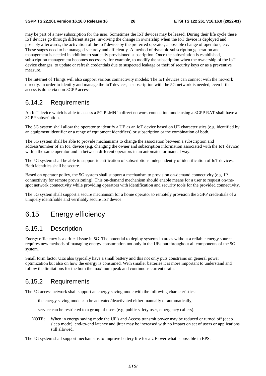may be part of a new subscription for the user. Sometimes the IoT devices may be leased. During their life cycle these IoT devices go through different stages, involving the change in ownership when the IoT device is deployed and possibly afterwards, the activation of the IoT device by the preferred operator, a possible change of operators, etc. These stages need to be managed securely and efficiently. A method of dynamic subscription generation and management is needed in addition to statically provisioned subscription. Once the subscription is established, subscription management becomes necessary, for example, to modify the subscription when the ownership of the IoT device changes, to update or refresh credentials due to suspected leakage or theft of security keys or as a preventive measure.

The Internet of Things will also support various connectivity models: The IoT devices can connect with the network directly. In order to identify and manage the IoT devices, a subscription with the 5G network is needed, even if the access is done via non-3GPP access.

### 6.14.2 Requirements

An IoT device which is able to access a 5G PLMN in direct network connection mode using a 3GPP RAT shall have a 3GPP subscription.

The 5G system shall allow the operator to identify a UE as an IoT device based on UE characteristics (e.g. identified by an equipment identifier or a range of equipment identifiers) or subscription or the combination of both.

The 5G system shall be able to provide mechanisms to change the association between a subscription and address/number of an IoT device (e.g. changing the owner and subscription information associated with the IoT device) within the same operator and in between different operators in an automated or manual way.

The 5G system shall be able to support identification of subscriptions independently of identification of IoT devices. Both identities shall be secure.

Based on operator policy, the 5G system shall support a mechanism to provision on-demand connectivity (e.g. IP connectivity for remote provisioning). This on-demand mechanism should enable means for a user to request on-thespot network connectivity while providing operators with identification and security tools for the provided connectivity.

The 5G system shall support a secure mechanism for a home operator to remotely provision the 3GPP credentials of a uniquely identifiable and verifiably secure IoT device.

### 6.15 Energy efficiency

### 6.15.1 Description

Energy efficiency is a critical issue in 5G. The potential to deploy systems in areas without a reliable energy source requires new methods of managing energy consumption not only in the UEs but throughout all components of the 5G system.

Small form factor UEs also typically have a small battery and this not only puts constrains on general power optimization but also on how the energy is consumed. With smaller batteries it is more important to understand and follow the limitations for the both the maximum peak and continuous current drain.

### 6.15.2 Requirements

The 5G access network shall support an energy saving mode with the following characteristics:

- the energy saving mode can be activated/deactivated either manually or automatically;
- service can be restricted to a group of users (e.g. public safety user, emergency callers).
- NOTE: When in energy saving mode the UE's and Access transmit power may be reduced or turned off (deep sleep mode), end-to-end latency and jitter may be increased with no impact on set of users or applications still allowed.

The 5G system shall support mechanisms to improve battery life for a UE over what is possible in EPS.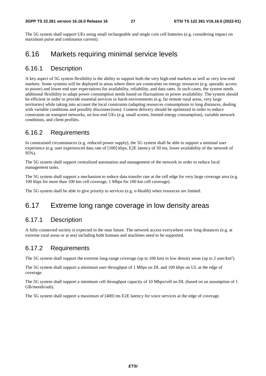The 5G system shall support UEs using small rechargeable and single coin cell batteries (e.g. considering impact on maximum pulse and continuous current).

### 6.16 Markets requiring minimal service levels

### 6.16.1 Description

A key aspect of 5G system flexibility is the ability to support both the very high-end markets as well as very low-end markets. Some systems will be deployed in areas where there are constraints on energy resources (e.g. sporadic access to power) and lower end user expectations for availability, reliability, and data rates. In such cases, the system needs additional flexibility to adapt power consumption needs based on fluctuations in power availability. The system should be efficient in order to provide essential services in harsh environments (e.g. far remote rural areas, very large territories) while taking into account the local constraints (adapting resources consumptions to long distances, dealing with variable conditions and possibly disconnections). Content delivery should be optimized in order to reduce constraints on transport networks, on low-end UEs (e.g. small screen, limited energy consumption), variable network conditions, and client profiles.

### 6.16.2 Requirements

In constrained circumstances (e.g. reduced power supply), the 5G system shall be able to support a minimal user experience (e.g. user experienced data rate of [100] kbps, E2E latency of 50 ms, lower availability of the network of 95%).

The 5G system shall support centralized automation and management of the network in order to reduce local management tasks.

The 5G system shall support a mechanism to reduce data transfer rate at the cell edge for very large coverage area (e.g. 100 kbps for more than 100 km cell coverage, 1 Mbps for 100 km cell coverage).

The 5G system shall be able to give priority to services (e.g. e-Health) when resources are limited.

### 6.17 Extreme long range coverage in low density areas

### 6.17.1 Description

A fully connected society is expected in the near future. The network access everywhere over long distances (e.g. at extreme rural areas or at sea) including both humans and machines need to be supported.

### 6.17.2 Requirements

The 5G system shall support the extreme long-range coverage (up to 100 km) in low density areas (up to 2 user/km<sup>2</sup>).

The 5G system shall support a minimum user throughput of 1 Mbps on DL and 100 kbps on UL at the edge of coverage.

The 5G system shall support a minimum cell throughput capacity of 10 Mbps/cell on DL (based on an assumption of 1 GB/month/sub).

The 5G system shall support a maximum of [400] ms E2E latency for voice services at the edge of coverage.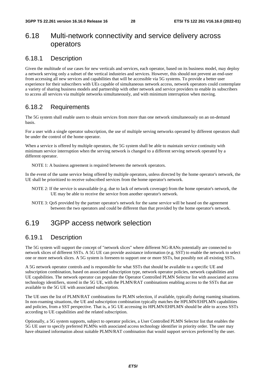### 6.18 Multi-network connectivity and service delivery across operators

### 6.18.1 Description

Given the multitude of use cases for new verticals and services, each operator, based on its business model, may deploy a network serving only a subset of the vertical industries and services. However, this should not prevent an end-user from accessing all new services and capabilities that will be accessible via 5G systems. To provide a better user experience for their subscribers with UEs capable of simultaneous network access, network operators could contemplate a variety of sharing business models and partnership with other network and service providers to enable its subscribers to access all services via multiple networks simultaneously, and with minimum interruption when moving.

### 6.18.2 Requirements

The 5G system shall enable users to obtain services from more than one network simultaneously on an on-demand basis.

For a user with a single operator subscription, the use of multiple serving networks operated by different operators shall be under the control of the home operator.

When a service is offered by multiple operators, the 5G system shall be able to maintain service continuity with minimum service interruption when the serving network is changed to a different serving network operated by a different operator.

NOTE 1: A business agreement is required between the network operators.

In the event of the same service being offered by multiple operators, unless directed by the home operator's network, the UE shall be prioritized to receive subscribed services from the home operator's network.

- NOTE 2: If the service is unavailable (e.g. due to lack of network coverage) from the home operator's network, the UE may be able to receive the service from another operator's network.
- NOTE 3: QoS provided by the partner operator's network for the same service will be based on the agreement between the two operators and could be different than that provided by the home operator's network.

### 6.19 3GPP access network selection

### 6.19.1 Description

The 5G system will support the concept of "network slices" where different NG-RANs potentially are connected to network slices of different SSTs. A 5G UE can provide assistance information (e.g. SST) to enable the network to select one or more network slices. A 5G system is foreseen to support one or more SSTs, but possibly not all existing SSTs.

A 5G network operator controls and is responsible for what SSTs that should be available to a specific UE and subscription combination, based on associated subscription type, network operator policies, network capabilities and UE capabilities. The network operator can populate the Operator Controlled PLMN Selector list with associated access technology identifiers, stored in the 5G UE, with the PLMN/RAT combinations enabling access to the SSTs that are available to the 5G UE with associated subscription.

The UE uses the list of PLMN/RAT combinations for PLMN selection, if available, typically during roaming situations. In non-roaming situations, the UE and subscription combination typically matches the HPLMN/EHPLMN capabilities and policies, from a SST perspective. That is, a 5G UE accessing its HPLMN/EHPLMN should be able to access SSTs according to UE capabilities and the related subscription.

Optionally, a 5G system supports, subject to operator policies, a User Controlled PLMN Selector list that enables the 5G UE user to specify preferred PLMNs with associated access technology identifier in priority order. The user may have obtained information about suitable PLMN/RAT combination that would support services preferred by the user.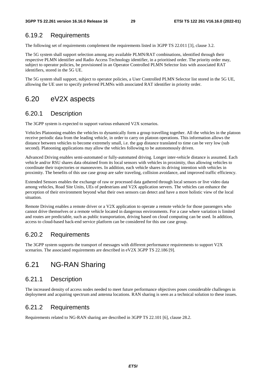### 6.19.2 Requirements

The following set of requirements complement the requirements listed in 3GPP TS 22.011 [3], clause 3.2.

The 5G system shall support selection among any available PLMN/RAT combinations, identified through their respective PLMN identifier and Radio Access Technology identifier, in a prioritised order. The priority order may, subject to operator policies, be provisioned in an Operator Controlled PLMN Selector lists with associated RAT identifiers, stored in the 5G UE.

The 5G system shall support, subject to operator policies, a User Controlled PLMN Selector list stored in the 5G UE, allowing the UE user to specify preferred PLMNs with associated RAT identifier in priority order.

### 6.20 eV2X aspects

#### 6.20.1 Description

The 3GPP system is expected to support various enhanced V2X scenarios.

Vehicles Platooning enables the vehicles to dynamically form a group travelling together. All the vehicles in the platoon receive periodic data from the leading vehicle, in order to carry on platoon operations. This information allows the distance between vehicles to become extremely small, i.e. the gap distance translated to time can be very low (sub second). Platooning applications may allow the vehicles following to be autonomously driven.

Advanced Driving enables semi-automated or fully-automated driving. Longer inter-vehicle distance is assumed. Each vehicle and/or RSU shares data obtained from its local sensors with vehicles in proximity, thus allowing vehicles to coordinate their trajectories or manoeuvres. In addition, each vehicle shares its driving intention with vehicles in proximity. The benefits of this use case group are safer traveling, collision avoidance, and improved traffic efficiency.

Extended Sensors enables the exchange of raw or processed data gathered through local sensors or live video data among vehicles, Road Site Units, UEs of pedestrians and V2X application servers. The vehicles can enhance the perception of their environment beyond what their own sensors can detect and have a more holistic view of the local situation.

Remote Driving enables a remote driver or a V2X application to operate a remote vehicle for those passengers who cannot drive themselves or a remote vehicle located in dangerous environments. For a case where variation is limited and routes are predictable, such as public transportation, driving based on cloud computing can be used. In addition, access to cloud-based back-end service platform can be considered for this use case group.

### 6.20.2 Requirements

The 3GPP system supports the transport of messages with different performance requirements to support V2X scenarios. The associated requirements are described in eV2X 3GPP TS 22.186 [9].

### 6.21 NG-RAN Sharing

#### 6.21.1 Description

The increased density of access nodes needed to meet future performance objectives poses considerable challenges in deployment and acquiring spectrum and antenna locations. RAN sharing is seen as a technical solution to these issues.

### 6.21.2 Requirements

Requirements related to NG-RAN sharing are described in 3GPP TS 22.101 [6], clause 28.2.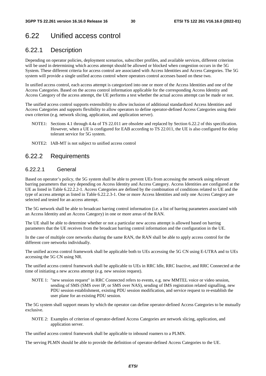### 6.22 Unified access control

### 6.22.1 Description

Depending on operator policies, deployment scenarios, subscriber profiles, and available services, different criterion will be used in determining which access attempt should be allowed or blocked when congestion occurs in the 5G System. These different criteria for access control are associated with Access Identities and Access Categories. The 5G system will provide a single unified access control where operators control accesses based on these two.

In unified access control, each access attempt is categorized into one or more of the Access Identities and one of the Access Categories. Based on the access control information applicable for the corresponding Access Identity and Access Category of the access attempt, the UE performs a test whether the actual access attempt can be made or not.

The unified access control supports extensibility to allow inclusion of additional standardized Access Identities and Access Categories and supports flexibility to allow operators to define operator-defined Access Categories using their own criterion (e.g. network slicing, application, and application server).

- NOTE1: Sections 4.1 through 4.4a of TS 22.011 are obsolete and replaced by Section 6.22.2 of this specification. However, when a UE is configured for EAB according to TS 22.011, the UE is also configured for delay tolerant service for 5G system.
- NOTE2: IAB-MT is not subject to unified access control

### 6.22.2 Requirements

#### 6.22.2.1 General

Based on operator's policy, the 5G system shall be able to prevent UEs from accessing the network using relevant barring parameters that vary depending on Access Identity and Access Category. Access Identities are configured at the UE as listed in Table 6.22.2.2-1. Access Categories are defined by the combination of conditions related to UE and the type of access attempt as listed in Table 6.22.2.3-1. One or more Access Identities and only one Access Category are selected and tested for an access attempt.

The 5G network shall be able to broadcast barring control information (i.e. a list of barring parameters associated with an Access Identity and an Access Category) in one or more areas of the RAN.

The UE shall be able to determine whether or not a particular new access attempt is allowed based on barring parameters that the UE receives from the broadcast barring control information and the configuration in the UE.

In the case of multiple core networks sharing the same RAN, the RAN shall be able to apply access control for the different core networks individually.

The unified access control framework shall be applicable both to UEs accessing the 5G CN using E-UTRA and to UEs accessing the 5G CN using NR.

The unified access control framework shall be applicable to UEs in RRC Idle, RRC Inactive, and RRC Connected at the time of initiating a new access attempt (e.g. new session request).

NOTE 1: "new session request" in RRC Connected refers to events, e.g. new MMTEL voice or video session, sending of SMS (SMS over IP, or SMS over NAS), sending of IMS registration related signalling, new PDU session establishment, existing PDU session modification, and service request to re-establish the user plane for an existing PDU session.

The 5G system shall support means by which the operator can define operator-defined Access Categories to be mutually exclusive.

NOTE 2: Examples of criterion of operator-defined Access Categories are network slicing, application, and application server.

The unified access control framework shall be applicable to inbound roamers to a PLMN.

The serving PLMN should be able to provide the definition of operator-defined Access Categories to the UE.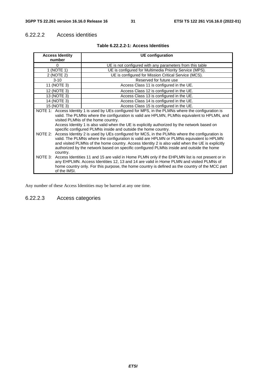### 6.22.2.2 Access identities

| <b>Access Identity</b>                                                                                                                                                                                                                                                                                                                                                                                                                                                                                                                                                                                                                                                                                                                                                                                                      | <b>UE</b> configuration                                  |  |
|-----------------------------------------------------------------------------------------------------------------------------------------------------------------------------------------------------------------------------------------------------------------------------------------------------------------------------------------------------------------------------------------------------------------------------------------------------------------------------------------------------------------------------------------------------------------------------------------------------------------------------------------------------------------------------------------------------------------------------------------------------------------------------------------------------------------------------|----------------------------------------------------------|--|
| number                                                                                                                                                                                                                                                                                                                                                                                                                                                                                                                                                                                                                                                                                                                                                                                                                      |                                                          |  |
| $\Omega$                                                                                                                                                                                                                                                                                                                                                                                                                                                                                                                                                                                                                                                                                                                                                                                                                    | UE is not configured with any parameters from this table |  |
| 1 (NOTE 1)                                                                                                                                                                                                                                                                                                                                                                                                                                                                                                                                                                                                                                                                                                                                                                                                                  | UE is configured for Multimedia Priority Service (MPS).  |  |
| 2 (NOTE 2)                                                                                                                                                                                                                                                                                                                                                                                                                                                                                                                                                                                                                                                                                                                                                                                                                  | UE is configured for Mission Critical Service (MCS).     |  |
| $3 - 10$                                                                                                                                                                                                                                                                                                                                                                                                                                                                                                                                                                                                                                                                                                                                                                                                                    | Reserved for future use                                  |  |
| 11 (NOTE 3)                                                                                                                                                                                                                                                                                                                                                                                                                                                                                                                                                                                                                                                                                                                                                                                                                 | Access Class 11 is configured in the UE.                 |  |
| 12 (NOTE 3)                                                                                                                                                                                                                                                                                                                                                                                                                                                                                                                                                                                                                                                                                                                                                                                                                 | Access Class 12 is configured in the UE.                 |  |
| 13 (NOTE 3)                                                                                                                                                                                                                                                                                                                                                                                                                                                                                                                                                                                                                                                                                                                                                                                                                 | Access Class 13 is configured in the UE.                 |  |
| 14 (NOTE 3)                                                                                                                                                                                                                                                                                                                                                                                                                                                                                                                                                                                                                                                                                                                                                                                                                 | Access Class 14 is configured in the UE.                 |  |
| 15 (NOTE 3)                                                                                                                                                                                                                                                                                                                                                                                                                                                                                                                                                                                                                                                                                                                                                                                                                 | Access Class 15 is configured in the UE.                 |  |
| NOTE 1: Access Identity 1 is used by UEs configured for MPS, in the PLMNs where the configuration is<br>valid. The PLMNs where the configuration is valid are HPLMN, PLMNs equivalent to HPLMN, and<br>visited PLMNs of the home country.<br>Access Identity 1 is also valid when the UE is explicitly authorized by the network based on<br>specific configured PLMNs inside and outside the home country.<br>NOTE 2: Access Identity 2 is used by UEs configured for MCS, in the PLMNs where the configuration is<br>valid. The PLMNs where the configuration is valid are HPLMN or PLMNs equivalent to HPLMN<br>and visited PLMNs of the home country. Access Identity 2 is also valid when the UE is explicitly<br>authorized by the network based on specific configured PLMNs inside and outside the home<br>country. |                                                          |  |
| NOTE 3: Access Identities 11 and 15 are valid in Home PLMN only if the EHPLMN list is not present or in<br>any EHPLMN. Access Identities 12, 13 and 14 are valid in Home PLMN and visited PLMNs of<br>home country only. For this purpose, the home country is defined as the country of the MCC part<br>of the IMSI.                                                                                                                                                                                                                                                                                                                                                                                                                                                                                                       |                                                          |  |

#### **Table 6.22.2.2-1: Access Identities**

Any number of these Access Identities may be barred at any one time.

### 6.22.2.3 Access categories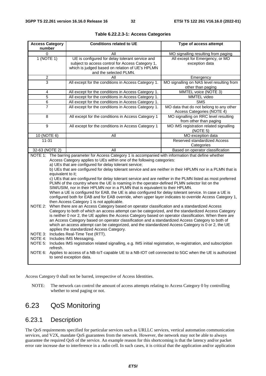| <b>Access Category</b><br>number                                                                                                                                                                                                                                                                                                                                                                                                                                                                                                                                                                                                                                                                                                                                                                                                                                                                                                                                                                                                                                                                                                                                                                                                                                                                                                                                                                                                                                                                                                                                                                                                   | <b>Conditions related to UE</b>                                                                                                                                                  | Type of access attempt                                                |  |
|------------------------------------------------------------------------------------------------------------------------------------------------------------------------------------------------------------------------------------------------------------------------------------------------------------------------------------------------------------------------------------------------------------------------------------------------------------------------------------------------------------------------------------------------------------------------------------------------------------------------------------------------------------------------------------------------------------------------------------------------------------------------------------------------------------------------------------------------------------------------------------------------------------------------------------------------------------------------------------------------------------------------------------------------------------------------------------------------------------------------------------------------------------------------------------------------------------------------------------------------------------------------------------------------------------------------------------------------------------------------------------------------------------------------------------------------------------------------------------------------------------------------------------------------------------------------------------------------------------------------------------|----------------------------------------------------------------------------------------------------------------------------------------------------------------------------------|-----------------------------------------------------------------------|--|
| $\Omega$                                                                                                                                                                                                                                                                                                                                                                                                                                                                                                                                                                                                                                                                                                                                                                                                                                                                                                                                                                                                                                                                                                                                                                                                                                                                                                                                                                                                                                                                                                                                                                                                                           | All                                                                                                                                                                              | MO signalling resulting from paging                                   |  |
| 1(NOTE 1)                                                                                                                                                                                                                                                                                                                                                                                                                                                                                                                                                                                                                                                                                                                                                                                                                                                                                                                                                                                                                                                                                                                                                                                                                                                                                                                                                                                                                                                                                                                                                                                                                          | UE is configured for delay tolerant service and<br>subject to access control for Access Category 1,<br>which is judged based on relation of UE's HPLMN<br>and the selected PLMN. | All except for Emergency, or MO<br>exception data                     |  |
| $\overline{2}$                                                                                                                                                                                                                                                                                                                                                                                                                                                                                                                                                                                                                                                                                                                                                                                                                                                                                                                                                                                                                                                                                                                                                                                                                                                                                                                                                                                                                                                                                                                                                                                                                     | All                                                                                                                                                                              | Emergency                                                             |  |
| 3                                                                                                                                                                                                                                                                                                                                                                                                                                                                                                                                                                                                                                                                                                                                                                                                                                                                                                                                                                                                                                                                                                                                                                                                                                                                                                                                                                                                                                                                                                                                                                                                                                  | All except for the conditions in Access Category 1.                                                                                                                              | MO signalling on NAS level resulting from<br>other than paging        |  |
| 4                                                                                                                                                                                                                                                                                                                                                                                                                                                                                                                                                                                                                                                                                                                                                                                                                                                                                                                                                                                                                                                                                                                                                                                                                                                                                                                                                                                                                                                                                                                                                                                                                                  | All except for the conditions in Access Category 1.                                                                                                                              | MMTEL voice (NOTE 3)                                                  |  |
| 5                                                                                                                                                                                                                                                                                                                                                                                                                                                                                                                                                                                                                                                                                                                                                                                                                                                                                                                                                                                                                                                                                                                                                                                                                                                                                                                                                                                                                                                                                                                                                                                                                                  | All except for the conditions in Access Category 1.                                                                                                                              | MMTEL video                                                           |  |
| 6                                                                                                                                                                                                                                                                                                                                                                                                                                                                                                                                                                                                                                                                                                                                                                                                                                                                                                                                                                                                                                                                                                                                                                                                                                                                                                                                                                                                                                                                                                                                                                                                                                  | All except for the conditions in Access Category 1.                                                                                                                              | $S\overline{\text{MS}}$                                               |  |
| 7                                                                                                                                                                                                                                                                                                                                                                                                                                                                                                                                                                                                                                                                                                                                                                                                                                                                                                                                                                                                                                                                                                                                                                                                                                                                                                                                                                                                                                                                                                                                                                                                                                  | All except for the conditions in Access Category 1.                                                                                                                              | MO data that do not belong to any other<br>Access Categories (NOTE 4) |  |
| 8                                                                                                                                                                                                                                                                                                                                                                                                                                                                                                                                                                                                                                                                                                                                                                                                                                                                                                                                                                                                                                                                                                                                                                                                                                                                                                                                                                                                                                                                                                                                                                                                                                  | All except for the conditions in Access Category 1                                                                                                                               | MO signalling on RRC level resulting<br>from other than paging        |  |
| $\overline{9}$                                                                                                                                                                                                                                                                                                                                                                                                                                                                                                                                                                                                                                                                                                                                                                                                                                                                                                                                                                                                                                                                                                                                                                                                                                                                                                                                                                                                                                                                                                                                                                                                                     | All except for the conditions in Access Category 1                                                                                                                               | MO IMS registration related signalling<br>(NOTE 5)                    |  |
| $10$ (NOTE 6)                                                                                                                                                                                                                                                                                                                                                                                                                                                                                                                                                                                                                                                                                                                                                                                                                                                                                                                                                                                                                                                                                                                                                                                                                                                                                                                                                                                                                                                                                                                                                                                                                      | All                                                                                                                                                                              | MO exception data                                                     |  |
| $11 - 31$                                                                                                                                                                                                                                                                                                                                                                                                                                                                                                                                                                                                                                                                                                                                                                                                                                                                                                                                                                                                                                                                                                                                                                                                                                                                                                                                                                                                                                                                                                                                                                                                                          |                                                                                                                                                                                  | <b>Reserved standardized Access</b><br>Categories                     |  |
| 32-63 (NOTE 2)                                                                                                                                                                                                                                                                                                                                                                                                                                                                                                                                                                                                                                                                                                                                                                                                                                                                                                                                                                                                                                                                                                                                                                                                                                                                                                                                                                                                                                                                                                                                                                                                                     | All                                                                                                                                                                              | Based on operator classification                                      |  |
| Access Category applies to UEs within one of the following categories:<br>a) UEs that are configured for delay tolerant service;<br>b) UEs that are configured for delay tolerant service and are neither in their HPLMN nor in a PLMN that is<br>equivalent to it;<br>c) UEs that are configured for delay tolerant service and are neither in the PLMN listed as most preferred<br>PLMN of the country where the UE is roaming in the operator-defined PLMN selector list on the<br>SIM/USIM, nor in their HPLMN nor in a PLMN that is equivalent to their HPLMN.<br>When a UE is configured for EAB, the UE is also configured for delay tolerant service. In case a UE is<br>configured both for EAB and for EAB override, when upper layer indicates to override Access Category 1,<br>then Access Category 1 is not applicable.<br>When there are an Access Category based on operator classification and a standardized Access<br>NOTE 2:<br>Category to both of which an access attempt can be categorized, and the standardized Access Category<br>is neither 0 nor 2, the UE applies the Access Category based on operator classification. When there are<br>an Access Category based on operator classification and a standardized Access Category to both of<br>which an access attempt can be categorized, and the standardized Access Category is 0 or 2, the UE<br>applies the standardized Access Category.<br>NOTE 3: Includes Real-Time Text (RTT).<br>NOTE 4: Includes IMS Messaging.<br>NOTE 5: Includes IMS registration related signalling, e.g. IMS initial registration, re-registration, and subscription |                                                                                                                                                                                  |                                                                       |  |
| refresh.<br>NOTE 6: Applies to access of a NB-IoT-capable UE to a NB-IOT cell connected to 5GC when the UE is authorized<br>to send exception data.                                                                                                                                                                                                                                                                                                                                                                                                                                                                                                                                                                                                                                                                                                                                                                                                                                                                                                                                                                                                                                                                                                                                                                                                                                                                                                                                                                                                                                                                                |                                                                                                                                                                                  |                                                                       |  |

|  |  |  | Table 6.22.2.3-1: Access Categories |
|--|--|--|-------------------------------------|
|--|--|--|-------------------------------------|

Access Category 0 shall not be barred, irrespective of Access Identities.

NOTE: The network can control the amount of access attempts relating to Access Category 0 by controlling whether to send paging or not.

### 6.23 QoS Monitoring

### 6.23.1 Description

The QoS requirements specified for particular services such as URLLC services, vertical automation communication services, and V2X, mandate QoS guarantees from the network. However, the network may not be able to always guarantee the required QoS of the service. An example reason for this shortcoming is that the latency and/or packet error rate increase due to interference in a radio cell. In such cases, it is critical that the application and/or application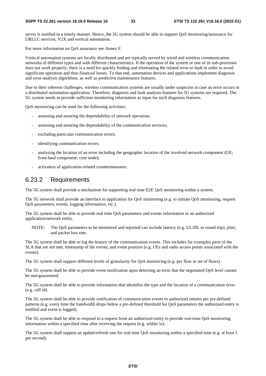server is notified in a timely manner. Hence, the 5G system should be able to support QoS monitoring/assurance for URLLC services, V2X and vertical automation.

For more information on QoS assurance see Annex F.

Vertical automation systems are locally distributed and are typically served by wired and wireless communication networks of different types and with different characteristics. If the operation of the system or one of its sub-processes does not work properly, there is a need for quickly finding and eliminating the related error or fault in order to avoid significant operation and thus financial losses. To that end, automation devices and applications implement diagnosis and error-analysis algorithms, as well as predictive maintenance features.

Due to their inherent challenges, wireless communication systems are usually under suspicion in case an error occurs in a distributed automation application. Therefore, diagnosis and fault analysis features for 5G systems are required. The 5G system needs to provide sufficient monitoring information as input for such diagnosis features.

QoS monitoring can be used for the following activities:

- assessing and assuring the dependability of network operation;
- assessing and assuring the dependability of the communication services;
- excluding particular communication errors;
- identifying communication errors;
- analysing the location of an error including the geographic location of the involved network component (UE; front-haul component; core node);
- activation of application-related countermeasures.

#### 6.23.2 Requirements

The 5G system shall provide a mechanism for supporting real time E2E QoS monitoring within a system.

The 5G network shall provide an interface to application for QoS monitoring (e.g. to initiate QoS monitoring, request QoS parameters, events, logging information, etc.).

The 5G system shall be able to provide real time QoS parameters and events information to an authorized application/network entity.

NOTE: The QoS parameters to be monitored and reported can include latency (e.g. UL/DL or round trip), jitter, and packet loss rate.

The 5G system shall be able to log the history of the communication events. This includes for examples parts of the SLA that are not met, timestamp of the events, and event position (e.g. UEs and radio access points associated with the events).

The 5G system shall support different levels of granularity for QoS monitoring (e.g. per flow or set of flows).

The 5G system shall be able to provide event notification upon detecting an error that the negotiated QoS level cannot be met/guaranteed.

The 5G system shall be able to provide information that identifies the type and the location of a communication error. (e.g. cell id).

The 5G system shall be able to provide notification of communication events to authorized entities per pre-defined patterns (e.g. every time the bandwidth drops below a pre-defined threshold for QoS parameters the authorized entity is notified and event is logged).

The 5G system shall be able to respond to a request from an authorized entity to provide real-time QoS monitoring information within a specified time after receiving the request (e.g. within 5s).

The 5G system shall support an update/refresh rate for real time QoS monitoring within a specified time (e.g. at least 1 per second).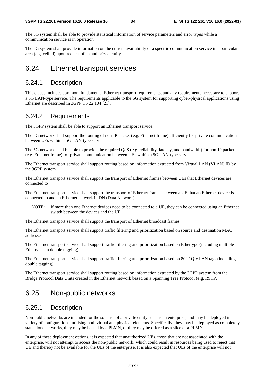The 5G system shall be able to provide statistical information of service parameters and error types while a communication service is in operation.

The 5G system shall provide information on the current availability of a specific communication service in a particular area (e.g. cell id) upon request of an authorized entity.

### 6.24 Ethernet transport services

### 6.24.1 Description

This clause includes common, fundamental Ethernet transport requirements, and any requirements necessary to support a 5G LAN-type service. The requirements applicable to the 5G system for supporting cyber-physical applications using Ethernet are described in 3GPP TS 22.104 [21].

### 6.24.2 Requirements

The 3GPP system shall be able to support an Ethernet transport service.

The 5G network shall support the routing of non-IP packet (e.g. Ethernet frame) efficiently for private communication between UEs within a 5G LAN-type service.

The 5G network shall be able to provide the required QoS (e.g. reliability, latency, and bandwidth) for non-IP packet (e.g. Ethernet frame) for private communication between UEs within a 5G LAN-type service.

The Ethernet transport service shall support routing based on information extracted from Virtual LAN (VLAN) ID by the 3GPP system.

The Ethernet transport service shall support the transport of Ethernet frames between UEs that Ethernet devices are connected to

The Ethernet transport service shall support the transport of Ethernet frames between a UE that an Ethernet device is connected to and an Ethernet network in DN (Data Network).

NOTE: If more than one Ethernet devices need to be connected to a UE, they can be connected using an Ethernet switch between the devices and the UE.

The Ethernet transport service shall support the transport of Ethernet broadcast frames.

The Ethernet transport service shall support traffic filtering and prioritization based on source and destination MAC addresses.

The Ethernet transport service shall support traffic filtering and prioritization based on Ethertype (including multiple Ethertypes in double tagging)

The Ethernet transport service shall support traffic filtering and prioritization based on 802.1Q VLAN tags (including double tagging).

The Ethernet transport service shall support routing based on information extracted by the 3GPP system from the Bridge Protocol Data Units created in the Ethernet network based on a Spanning Tree Protocol (e.g. RSTP.)

### 6.25 Non-public networks

### 6.25.1 Description

Non-public networks are intended for the sole use of a private entity such as an enterprise, and may be deployed in a variety of configurations, utilising both virtual and physical elements. Specifically, they may be deployed as completely standalone networks, they may be hosted by a PLMN, or they may be offered as a slice of a PLMN.

In any of these deployment options, it is expected that unauthorized UEs, those that are not associated with the enterprise, will not attempt to access the non-public network, which could result in resources being used to reject that UE and thereby not be available for the UEs of the enterprise. It is also expected that UEs of the enterprise will not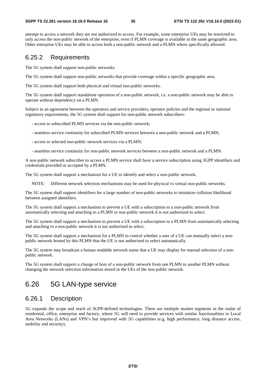attempt to access a network they are not authorized to access. For example, some enterprise UEs may be restricted to only access the non-public network of the enterprise, even if PLMN coverage is available in the same geographic area. Other enterprise UEs may be able to access both a non-public network and a PLMN where specifically allowed.

### 6.25.2 Requirements

The 5G system shall support non-public networks.

The 5G system shall support non-public networks that provide coverage within a specific geographic area.

The 5G system shall support both physical and virtual non-public networks.

The 5G system shall support standalone operation of a non-public network, i.e. a non-public network may be able to operate without dependency on a PLMN.

Subject to an agreement between the operators and service providers, operator policies and the regional or national regulatory requirements, the 5G system shall support for non-public network subscribers:

- access to subscribed PLMN services via the non-public network;

- seamless service continuity for subscribed PLMN services between a non-public network and a PLMN;
- access to selected non-public network services via a PLMN;
- seamless service continuity for non-public network services between a non-public network and a PLMN.

A non-public network subscriber to access a PLMN service shall have a service subscription using 3GPP identifiers and credentials provided or accepted by a PLMN.

The 5G system shall support a mechanism for a UE to identify and select a non-public network.

NOTE: Different network selection mechanisms may be used for physical vs virtual non-public networks.

The 5G system shall support identifiers for a large number of non-public networks to minimize collision likelihood between assigned identifiers.

The 5G system shall support a mechanism to prevent a UE with a subscription to a non-public network from automatically selecting and attaching to a PLMN or non-public network it is not authorized to select.

The 5G system shall support a mechanism to prevent a UE with a subscription to a PLMN from automatically selecting and attaching to a non-public network it is not authorized to select.

The 5G system shall support a mechanism for a PLMN to control whether a user of a UE can manually select a nonpublic network hosted by this PLMN that the UE is not authorized to select automatically.

The 5G system may broadcast a human readable network name that a UE may display for manual selection of a nonpublic network.

The 5G system shall support a change of host of a non-public network from one PLMN to another PLMN without changing the network selection information stored in the UEs of the non-public network.

### 6.26 5G LAN-type service

### 6.26.1 Description

5G expands the scope and reach of 3GPP-defined technologies. There are multiple market segments in the realm of residential, office, enterprise and factory, where 5G will need to provide services with similar functionalities to Local Area Networks (LANs) and VPN's but improved with 5G capabilities (e.g. high performance, long distance access, mobility and security).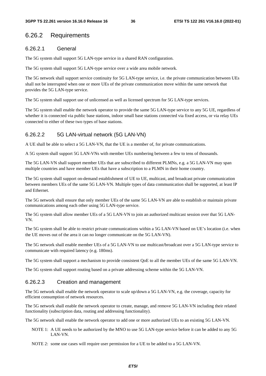### 6.26.2 Requirements

### 6.26.2.1 General

The 5G system shall support 5G LAN-type service in a shared RAN configuration.

The 5G system shall support 5G LAN-type service over a wide area mobile network.

The 5G network shall support service continuity for 5G LAN-type service, i.e. the private communication between UEs shall not be interrupted when one or more UEs of the private communication move within the same network that provides the 5G LAN-type service.

The 5G system shall support use of unlicensed as well as licensed spectrum for 5G LAN-type services.

The 5G system shall enable the network operator to provide the same 5G LAN-type service to any 5G UE, regardless of whether it is connected via public base stations, indoor small base stations connected via fixed access, or via relay UEs connected to either of these two types of base stations.

### 6.26.2.2 5G LAN-virtual network (5G LAN-VN)

A UE shall be able to select a 5G LAN-VN, that the UE is a member of, for private communications.

A 5G system shall support 5G LAN-VNs with member UEs numbering between a few to tens of thousands.

The 5G LAN-VN shall support member UEs that are subscribed to different PLMNs, e.g. a 5G LAN-VN may span multiple countries and have member UEs that have a subscription to a PLMN in their home country.

The 5G system shall support on-demand establishment of UE to UE, multicast, and broadcast private communication between members UEs of the same 5G LAN-VN. Multiple types of data communication shall be supported, at least IP and Ethernet.

The 5G network shall ensure that only member UEs of the same 5G LAN-VN are able to establish or maintain private communications among each other using 5G LAN-type service.

The 5G system shall allow member UEs of a 5G LAN-VN to join an authorized multicast session over that 5G LAN-VN.

The 5G system shall be able to restrict private communications within a 5G LAN-VN based on UE's location (i.e. when the UE moves out of the area it can no longer communicate on the 5G LAN-VN).

The 5G network shall enable member UEs of a 5G LAN-VN to use multicast/broadcast over a 5G LAN-type service to communicate with required latency (e.g. 180ms).

The 5G system shall support a mechanism to provide consistent QoE to all the member UEs of the same 5G LAN-VN.

The 5G system shall support routing based on a private addressing scheme within the 5G LAN-VN.

### 6.26.2.3 Creation and management

The 5G network shall enable the network operator to scale up/down a 5G LAN-VN, e.g. the coverage, capacity for efficient consumption of network resources.

The 5G network shall enable the network operator to create, manage, and remove 5G LAN-VN including their related functionality (subscription data, routing and addressing functionality).

The 5G network shall enable the network operator to add one or more authorized UEs to an existing 5G LAN-VN.

NOTE 1: A UE needs to be authorized by the MNO to use 5G LAN-type service before it can be added to any 5G LAN-VN.

NOTE 2: some use cases will require user permission for a UE to be added to a 5G LAN-VN.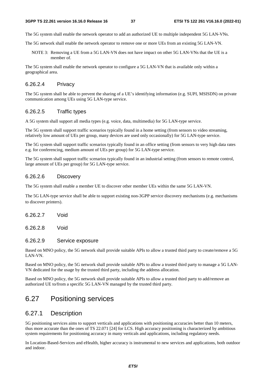The 5G system shall enable the network operator to add an authorized UE to multiple independent 5G LAN-VNs.

The 5G network shall enable the network operator to remove one or more UEs from an existing 5G LAN-VN.

NOTE 3: Removing a UE from a 5G LAN-VN does not have impact on other 5G LAN-VNs that the UE is a member of.

The 5G system shall enable the network operator to configure a 5G LAN-VN that is available only within a geographical area.

### 6.26.2.4 Privacy

The 5G system shall be able to prevent the sharing of a UE's identifying information (e.g. SUPI, MSISDN) on private communication among UEs using 5G LAN-type service.

#### 6.26.2.5 Traffic types

A 5G system shall support all media types (e.g. voice, data, multimedia) for 5G LAN-type service.

The 5G system shall support traffic scenarios typically found in a home setting (from sensors to video streaming, relatively low amount of UEs per group, many devices are used only occasionally) for 5G LAN-type service.

The 5G system shall support traffic scenarios typically found in an office setting (from sensors to very high data rates e.g. for conferencing, medium amount of UEs per group) for 5G LAN-type service.

The 5G system shall support traffic scenarios typically found in an industrial setting (from sensors to remote control, large amount of UEs per group) for 5G LAN-type service.

#### 6.26.2.6 Discovery

The 5G system shall enable a member UE to discover other member UEs within the same 5G LAN-VN.

The 5G LAN-type service shall be able to support existing non-3GPP service discovery mechanisms (e.g. mechanisms to discover printers).

6.26.2.7 Void

6.26.2.8 Void

#### 6.26.2.9 Service exposure

Based on MNO policy, the 5G network shall provide suitable APIs to allow a trusted third party to create/remove a 5G LAN-VN.

Based on MNO policy, the 5G network shall provide suitable APIs to allow a trusted third party to manage a 5G LAN-VN dedicated for the usage by the trusted third party, including the address allocation.

Based on MNO policy, the 5G network shall provide suitable APIs to allow a trusted third party to add/remove an authorized UE to/from a specific 5G LAN-VN managed by the trusted third party.

# 6.27 Positioning services

### 6.27.1 Description

5G positioning services aims to support verticals and applications with positioning accuracies better than 10 meters, thus more accurate than the ones of TS 22.071 [24] for LCS. High accuracy positioning is characterized by ambitious system requirements for positioning accuracy in many verticals and applications, including regulatory needs.

In Location-Based-Services and eHealth, higher accuracy is instrumental to new services and applications, both outdoor and indoor.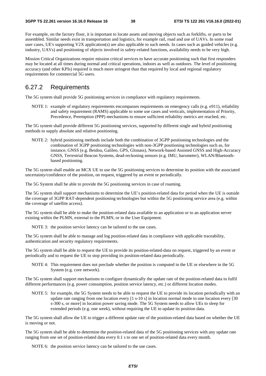For example, on the factory floor, it is important to locate assets and moving objects such as forklifts, or parts to be assembled. Similar needs exist in transportation and logistics, for example rail, road and use of UAVs. In some road user cases, UE's supporting V2X application(s) are also applicable to such needs. In cases such as guided vehicles (e.g. industry, UAVs) and positioning of objects involved in safety-related functions, availability needs to be very high.

Mission Critical Organizations require mission critical services to have accurate positioning such that first responders may be located at all times during normal and critical operations, indoors as well as outdoors. The level of positioning accuracy (and other KPIs) required is much more stringent than that required by local and regional regulatory requirements for commercial 5G users.

### 6.27.2 Requirements

The 5G system shall provide 5G positioning services in compliance with regulatory requirements.

NOTE 1: example of regulatory requirements encompasses requirements on emergency calls (e.g. e911), reliability and safety requirement (RAMS) applicable to some use cases and verticals, implementation of Priority, Precedence, Preemption (PPP) mechanisms to ensure sufficient reliability metrics are reached, etc.

The 5G system shall provide different 5G positioning services, supported by different single and hybrid positioning methods to supply absolute and relative positioning.

NOTE 2: hybrid positioning methods include both the combination of 3GPP positioning technologies and the combination of 3GPP positioning technologies with non-3GPP positioning technologies such as, for instance, GNSS (e.g. Beidou, Galileo, GPS, Glonass), Network-based Assisted GNSS and High-Accuracy GNSS, Terrestrial Beacon Systems, dead-reckoning sensors (e.g. IMU, barometer), WLAN/Bluetoothbased positioning.

The 5G system shall enable an MCX UE to use the 5G positioning services to determine its position with the associated uncertainty/confidence of the position, on request, triggered by an event or periodically.

The 5G System shall be able to provide the 5G positioning services in case of roaming.

The 5G system shall support mechanisms to determine the UE's position-related data for period when the UE is outside the coverage of 3GPP RAT-dependent positioning technologies but within the 5G positioning service area (e.g. within the coverage of satellite access).

The 5G system shall be able to make the position-related data available to an application or to an application server existing within the PLMN, external to the PLMN, or in the User Equipment.

NOTE 3: the position service latency can be tailored to the use cases.

The 5G system shall be able to manage and log position-related data in compliance with applicable traceability, authentication and security regulatory requirements.

The 5G system shall be able to request the UE to provide its position-related-data on request, triggered by an event or periodically and to request the UE to stop providing its position-related data periodically.

NOTE 4: This requirement does not preclude whether the position is computed in the UE or elsewhere in the 5G System (e.g. core network).

The 5G system shall support mechanisms to configure dynamically the update rate of the position-related data to fulfil different performances (e.g. power consumption, position service latency, etc.) or different location modes.

NOTE 5: for example, the 5G System needs to be able to request the UE to provide its location periodically with an update rate ranging from one location every [1 s-10 s] in location normal mode to one location every [30 s-300 s, or more] in location power saving mode. The 5G System needs to allow UEs to sleep for extended periods (e.g. one week), without requiring the UE to update its position data.

The 5G system shall allow the UE to trigger a different update rate of the position-related data based on whether the UE is moving or not.

The 5G system shall be able to determine the position-related data of the 5G positioning services with any update rate ranging from one set of position-related data every 0.1 s to one set of position-related data every month.

NOTE 6: the position service latency can be tailored to the use cases.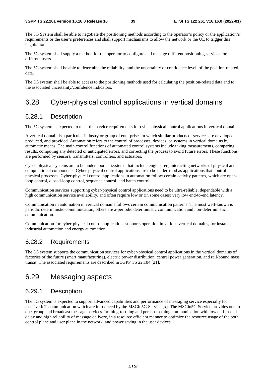The 5G System shall be able to negotiate the positioning methods according to the operator's policy or the application's requirements or the user's preferences and shall support mechanisms to allow the network or the UE to trigger this negotiation.

The 5G system shall supply a method for the operator to configure and manage different positioning services for different users.

The 5G system shall be able to determine the reliability, and the uncertainty or confidence level, of the position-related data.

The 5G system shall be able to access to the positioning methods used for calculating the position-related data and to the associated uncertainty/confidence indicators.

# 6.28 Cyber-physical control applications in vertical domains

### 6.28.1 Description

The 5G system is expected to meet the service requirements for cyber-physical control applications in vertical domains.

A vertical domain is a particular industry or group of enterprises in which similar products or services are developed, produced, and provided. Automation refers to the control of processes, devices, or systems in vertical domains by automatic means. The main control functions of automated control systems include taking measurements, comparing results, computing any detected or anticipated errors, and correcting the process to avoid future errors. These functions are performed by sensors, transmitters, controllers, and actuators.

Cyber-physical systems are to be understood as systems that include engineered, interacting networks of physical and computational components. Cyber-physical control applications are to be understood as applications that control physical processes. Cyber-physical control applications in automation follow certain activity patterns, which are openloop control, closed-loop control, sequence control, and batch control.

Communication services supporting cyber-physical control applications need to be ultra-reliable, dependable with a high communication service availability, and often require low or (in some cases) very low end-to-end latency.

Communication in automation in vertical domains follows certain communication patterns. The most well-known is periodic deterministic communication, others are a-periodic deterministic communication and non-deterministic communication.

Communication for cyber-physical control applications supports operation in various vertical domains, for instance industrial automation and energy automation.

### 6.28.2 Requirements

The 5G system supports the communication services for cyber-physical control applications in the vertical domains of factories of the future (smart manufacturing), electric power distribution, central power generation, and rail-bound mass transit. The associated requirements are described in 3GPP TS 22.104 [21].

# 6.29 Messaging aspects

### 6.29.1 Description

The 5G system is expected to support advanced capabilities and performance of messaging service especially for massive IoT communication which are introduced by the MSGin5G Service [x]. The MSGin5G Service provides one to one, group and broadcast message services for thing-to-thing and person-to-thing communication with low end-to-end delay and high reliability of message delivery, in a resource efficient manner to optimize the resource usage of the both control plane and user plane in the network, and power saving in the user devices.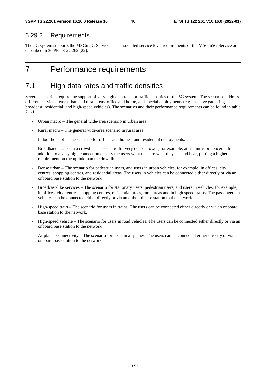### 6.29.2 Requirements

The 5G system supports the MSGin5G Service. The associated service level requirements of the MSGin5G Service are described in 3GPP TS 22.262 [22].

# 7 Performance requirements

# 7.1 High data rates and traffic densities

Several scenarios require the support of very high data rates or traffic densities of the 5G system. The scenarios address different service areas: urban and rural areas, office and home, and special deployments (e.g. massive gatherings, broadcast, residential, and high-speed vehicles). The scenarios and their performance requirements can be found in table 7.1-1.

- Urban macro The general wide-area scenario in urban area
- Rural macro The general wide-area scenario in rural area
- Indoor hotspot The scenario for offices and homes, and residential deployments.
- Broadband access in a crowd The scenario for very dense crowds, for example, at stadiums or concerts. In addition to a very high connection density the users want to share what they see and hear, putting a higher requirement on the uplink than the downlink.
- Dense urban The scenario for pedestrian users, and users in urban vehicles, for example, in offices, city centres, shopping centres, and residential areas. The users in vehicles can be connected either directly or via an onboard base station to the network.
- Broadcast-like services The scenario for stationary users, pedestrian users, and users in vehicles, for example, in offices, city centres, shopping centres, residential areas, rural areas and in high speed trains. The passengers in vehicles can be connected either directly or via an onboard base station to the network.
- High-speed train The scenario for users in trains. The users can be connected either directly or via an onboard base station to the network.
- High-speed vehicle The scenario for users in road vehicles. The users can be connected either directly or via an onboard base station to the network.
- Airplanes connectivity The scenario for users in airplanes. The users can be connected either directly or via an onboard base station to the network.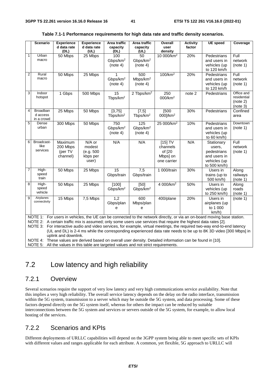|                         | <b>Scenario</b>           | <b>Experience</b><br>d data rate | <b>Experience</b><br>d data rate | Area traffic<br>capacity | Area traffic<br>capacity | Overall<br>user                                                                                                 | <b>Activity</b><br>factor | <b>UE</b> speed                                                                                                          | Coverage                |
|-------------------------|---------------------------|----------------------------------|----------------------------------|--------------------------|--------------------------|-----------------------------------------------------------------------------------------------------------------|---------------------------|--------------------------------------------------------------------------------------------------------------------------|-------------------------|
|                         |                           | (DL)                             | (UL)                             | (DL)                     | (UL)                     | density                                                                                                         |                           |                                                                                                                          |                         |
| $\mathbf{1}$            | Urban                     | 50 Mbps                          | 25 Mbps                          | 100                      | 50                       | 10 000/km <sup>2</sup>                                                                                          | 20%                       | Pedestrians                                                                                                              | Full                    |
|                         | macro                     |                                  |                                  | Gbps/km <sup>2</sup>     | Gbps/km <sup>2</sup>     |                                                                                                                 |                           | and users in                                                                                                             | network                 |
|                         |                           |                                  |                                  | (note 4)                 | (note 4)                 |                                                                                                                 |                           | vehicles (up                                                                                                             | (note 1)                |
|                         |                           |                                  |                                  |                          |                          |                                                                                                                 |                           | to 120 km/h                                                                                                              |                         |
| $\overline{\mathbf{c}}$ | Rural                     | 50 Mbps                          | 25 Mbps                          |                          | 500                      | 100/km <sup>2</sup>                                                                                             | 20%                       | Pedestrians                                                                                                              | Full                    |
|                         | macro                     |                                  |                                  | Gbps/km <sup>2</sup>     | Mbps/km <sup>2</sup>     |                                                                                                                 |                           | and users in                                                                                                             | network                 |
|                         |                           |                                  |                                  | (note 4)                 | (note 4)                 |                                                                                                                 |                           | vehicles (up                                                                                                             | (note 1)                |
|                         |                           |                                  |                                  |                          |                          |                                                                                                                 |                           | to 120 km/h                                                                                                              |                         |
| 3                       | Indoor                    | 1 Gbps                           | 500 Mbps                         | 15                       | 2 Tbps/km <sup>2</sup>   | $\overline{250}$                                                                                                | note <sub>2</sub>         | Pedestrians                                                                                                              | Office and              |
|                         | hotspot                   |                                  |                                  | Tbps/km <sup>2</sup>     |                          | 000/km <sup>2</sup>                                                                                             |                           |                                                                                                                          | residential<br>(note 2) |
|                         |                           |                                  |                                  |                          |                          |                                                                                                                 |                           |                                                                                                                          | (note 3)                |
| 4                       | Broadban                  | 25 Mbps                          | 50 Mbps                          | [3, 75]                  | $[7,5]$                  | [500]                                                                                                           | 30%                       | Pedestrians                                                                                                              | Confined                |
|                         | d access                  |                                  |                                  | Tbps/km <sup>2</sup>     | Tbps/km $2$              | 000]/km <sup>2</sup>                                                                                            |                           |                                                                                                                          | area                    |
|                         | in a crowd                |                                  |                                  |                          |                          |                                                                                                                 |                           |                                                                                                                          |                         |
| 5                       | Dense                     | 300 Mbps                         | 50 Mbps                          | 750                      | 125                      | 25 000/km <sup>2</sup>                                                                                          | 10%                       | Pedestrians                                                                                                              | Downtown                |
|                         | urban                     |                                  |                                  | Gbps/km <sup>2</sup>     | Gbps/km <sup>2</sup>     |                                                                                                                 |                           | and users in                                                                                                             | (note 1)                |
|                         |                           |                                  |                                  | (note 4)                 | (note 4)                 |                                                                                                                 |                           | vehicles (up                                                                                                             |                         |
|                         |                           |                                  |                                  |                          |                          |                                                                                                                 |                           | to 60 km/h)                                                                                                              |                         |
| 6                       | Broadcast-                | Maximum                          | N/A or                           | N/A                      | N/A                      | $[15]$ TV                                                                                                       | N/A                       | Stationary                                                                                                               | Full                    |
|                         | like                      | 200 Mbps                         | modest                           |                          |                          | channels                                                                                                        |                           | users,                                                                                                                   | network                 |
|                         | services                  | (per TV                          | (e.g. 500)                       |                          |                          | of [20                                                                                                          |                           | pedestrians                                                                                                              | (note 1)                |
|                         |                           | channel)                         | kbps per                         |                          |                          | Mbps] on                                                                                                        |                           | and users in                                                                                                             |                         |
|                         |                           |                                  | user)                            |                          |                          | one carrier                                                                                                     |                           | vehicles (up                                                                                                             |                         |
|                         |                           |                                  |                                  |                          |                          |                                                                                                                 |                           | to 500 km/h)                                                                                                             |                         |
| $\overline{7}$          | High-                     | 50 Mbps                          | 25 Mbps                          | $\overline{15}$          | 7,5                      | 1 000/train                                                                                                     | 30%                       | Users in                                                                                                                 | Along                   |
|                         | speed<br>train            |                                  |                                  | Gbps/train               | Gbps/train               |                                                                                                                 |                           | trains (up to                                                                                                            | railways                |
|                         |                           |                                  |                                  |                          |                          |                                                                                                                 |                           | 500 km/h)                                                                                                                | (note 1)                |
| 8                       | High-                     | 50 Mbps                          | 25 Mbps                          | [100]                    | [50]                     | 4 000/km <sup>2</sup>                                                                                           | 50%                       | Users in                                                                                                                 | Along                   |
|                         | speed<br>vehicle          |                                  |                                  | Gbps/km <sup>2</sup>     | Gbps/km <sup>2</sup>     |                                                                                                                 |                           | vehicles (up                                                                                                             | roads                   |
|                         |                           |                                  |                                  |                          |                          |                                                                                                                 |                           | to 250 km/h)                                                                                                             | (note 1)                |
| 9                       | Airplanes<br>connectivity | 15 Mbps                          | 7,5 Mbps                         | 1,2                      | 600                      | 400/plane                                                                                                       | 20%                       | Users in                                                                                                                 | (note 1)                |
|                         |                           |                                  |                                  | Gbps/plan                | Mbps/plan                |                                                                                                                 |                           | airplanes (up                                                                                                            |                         |
|                         |                           |                                  |                                  | е                        | е                        |                                                                                                                 |                           | to 1 000                                                                                                                 |                         |
|                         |                           |                                  |                                  |                          |                          |                                                                                                                 |                           | km/h)                                                                                                                    |                         |
|                         |                           |                                  |                                  |                          |                          | NOTE 2: A certain traffic mix is assumed; only some users use services that require the highest data rates [2]. |                           | NOTE 1: For users in vehicles, the UE can be connected to the network directly, or via an on-board moving base station.  |                         |
|                         |                           |                                  |                                  |                          |                          |                                                                                                                 |                           | NOTE 3: For interactive audio and video services, for example, virtual meetings, the required two-way end-to-end latency |                         |
|                         |                           |                                  |                                  |                          |                          |                                                                                                                 |                           | (UL and DL) is 2-4 ms while the corresponding experienced data rate needs to be up to 8K 3D video [300 Mbps] in          |                         |
|                         |                           | uplink and downlink.             |                                  |                          |                          |                                                                                                                 |                           |                                                                                                                          |                         |
|                         |                           |                                  |                                  |                          |                          | NOTE 4: These values are derived based on overall user density. Detailed information can be found in [10].      |                           |                                                                                                                          |                         |
|                         |                           |                                  |                                  |                          |                          |                                                                                                                 |                           |                                                                                                                          |                         |

| Table 7.1-1 Performance requirements for high data rate and traffic density scenarios. |  |  |  |  |
|----------------------------------------------------------------------------------------|--|--|--|--|
|----------------------------------------------------------------------------------------|--|--|--|--|

NOTE 5: All the values in this table are targeted values and not strict requirements.

# 7.2 Low latency and high reliability

### 7.2.1 Overview

Several scenarios require the support of very low latency and very high communications service availability. Note that this implies a very high reliability. The overall service latency depends on the delay on the radio interface, transmission within the 5G system, transmission to a server which may be outside the 5G system, and data processing. Some of these factors depend directly on the 5G system itself, whereas for others the impact can be reduced by suitable interconnections between the 5G system and services or servers outside of the 5G system, for example, to allow local hosting of the services.

## 7.2.2 Scenarios and KPIs

Different deployments of URLLC capabilities will depend on the 3GPP system being able to meet specific sets of KPIs with different values and ranges applicable for each attribute. A common, yet flexible, 5G approach to URLLC will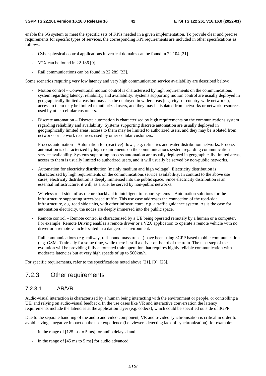enable the 5G system to meet the specific sets of KPIs needed in a given implementation. To provide clear and precise requirements for specific types of services, the corresponding KPI requirements are included in other specifications as follows:

- Cyber-physical control applications in vertical domains can be found in 22.104 [21].
- V2X can be found in 22.186 [9].
- Rail communications can be found in 22.289 [23].

Some scenarios requiring very low latency and very high communication service availability are described below:

- Motion control Conventional motion control is characterised by high requirements on the communications system regarding latency, reliability, and availability. Systems supporting motion control are usually deployed in geographically limited areas but may also be deployed in wider areas (e.g. city- or country-wide networks), access to them may be limited to authorized users, and they may be isolated from networks or network resources used by other cellular customers.
- Discrete automation Discrete automation is characterised by high requirements on the communications system regarding reliability and availability. Systems supporting discrete automation are usually deployed in geographically limited areas, access to them may be limited to authorized users, and they may be isolated from networks or network resources used by other cellular customers.
- Process automation Automation for (reactive) flows, e.g. refineries and water distribution networks. Process automation is characterized by high requirements on the communications system regarding communication service availability. Systems supporting process automation are usually deployed in geographically limited areas, access to them is usually limited to authorized users, and it will usually be served by non-public networks.
- Automation for electricity distribution (mainly medium and high voltage). Electricity distribution is characterized by high requirements on the communications service availability. In contrast to the above use cases, electricity distribution is deeply immersed into the public space. Since electricity distribution is an essential infrastructure, it will, as a rule, be served by non-public networks.
- Wireless road-side infrastructure backhaul in intelligent transport systems Automation solutions for the infrastructure supporting street-based traffic. This use case addresses the connection of the road-side infrastructure, e.g. road side units, with other infrastructure, e.g. a traffic guidance system. As is the case for automation electricity, the nodes are deeply immersed into the public space.
- Remote control Remote control is characterised by a UE being operated remotely by a human or a computer. For example, Remote Driving enables a remote driver or a V2X application to operate a remote vehicle with no driver or a remote vehicle located in a dangerous environment.
- Rail communications (e.g. railway, rail-bound mass transit) have been using 3GPP based mobile communication (e.g. GSM-R) already for some time, while there is still a driver on-board of the train. The next step of the evolution will be providing fully automated train operation that requires highly reliable communication with moderate latencies but at very high speeds of up to 500km/h.

For specific requirements, refer to the specifications noted above [21], [9], [23].

### 7.2.3 Other requirements

### 7.2.3.1 AR/VR

Audio-visual interaction is characterised by a human being interacting with the environment or people, or controlling a UE, and relying on audio-visual feedback. In the use cases like VR and interactive conversation the latency requirements include the latencies at the application layer (e.g. codecs), which could be specified outside of 3GPP.

Due to the separate handling of the audio and video component, VR audio-video synchronisation is critical in order to avoid having a negative impact on the user experience (i.e. viewers detecting lack of synchronization), for example:

- in the range of [125 ms to 5 ms] for audio delayed and
- in the range of [45 ms to 5 ms] for audio advanced.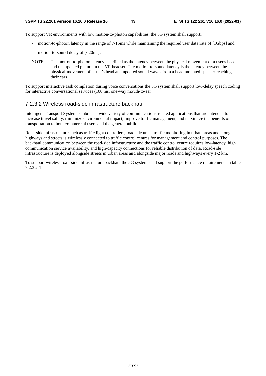To support VR environments with low motion-to-photon capabilities, the 5G system shall support:

- motion-to-photon latency in the range of 7-15ms while maintaining the required user data rate of [1Gbps] and
- motion-to-sound delay of  $\left[ < 20 \text{ms} \right]$ .
- NOTE: The motion-to-photon latency is defined as the latency between the physical movement of a user's head and the updated picture in the VR headset. The motion-to-sound latency is the latency between the physical movement of a user's head and updated sound waves from a head mounted speaker reaching their ears.

To support interactive task completion during voice conversations the 5G system shall support low-delay speech coding for interactive conversational services (100 ms, one-way mouth-to-ear).

### 7.2.3.2 Wireless road-side infrastructure backhaul

Intelligent Transport Systems embrace a wide variety of communications-related applications that are intended to increase travel safety, minimize environmental impact, improve traffic management, and maximize the benefits of transportation to both commercial users and the general public.

Road-side infrastructure such as traffic light controllers, roadside units, traffic monitoring in urban areas and along highways and streets is wirelessly connected to traffic control centres for management and control purposes. The backhaul communication between the road-side infrastructure and the traffic control centre requires low-latency, high communication service availability, and high-capacity connections for reliable distribution of data. Road-side infrastructure is deployed alongside streets in urban areas and alongside major roads and highways every 1-2 km.

To support wireless road-side infrastructure backhaul the 5G system shall support the performance requirements in table 7.2.3.2-1.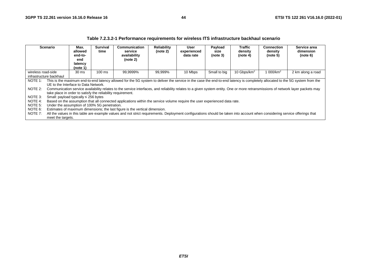|                                                                                                                                                                                  | <b>Scenario</b>                                                                                                                                                                                                                   | Max.<br>allowed<br>end-to-<br>end<br>latency<br>(note 1)                                            | <b>Survival</b><br>Communication<br>service<br>time<br>availability<br>(note 2) |                                                                                                                                                                                                                                                                                                                                                                  | <b>Reliability</b><br>(note 2) | User<br>experienced<br>data rate | Payload<br>size<br>(note 3) | <b>Traffic</b><br>density<br>(note 4) | Connection<br>density<br>(note 5) | Service area<br>dimension<br>(note 6) |
|----------------------------------------------------------------------------------------------------------------------------------------------------------------------------------|-----------------------------------------------------------------------------------------------------------------------------------------------------------------------------------------------------------------------------------|-----------------------------------------------------------------------------------------------------|---------------------------------------------------------------------------------|------------------------------------------------------------------------------------------------------------------------------------------------------------------------------------------------------------------------------------------------------------------------------------------------------------------------------------------------------------------|--------------------------------|----------------------------------|-----------------------------|---------------------------------------|-----------------------------------|---------------------------------------|
| Small to big<br>10 Gbps/km <sup>2</sup><br>99,9999%<br>10 Mbps<br>1 000/km <sup>2</sup><br>$100 \text{ ms}$<br>99,999%<br>wireless road-side<br>30 ms<br>infrastructure backhaul |                                                                                                                                                                                                                                   |                                                                                                     |                                                                                 |                                                                                                                                                                                                                                                                                                                                                                  |                                |                                  |                             | 2 km along a road                     |                                   |                                       |
| NOTE 1:<br>NOTE 2:                                                                                                                                                               |                                                                                                                                                                                                                                   | UE to the Interface to Data Network.<br>take place in order to satisfy the reliability requirement. |                                                                                 | This is the maximum end-to-end latency allowed for the 5G system to deliver the service in the case the end-to-end latency is completely allocated to the 5G system from the<br>Communication service availability relates to the service interfaces, and reliability relates to a given system entity. One or more retransmissions of network layer packets may |                                |                                  |                             |                                       |                                   |                                       |
| NOTE 4:<br>NOTE 5:                                                                                                                                                               | NOTE 3:<br>Small: payload typically $\leq$ 256 bytes<br>Based on the assumption that all connected applications within the service volume require the user experienced data rate.<br>Under the assumption of 100% 5G penetration. |                                                                                                     |                                                                                 |                                                                                                                                                                                                                                                                                                                                                                  |                                |                                  |                             |                                       |                                   |                                       |
| NOTE 6:<br>NOTE 7:                                                                                                                                                               | meet the targets.                                                                                                                                                                                                                 |                                                                                                     |                                                                                 | Estimates of maximum dimensions; the last figure is the vertical dimension.<br>All the values in this table are example values and not strict requirements. Deployment configurations should be taken into account when considering service offerings that                                                                                                       |                                |                                  |                             |                                       |                                   |                                       |

#### **Table 7.2.3.2-1 Performance requirements for wireless ITS infrastructure backhaul scenario**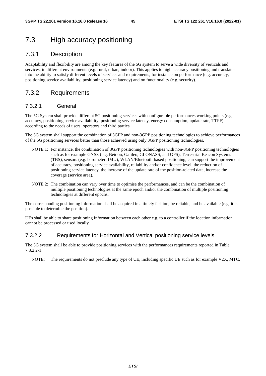# 7.3 High accuracy positioning

### 7.3.1 Description

Adaptability and flexibility are among the key features of the 5G system to serve a wide diversity of verticals and services, in different environments (e.g. rural, urban, indoor). This applies to high accuracy positioning and translates into the ability to satisfy different levels of services and requirements, for instance on performance (e.g. accuracy, positioning service availability, positioning service latency) and on functionality (e.g. security).

### 7.3.2 Requirements

### 7.3.2.1 General

The 5G System shall provide different 5G positioning services with configurable performances working points (e.g. accuracy, positioning service availability, positioning service latency, energy consumption, update rate, TTFF) according to the needs of users, operators and third parties.

The 5G system shall support the combination of 3GPP and non-3GPP positioning technologies to achieve performances of the 5G positioning services better than those achieved using only 3GPP positioning technologies.

- NOTE 1: For instance, the combination of 3GPP positioning technologies with non-3GPP positioning technologies such as for example GNSS (e.g. Beidou, Galileo, GLONASS, and GPS), Terrestrial Beacon Systems (TBS), sensors (e.g. barometer, IMU), WLAN/Bluetooth-based positioning, can support the improvement of accuracy, positioning service availability, reliability and/or confidence level, the reduction of positioning service latency, the increase of the update rate of the position-related data, increase the coverage (service area).
- NOTE 2: The combination can vary over time to optimise the performances, and can be the combination of multiple positioning technologies at the same epoch and/or the combination of multiple positioning technologies at different epochs.

The corresponding positioning information shall be acquired in a timely fashion, be reliable, and be available (e.g. it is possible to determine the position).

UEs shall be able to share positioning information between each other e.g. to a controller if the location information cannot be processed or used locally.

### 7.3.2.2 Requirements for Horizontal and Vertical positioning service levels

The 5G system shall be able to provide positioning services with the performances requirements reported in Table 7.3.2.2-1.

NOTE: The requirements do not preclude any type of UE, including specific UE such as for example V2X, MTC.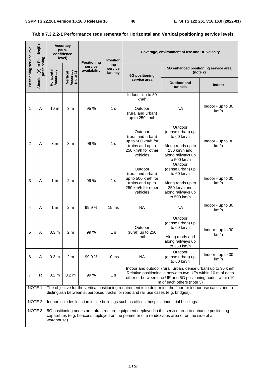L,

| Positioning service level                                                                                                                                                                                                                                                                                       | Relative(R)                                                                                                                                                                                                                                                                                                                         |                        | <b>Accuracy</b><br>(95%<br>confidence<br>level) |                                               | <b>Position</b>           |                                                                                                          | Coverage, environment of use and UE velocity                                                                       |                           |  |  |  |
|-----------------------------------------------------------------------------------------------------------------------------------------------------------------------------------------------------------------------------------------------------------------------------------------------------------------|-------------------------------------------------------------------------------------------------------------------------------------------------------------------------------------------------------------------------------------------------------------------------------------------------------------------------------------|------------------------|-------------------------------------------------|-----------------------------------------------|---------------------------|----------------------------------------------------------------------------------------------------------|--------------------------------------------------------------------------------------------------------------------|---------------------------|--|--|--|
|                                                                                                                                                                                                                                                                                                                 | Absolute(A) or Rela<br>positioning                                                                                                                                                                                                                                                                                                  |                        |                                                 | <b>Positioning</b><br>service<br>availability | ing<br>service<br>latency | 5G positioning                                                                                           | 5G enhanced positioning service area<br>(note 2)                                                                   |                           |  |  |  |
|                                                                                                                                                                                                                                                                                                                 |                                                                                                                                                                                                                                                                                                                                     | Horizontal<br>Accuracy | Vertical<br>Accuracy<br>(note 1)                |                                               |                           | service area                                                                                             | <b>Outdoor and</b><br>tunnels                                                                                      | <b>Indoor</b>             |  |  |  |
| 1                                                                                                                                                                                                                                                                                                               | A                                                                                                                                                                                                                                                                                                                                   | 10 <sub>m</sub>        | 3 <sub>m</sub>                                  | 95 %                                          | 1 s                       | Indoor - up to 30<br>km/h<br>Outdoor<br>(rural and urban)<br>up to 250 km/h                              | <b>NA</b>                                                                                                          | Indoor - up to 30<br>km/h |  |  |  |
| $\overline{c}$                                                                                                                                                                                                                                                                                                  | A                                                                                                                                                                                                                                                                                                                                   | 3 <sub>m</sub>         | 3 <sub>m</sub>                                  | 99 %                                          | 1 <sub>s</sub>            | Outdoor<br>(rural and urban)<br>up to 500 km/h for<br>trains and up to<br>250 km/h for other<br>vehicles | Outdoor<br>(dense urban) up<br>to 60 km/h<br>Along roads up to<br>250 km/h and<br>along railways up<br>to 500 km/h | Indoor - up to 30<br>km/h |  |  |  |
| 3                                                                                                                                                                                                                                                                                                               | A                                                                                                                                                                                                                                                                                                                                   | 1 <sub>m</sub>         | 2 <sub>m</sub>                                  | 99 %                                          | 1 <sub>s</sub>            | Outdoor<br>(rural and urban)<br>up to 500 km/h for<br>trains and up to<br>250 km/h for other<br>vehicles | Outdoor<br>(dense urban) up<br>to 60 km/h<br>Along roads up to<br>250 km/h and<br>along railways up<br>to 500 km/h | Indoor - up to 30<br>km/h |  |  |  |
| 4                                                                                                                                                                                                                                                                                                               | A                                                                                                                                                                                                                                                                                                                                   | 1 m                    | 2 m                                             | 99.9%                                         | $15 \text{ ms}$           | <b>NA</b>                                                                                                | <b>NA</b>                                                                                                          | Indoor - up to 30<br>km/h |  |  |  |
| 5                                                                                                                                                                                                                                                                                                               | А                                                                                                                                                                                                                                                                                                                                   | 0.3 <sub>m</sub>       | 2 m                                             | 99 %                                          | 1 s                       | Outdoor<br>(rural) up to 250<br>km/h                                                                     | Outdoor<br>(dense urban) up<br>to 60 km/h<br>Along roads and<br>along railways up<br>to 250 km/h                   | Indoor - up to 30<br>km/h |  |  |  |
| 6                                                                                                                                                                                                                                                                                                               | A                                                                                                                                                                                                                                                                                                                                   | 0.3 <sub>m</sub>       | 2 <sub>m</sub>                                  | 99.9%                                         | 10 <sub>ms</sub>          | <b>NA</b>                                                                                                | Outdoor<br>(dense urban) up<br>to 60 km/h                                                                          | Indoor - up to 30<br>km/h |  |  |  |
| Indoor and outdoor (rural, urban, dense urban) up to 30 km/h<br>Relative positioning is between two UEs within 10 m of each<br>$\overline{7}$<br>R<br>0.2 <sub>m</sub><br>0.2 <sub>m</sub><br>99 %<br>1 <sub>s</sub><br>other or between one UE and 5G positioning nodes within 10<br>m of each others (note 3) |                                                                                                                                                                                                                                                                                                                                     |                        |                                                 |                                               |                           |                                                                                                          |                                                                                                                    |                           |  |  |  |
|                                                                                                                                                                                                                                                                                                                 | NOTE 1: The objective for the vertical positioning requirement is to determine the floor for indoor use cases and to<br>distinguish between superposed tracks for road and rail use cases (e.g. bridges).                                                                                                                           |                        |                                                 |                                               |                           |                                                                                                          |                                                                                                                    |                           |  |  |  |
|                                                                                                                                                                                                                                                                                                                 | NOTE 2: Indoor includes location inside buildings such as offices, hospital, industrial buildings.<br>NOTE 3: 5G positioning nodes are infrastructure equipment deployed in the service area to enhance positioning<br>capabilities (e.g. beacons deployed on the perimeter of a rendezvous area or on the side of a<br>warehouse). |                        |                                                 |                                               |                           |                                                                                                          |                                                                                                                    |                           |  |  |  |

### **Table 7.3.2.2-1 Performance requirements for Horizontal and Vertical positioning service levels**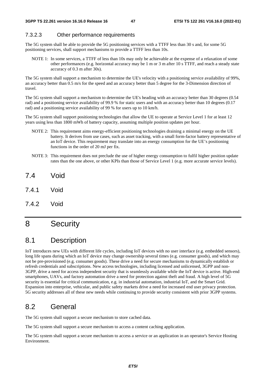### 7.3.2.3 Other performance requirements

The 5G system shall be able to provide the 5G positioning services with a TTFF less than 30 s and, for some 5G positioning services, shall support mechanisms to provide a TTFF less than 10s.

NOTE 1: In some services, a TTFF of less than 10s may only be achievable at the expense of a relaxation of some other performances (e.g. horizontal accuracy may be 1 m or 3 m after 10 s TTFF, and reach a steady state accuracy of 0.3 m after 30s).

The 5G system shall support a mechanism to determine the UE's velocity with a positioning service availability of 99%, an accuracy better than 0.5 m/s for the speed and an accuracy better than 5 degree for the 3-Dimension direction of travel.

The 5G system shall support a mechanism to determine the UE's heading with an accuracy better than 30 degrees (0.54 rad) and a positioning service availability of 99.9 % for static users and with an accuracy better than 10 degrees (0.17 rad) and a positioning service availability of 99 % for users up to 10 km/h.

The 5G system shall support positioning technologies that allow the UE to operate at Service Level 1 for at least 12 years using less than 1800 mWh of battery capacity, assuming multiple position updates per hour.

- NOTE 2: This requirement aims energy-efficient positioning technologies draining a minimal energy on the UE battery. It derives from use cases, such as asset tracking, with a small form-factor battery representative of an IoT device. This requirement may translate into an energy consumption for the UE's positioning functions in the order of 20 mJ per fix.
- NOTE 3: This requirement does not preclude the use of higher energy consumption to fulfil higher position update rates than the one above, or other KPIs than those of Service Level 1 (e.g. more accurate service levels).
- 7.4 Void
- 7.4.1 Void
- 7.4.2 Void

# 8 Security

# 8.1 Description

IoT introduces new UEs with different life cycles, including IoT devices with no user interface (e.g. embedded sensors), long life spans during which an IoT device may change ownership several times (e.g. consumer goods), and which may not be pre-provisioned (e.g. consumer goods). These drive a need for secure mechanisms to dynamically establish or refresh credentials and subscriptions. New access technologies, including licensed and unlicensed, 3GPP and non-3GPP, drive a need for access independent security that is seamlessly available while the IoT device is active. High-end smartphones, UAVs, and factory automation drive a need for protection against theft and fraud. A high level of 5G security is essential for critical communication, e.g. in industrial automation, industrial IoT, and the Smart Grid. Expansion into enterprise, vehicular, and public safety markets drive a need for increased end user privacy protection. 5G security addresses all of these new needs while continuing to provide security consistent with prior 3GPP systems.

# 8.2 General

The 5G system shall support a secure mechanism to store cached data.

The 5G system shall support a secure mechanism to access a content caching application.

The 5G system shall support a secure mechanism to access a service or an application in an operator's Service Hosting Environment.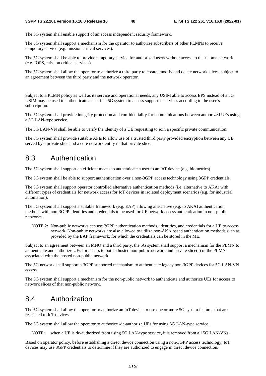The 5G system shall enable support of an access independent security framework.

The 5G system shall support a mechanism for the operator to authorize subscribers of other PLMNs to receive temporary service (e.g. mission critical services).

The 5G system shall be able to provide temporary service for authorized users without access to their home network (e.g. IOPS, mission critical services).

The 5G system shall allow the operator to authorize a third party to create, modify and delete network slices, subject to an agreement between the third party and the network operator.

Subject to HPLMN policy as well as its service and operational needs, any USIM able to access EPS instead of a 5G USIM may be used to authenticate a user in a 5G system to access supported services according to the user's subscription.

The 5G system shall provide integrity protection and confidentiality for communications between authorized UEs using a 5G LAN-type service.

The 5G LAN-VN shall be able to verify the identity of a UE requesting to join a specific private communication.

The 5G system shall provide suitable APIs to allow use of a trusted third party provided encryption between any UE served by a private slice and a core network entity in that private slice.

# 8.3 Authentication

The 5G system shall support an efficient means to authenticate a user to an IoT device (e.g. biometrics).

The 5G system shall be able to support authentication over a non-3GPP access technology using 3GPP credentials.

The 5G system shall support operator controlled alternative authentication methods (i.e. alternative to AKA) with different types of credentials for network access for IoT devices in isolated deployment scenarios (e.g. for industrial automation).

The 5G system shall support a suitable framework (e.g. EAP) allowing alternative (e.g. to AKA) authentication methods with non-3GPP identities and credentials to be used for UE network access authentication in non-public networks.

NOTE 2: Non-public networks can use 3GPP authentication methods, identities, and credentials for a UE to access network. Non-public networks are also allowed to utilize non-AKA based authentication methods such as provided by the EAP framework, for which the credentials can be stored in the ME.

Subject to an agreement between an MNO and a third party, the 5G system shall support a mechanism for the PLMN to authenticate and authorize UEs for access to both a hosted non-public network and private slice(s) of the PLMN associated with the hosted non-public network.

The 5G network shall support a 3GPP supported mechanism to authenticate legacy non-3GPP devices for 5G LAN-VN access.

The 5G system shall support a mechanism for the non-public network to authenticate and authorize UEs for access to network slices of that non-public network.

# 8.4 Authorization

The 5G system shall allow the operator to authorize an IoT device to use one or more 5G system features that are restricted to IoT devices.

The 5G system shall allow the operator to authorize /de-authorize UEs for using 5G LAN-type service.

NOTE: when a UE is de-authorized from using 5G LAN-type service, it is removed from all 5G LAN-VNs.

Based on operator policy, before establishing a direct device connection using a non-3GPP access technology, IoT devices may use 3GPP credentials to determine if they are authorized to engage in direct device connection.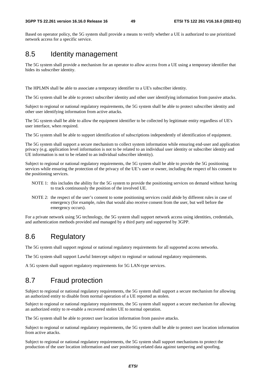Based on operator policy, the 5G system shall provide a means to verify whether a UE is authorized to use prioritized network access for a specific service.

# 8.5 Identity management

The 5G system shall provide a mechanism for an operator to allow access from a UE using a temporary identifier that hides its subscriber identity.

The HPLMN shall be able to associate a temporary identifier to a UE's subscriber identity.

The 5G system shall be able to protect subscriber identity and other user identifying information from passive attacks.

Subject to regional or national regulatory requirements, the 5G system shall be able to protect subscriber identity and other user identifying information from active attacks.

The 5G system shall be able to allow the equipment identifier to be collected by legitimate entity regardless of UE's user interface, when required.

The 5G system shall be able to support identification of subscriptions independently of identification of equipment.

The 5G system shall support a secure mechanism to collect system information while ensuring end-user and application privacy (e.g. application level information is not to be related to an individual user identity or subscriber identity and UE information is not to be related to an individual subscriber identity).

Subject to regional or national regulatory requirements, the 5G system shall be able to provide the 5G positioning services while ensuring the protection of the privacy of the UE's user or owner, including the respect of his consent to the positioning services.

- NOTE 1: this includes the ability for the 5G system to provide the positioning services on demand without having to track continuously the position of the involved UE.
- NOTE 2: the respect of the user's consent to some positioning services could abide by different rules in case of emergency (for example, rules that would also receive consent from the user, but well before the emergency occurs).

For a private network using 5G technology, the 5G system shall support network access using identities, credentials, and authentication methods provided and managed by a third party and supported by 3GPP.

# 8.6 Regulatory

The 5G system shall support regional or national regulatory requirements for all supported access networks.

The 5G system shall support Lawful Intercept subject to regional or national regulatory requirements.

A 5G system shall support regulatory requirements for 5G LAN-type services.

# 8.7 Fraud protection

Subject to regional or national regulatory requirements, the 5G system shall support a secure mechanism for allowing an authorized entity to disable from normal operation of a UE reported as stolen.

Subject to regional or national regulatory requirements, the 5G system shall support a secure mechanism for allowing an authorized entity to re-enable a recovered stolen UE to normal operation.

The 5G system shall be able to protect user location information from passive attacks.

Subject to regional or national regulatory requirements, the 5G system shall be able to protect user location information from active attacks.

Subject to regional or national regulatory requirements, the 5G system shall support mechanisms to protect the production of the user location information and user positioning-related data against tampering and spoofing.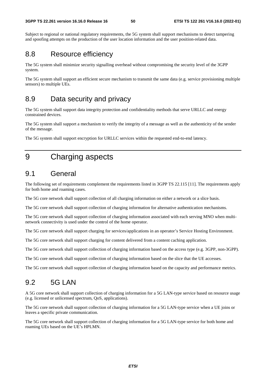Subject to regional or national regulatory requirements, the 5G system shall support mechanisms to detect tampering and spoofing attempts on the production of the user location information and the user position-related data.

# 8.8 Resource efficiency

The 5G system shall minimize security signalling overhead without compromising the security level of the 3GPP system.

The 5G system shall support an efficient secure mechanism to transmit the same data (e.g. service provisioning multiple sensors) to multiple UEs.

# 8.9 Data security and privacy

The 5G system shall support data integrity protection and confidentiality methods that serve URLLC and energy constrained devices.

The 5G system shall support a mechanism to verify the integrity of a message as well as the authenticity of the sender of the message.

The 5G system shall support encryption for URLLC services within the requested end-to-end latency.

# 9 Charging aspects

# 9.1 General

The following set of requirements complement the requirements listed in 3GPP TS 22.115 [11]. The requirements apply for both home and roaming cases.

The 5G core network shall support collection of all charging information on either a network or a slice basis.

The 5G core network shall support collection of charging information for alternative authentication mechanisms.

The 5G core network shall support collection of charging information associated with each serving MNO when multinetwork connectivity is used under the control of the home operator.

The 5G core network shall support charging for services/applications in an operator's Service Hosting Environment.

The 5G core network shall support charging for content delivered from a content caching application.

The 5G core network shall support collection of charging information based on the access type (e.g. 3GPP, non-3GPP).

The 5G core network shall support collection of charging information based on the slice that the UE accesses.

The 5G core network shall support collection of charging information based on the capacity and performance metrics.

# 9.2 5G LAN

A 5G core network shall support collection of charging information for a 5G LAN-type service based on resource usage (e.g. licensed or unlicensed spectrum, QoS, applications).

The 5G core network shall support collection of charging information for a 5G LAN-type service when a UE joins or leaves a specific private communication.

The 5G core network shall support collection of charging information for a 5G LAN-type service for both home and roaming UEs based on the UE's HPLMN.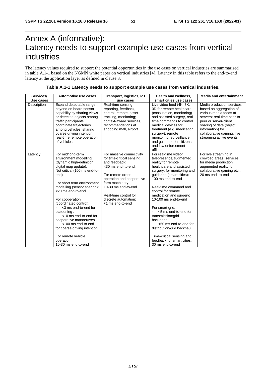# Annex A (informative): Latency needs to support example use cases from vertical industries

The latency values required to support the potential opportunities in the use cases on vertical industries are summarised in table A.1-1 based on the NGMN white paper on vertical industries [4]. Latency in this table refers to the end-to-end latency at the application layer as defined in clause 3.

| Services/   | Automotive use cases                                                                                                                                                                                                                                                                                                                                                                                                                                                              | Transport, logistics, IoT                                                                                                                                                                                                                                    | Health and wellness,                                                                                                                                                                                                                                                                                                                                                                                                                                                                                  | <b>Media and entertainment</b>                                                                                                                                                                                                                  |
|-------------|-----------------------------------------------------------------------------------------------------------------------------------------------------------------------------------------------------------------------------------------------------------------------------------------------------------------------------------------------------------------------------------------------------------------------------------------------------------------------------------|--------------------------------------------------------------------------------------------------------------------------------------------------------------------------------------------------------------------------------------------------------------|-------------------------------------------------------------------------------------------------------------------------------------------------------------------------------------------------------------------------------------------------------------------------------------------------------------------------------------------------------------------------------------------------------------------------------------------------------------------------------------------------------|-------------------------------------------------------------------------------------------------------------------------------------------------------------------------------------------------------------------------------------------------|
| Use cases   |                                                                                                                                                                                                                                                                                                                                                                                                                                                                                   | use cases                                                                                                                                                                                                                                                    | smart cities use cases                                                                                                                                                                                                                                                                                                                                                                                                                                                                                |                                                                                                                                                                                                                                                 |
| Description | Expand detectable range<br>beyond on board sensor<br>capability by sharing views<br>or detected objects among<br>traffic participants,<br>coordinate trajectories<br>among vehicles, sharing<br>coarse driving intention.<br>real-time remote operation<br>of vehicles                                                                                                                                                                                                            | Real-time sensing,<br>reporting, feedback,<br>control, remote, asset<br>tracking, monitoring;<br>context-aware services.<br>recommendations at<br>shopping mall, airport                                                                                     | Live video feed (4K, 8K,<br>3D for remote healthcare<br>(consultation, monitoring)<br>and assisted surgery, real-<br>time commands to control<br>medical devices for<br>treatment (e.g. medication,<br>surgery); remote<br>monitoring, surveillance<br>and quidance for citizens<br>and law enforcement<br>officers.                                                                                                                                                                                  | Media production services<br>based on aggregation of<br>various media feeds at<br>servers; real-time peer-to-<br>peer or server-client<br>sharing of data (object<br>information) for<br>collaborative gaming, live<br>streaming at live events |
| Latency     | For mid/long-term<br>environment modelling<br>(dynamic high-definition<br>digital map update):<br>Not critical (100 ms end-to-<br>end)<br>For short term environment<br>modelling (sensor sharing):<br><20 ms end-to-end<br>For cooperation<br>(coordinated control):<br><3 ms end-to-end for<br>platooning,<br><10 ms end-to-end for<br>cooperative manoeuvres.<br><100 ms end-to-end<br>for coarse driving intention<br>For remote vehicle<br>operation:<br>10-30 ms end-to-end | For massive connectivity<br>for time-critical sensing<br>and feedback:<br><30 ms end-to-end.<br>For remote drone<br>operation and cooperative<br>farm machinery:<br>10-30 ms end-to-end<br>Real-time control for<br>discrete automation:<br>≤1 ms end-to-end | For real-time video/<br>telepresence/augmented<br>reality for remote<br>healthcare and assisted<br>surgery, for monitoring and<br>guidance (smart cities):<br>100 ms end-to-end<br>Real-time command and<br>control for remote<br>medication and surgery:<br>10-100 ms end-to-end<br>For smart grid:<br><5 ms end-to-end for<br>transmission/grid<br>backbone.<br><50 ms end-to-end for<br>distribution/grid backhaul,<br>Time-critical sensing and<br>feedback for smart cities:<br>30 ms end-to-end | For live streaming in<br>crowded areas, services<br>for media production,<br>augmented reality for<br>collaborative gaming etc.:<br>20 ms end-to-end                                                                                            |

### **Table A.1-1 Latency needs to support example use cases from vertical industries.**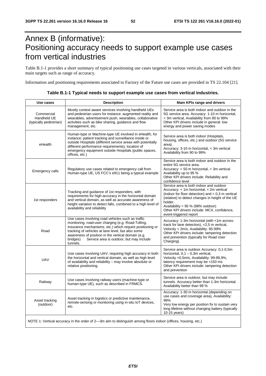# Annex B (informative): Positioning accuracy needs to support example use cases from vertical industries

Table B.1-1 provides a short summary of typical positioning use cases targeted in various verticals, associated with their main targets such as range of accuracy.

Information and positioning requirements associated to Factory of the Future use cases are provided in TS 22.104 [21].

| Use cases                                           | <b>Description</b>                                                                                                                                                                                                                                                                                                                                 | Main KPIs range and drivers                                                                                                                                                                                                                                                                                             |
|-----------------------------------------------------|----------------------------------------------------------------------------------------------------------------------------------------------------------------------------------------------------------------------------------------------------------------------------------------------------------------------------------------------------|-------------------------------------------------------------------------------------------------------------------------------------------------------------------------------------------------------------------------------------------------------------------------------------------------------------------------|
| Commercial<br>Handheld UE<br>(typically pedestrian) | Mostly context aware services involving handheld UEs<br>and pedestrian users for instance: augmented reality and<br>wearables, advertisement push, wearables, collaborative<br>activities such as bike sharing, guidance and flow<br>management, etc.                                                                                              | Service area is both indoor and outdoor in the<br>5G service area. Accuracy: 1-10 m horizontal,<br>< 3m vertical, Availability from 80 to 99%<br>Other KPI drivers include in general: low<br>energy and power saving modes                                                                                             |
| eHealth                                             | Human-type or Machine-type UE involved in eHealth, for<br>instance: patient tracking and surveillance inside or<br>outside Hospitals (different service areas with potentially<br>different performance requirements), location of<br>emergency equipment outside Hospitals (public spaces,<br>offices, etc.)                                      | Service area is both indoor (Hospitals,<br>housing, offices, etc.) and outdoor (5G service<br>area).<br>Accuracy: 3-10 m horizontal, < 3m vertical<br>Availability from 90 to 99%                                                                                                                                       |
| Emergency calls                                     | Regulatory use cases related to emergency call from<br>Human-type UE, US FCC's e911 being a typical example                                                                                                                                                                                                                                        | Service area is both indoor and outdoor in the<br>entire 5G service area.<br>Accuracy: < 50 m horizontal, < 3m vertical<br>Availability up to 95 %<br>Other KPI drivers include: Reliability and<br>confidence level                                                                                                    |
| 1st responders                                      | Tracking and guidance of 1st responders, with<br>requirements for high-accuracy in the horizontal domain<br>and vertical domain, as well as accurate awareness of<br>height variation to detect falls, combined to a high level of<br>availability and reliability                                                                                 | Service area is both indoor and outdoor<br>Accuracy: < 1m horizontal, < 2m vertical<br>(indoor for floor detection) and $< 0.3$ m vertical<br>(relative) to detect changes in height of the UE<br>holder.<br>Availability > 95 % (98% outdoor)<br>Other KPI drivers include: MCX, confidence,<br>event-triggered report |
| Road                                                | Use cases involving road vehicles such as traffic<br>monitoring, road-user charging (e.g. Road-Tolling,<br>insurance mechanisms, etc.) which require positioning or<br>tracking of vehicles at lane level, but also some<br>awareness of position in the vertical domain (e.g.<br>bridges)<br>Service area is outdoor, but may include<br>tunnels. | Accuracy: 1-3m horizontal (with <1m across-<br>track for lane detection), <2,5 m vertical,<br>Velocity < 2m/s, Availability: 95-99%<br>Other KPI drivers include: tampering detection<br>and prevention (typically for Road User<br>Charging)                                                                           |
| <b>UAV</b>                                          | Use cases involving UAV, requiring high accuracy in both<br>the horizontal and vertical domain, as well as high level<br>of availability and reliability - may involve absolute or<br>relative positioning.                                                                                                                                        | Service area is outdoor. Accuracy: 0,1-0,5m<br>horizontal, $0,1 - 0,3m$ vertical,<br>Velocity <0,5m/s, Availability: 99-99,9%,<br>latency requirement may be <150 ms<br>Other KPI drivers include: tampering detection<br>and prevention                                                                                |
| Railway                                             | Use cases involving railway users (machine-type or<br>human-type UE), such as described in FRMCS.                                                                                                                                                                                                                                                  | Service area is outdoor, but may include<br>tunnels. Accuracy better than 1-3m horizontal.<br>Availability better than 99 %                                                                                                                                                                                             |
| Asset tracking<br>(outdoor)                         | Asset tracking in logistics or predictive maintenance,<br>remote-sensing or monitoring using in-situ IoT devices,<br>etc.                                                                                                                                                                                                                          | Accuracy: 1-30 m horizontal (depending on<br>use cases and coverage area), Availability:<br>99%<br>Very low energy per position fix to sustain very<br>long lifetime without changing battery (typically<br>10-15 years)                                                                                                |
|                                                     | NOTE 1: Vertical accuracy in the order of 2—3m aim to distinguish among floors indoor (offices, housing, etc.)                                                                                                                                                                                                                                     |                                                                                                                                                                                                                                                                                                                         |

| Table B.1-1 Typical needs to support example use cases from vertical industries. |  |
|----------------------------------------------------------------------------------|--|
|----------------------------------------------------------------------------------|--|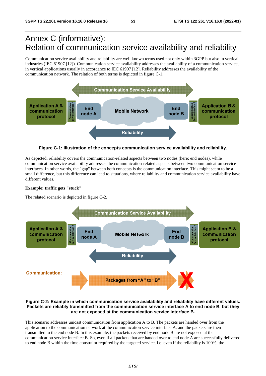# Annex C (informative): Relation of communication service availability and reliability

Communication service availability and reliability are well known terms used not only within 3GPP but also in vertical industries (IEC 61907 [12]). Communication service availability addresses the availability of a communication service, in vertical applications usually in accordance to IEC 61907 [12]. Reliability addresses the availability of the communication network. The relation of both terms is depicted in figure C-1.



**Figure C-1: Illustration of the concepts communication service availability and reliability.** 

As depicted, reliability covers the communication-related aspects between two nodes (here: end nodes), while communication service availability addresses the communication-related aspects between two communication service interfaces. In other words, the "gap" between both concepts is the communication interface. This might seem to be a small difference, but this difference can lead to situations, where reliability and communication service availability have different values.

#### **Example: traffic gets "stuck"**

The related scenario is depicted in figure C-2.



### **Figure C-2: Example in which communication service availability and reliability have different values. Packets are reliably transmitted from the communication service interface A to end node B, but they are not exposed at the communication service interface B.**

This scenario addresses unicast communication from application A to B. The packets are handed over from the application to the communication network at the communication service interface A, and the packets are then transmitted to the end node B. In this example, the packets received by end node B are not exposed at the communication service interface B. So, even if all packets that are handed over to end node A are successfully delivered to end node B within the time constraint required by the targeted service, i.e. even if the reliability is 100%, the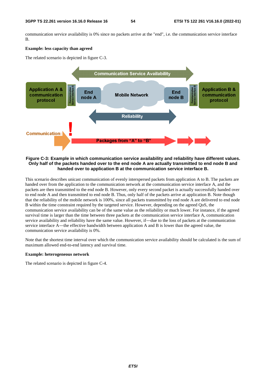communication service availability is 0% since no packets arrive at the "end", i.e. the communication service interface B.

#### **Example: less capacity than agreed**

The related scenario is depicted in figure C-3.



#### **Figure C-3: Example in which communication service availability and reliability have different values. Only half of the packets handed over to the end node A are actually transmitted to end node B and handed over to application B at the communication service interface B.**

This scenario describes unicast communication of evenly interspersed packets from application A to B. The packets are handed over from the application to the communication network at the communication service interface A, and the packets are then transmitted to the end node B. However, only every second packet is actually successfully handed over to end node A and then transmitted to end node B. Thus, only half of the packets arrive at application B. Note though that the reliability of the mobile network is 100%, since all packets transmitted by end node A are delivered to end node B within the time constraint required by the targeted service. However, depending on the agreed QoS, the communication service availability can be of the same value as the reliability or much lower. For instance, if the agreed survival time is larger than the time between three packets at the communication service interface A, communication service availability and reliability have the same value. However, if―due to the loss of packets at the communication service interface A—the effective bandwidth between application A and B is lower than the agreed value, the communication service availability is 0%.

Note that the shortest time interval over which the communication service availability should be calculated is the sum of maximum allowed end-to-end latency and survival time.

#### **Example: heterogeneous network**

The related scenario is depicted in figure C-4.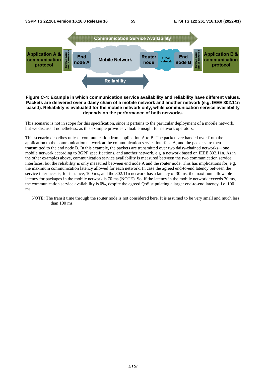

#### **Figure C-4: Example in which communication service availability and reliability have different values. Packets are delivered over a daisy chain of a mobile network and another network (e.g. IEEE 802.11n based). Reliability is evaluated for the mobile network only, while communication service availability depends on the performance of both networks.**

This scenario is not in scope for this specification, since it pertains to the particular deployment of a mobile network, but we discuss it nonetheless, as this example provides valuable insight for network operators.

This scenario describes unicast communication from application A to B. The packets are handed over from the application to the communication network at the communication service interface A, and the packets are then transmitted to the end node B. In this example, the packets are transmitted over two daisy-chained networks―one mobile network according to 3GPP specifications, and another network, e.g. a network based on IEEE 802.11n. As in the other examples above, communication service availability is measured between the two communication service interfaces, but the reliability is only measured between end node A and the router node. This has implications for, e.g. the maximum communication latency allowed for each network. In case the agreed end-to-end latency between the service interfaces is, for instance, 100 ms, and the 802.11n network has a latency of 30 ms, the maximum allowable latency for packages in the mobile network is 70 ms (NOTE). So, if the latency in the mobile network exceeds 70 ms, the communication service availability is 0%, despite the agreed QoS stipulating a larger end-to-end latency, i.e. 100 ms.

NOTE: The transit time through the router node is not considered here. It is assumed to be very small and much less than 100 ms.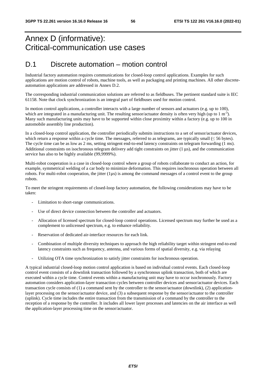# Annex D (informative): Critical-communication use cases

# D.1 Discrete automation – motion control

Industrial factory automation requires communications for closed-loop control applications. Examples for such applications are motion control of robots, machine tools, as well as packaging and printing machines. All other discreteautomation applications are addressed in Annex D.2.

The corresponding industrial communication solutions are referred to as fieldbuses. The pertinent standard suite is IEC 61158. Note that clock synchronization is an integral part of fieldbuses used for motion control.

In motion control applications, a controller interacts with a large number of sensors and actuators (e.g. up to 100), which are integrated in a manufacturing unit. The resulting sensor/actuator density is often very high (up to 1 m<sup>-3</sup>). Many such manufacturing units may have to be supported within close proximity within a factory (e.g. up to 100 in automobile assembly line production).

In a closed-loop control application, the controller periodically submits instructions to a set of sensor/actuator devices, which return a response within a cycle time. The messages, referred to as telegrams, are typically small  $(\leq 56$  bytes). The cycle time can be as low as 2 ms, setting stringent end-to-end latency constraints on telegram forwarding (1 ms). Additional constraints on isochronous telegram delivery add tight constraints on jitter  $(1 \mu s)$ , and the communication service has also to be highly available (99,9999%).

Multi-robot cooperation is a case in closed-loop control where a group of robots collaborate to conduct an action, for example, symmetrical welding of a car body to minimize deformation. This requires isochronous operation between all robots. For multi-robot cooperation, the jitter  $(1\mu s)$  is among the command messages of a control event to the group robots.

To meet the stringent requirements of closed-loop factory automation, the following considerations may have to be taken:

- Limitation to short-range communications.
- Use of direct device connection between the controller and actuators.
- Allocation of licensed spectrum for closed-loop control operations. Licensed spectrum may further be used as a complement to unlicensed spectrum, e.g. to enhance reliability.
- Reservation of dedicated air-interface resources for each link.
- Combination of multiple diversity techniques to approach the high reliability target within stringent end-to-end latency constraints such as frequency, antenna, and various forms of spatial diversity, e.g. via relaying
- Utilizing OTA time synchronization to satisfy jitter constraints for isochronous operation.

A typical industrial closed-loop motion control application is based on individual control events. Each closed-loop control event consists of a downlink transaction followed by a synchronous uplink transaction, both of which are executed within a cycle time. Control events within a manufacturing unit may have to occur isochronously. Factory automation considers application-layer transaction cycles between controller devices and sensor/actuator devices. Each transaction cycle consists of (1) a command sent by the controller to the sensor/actuator (downlink), (2) applicationlayer processing on the sensor/actuator device, and (3) a subsequent response by the sensor/actuator to the controller (uplink). Cycle time includes the entire transaction from the transmission of a command by the controller to the reception of a response by the controller. It includes all lower layer processes and latencies on the air interface as well the application-layer processing time on the sensor/actuator.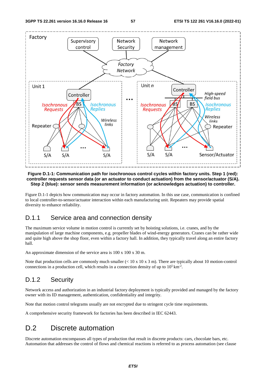

#### **Figure D.1-1: Communication path for isochronous control cycles within factory units. Step 1 (red): controller requests sensor data (or an actuator to conduct actuation) from the sensor/actuator (S/A). Step 2 (blue): sensor sends measurement information (or acknowledges actuation) to controller.**

Figure D.1-1 depicts how communication may occur in factory automation. In this use case, communication is confined to local controller-to-sensor/actuator interaction within each manufacturing unit. Repeaters may provide spatial diversity to enhance reliability.

## D.1.1 Service area and connection density

The maximum service volume in motion control is currently set by hoisting solutions, i.e. cranes, and by the manipulation of large machine components, e.g. propeller blades of wind-energy generators. Cranes can be rather wide and quite high above the shop floor, even within a factory hall. In addition, they typically travel along an entire factory hall.

An approximate dimension of the service area is 100 x 100 x 30 m.

Note that production cells are commonly much smaller  $(< 10 \times 10 \times 3 \text{ m})$ . There are typically about 10 motion-control connections in a production cell, which results in a connection density of up to  $10^5 \text{ km}^2$ .

# D.1.2 Security

Network access and authorization in an industrial factory deployment is typically provided and managed by the factory owner with its ID management, authentication, confidentiality and integrity.

Note that motion control telegrams usually are not encrypted due to stringent cycle time requirements.

A comprehensive security framework for factories has been described in IEC 62443.

# D.2 Discrete automation

Discrete automation encompasses all types of production that result in discrete products: cars, chocolate bars, etc. Automation that addresses the control of flows and chemical reactions is referred to as process automation (see clause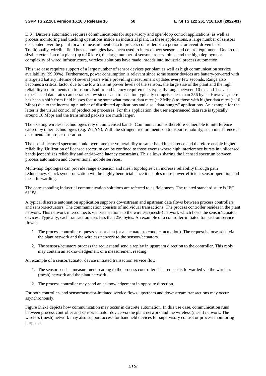D.3). Discrete automation requires communications for supervisory and open-loop control applications, as well as process monitoring and tracking operations inside an industrial plant. In these applications, a large number of sensors distributed over the plant forward measurement data to process controllers on a periodic or event-driven base. Traditionally, wireline field bus technologies have been used to interconnect sensors and control equipment. Due to the sizable extension of a plant (up to10  $km<sup>2</sup>$ ), the large number of sensors, rotary joints, and the high deployment complexity of wired infrastructure, wireless solutions have made inroads into industrial process automation.

This use case requires support of a large number of sensor devices per plant as well as high communication service availability (99,99%). Furthermore, power consumption is relevant since some sensor devices are battery-powered with a targeted battery lifetime of several years while providing measurement updates every few seconds. Range also becomes a critical factor due to the low transmit power levels of the sensors, the large size of the plant and the high reliability requirements on transport. End-to-end latency requirements typically range between 10 ms and 1 s. User experienced data rates can be rather low since each transaction typically comprises less than 256 bytes. However, there has been a shift from field busses featuring somewhat modest data rates ( $\sim 2$  Mbps) to those with higher data rates ( $\sim 10$ Mbps) due to the increasing number of distributed applications and also "data-hungry" applications. An example for the latter is the visual control of production processes. For this application, the user experienced data rate is typically around 10 Mbps and the transmitted packets are much larger.

The existing wireless technologies rely on unlicensed bands. Communication is therefore vulnerable to interference caused by other technologies (e.g. WLAN). With the stringent requirements on transport reliability, such interference is detrimental to proper operation.

The use of licensed spectrum could overcome the vulnerability to same-band interference and therefore enable higher reliability. Utilization of licensed spectrum can be confined to those events where high interference bursts in unlicensed bands jeopardizes reliability and end-to-end latency constraints. This allows sharing the licensed spectrum between process automation and conventional mobile services.

Multi-hop topologies can provide range extension and mesh topologies can increase reliability through path redundancy. Clock synchronization will be highly beneficial since it enables more power-efficient sensor operation and mesh forwarding.

The corresponding industrial communication solutions are referred to as fieldbuses. The related standard suite is IEC 61158.

A typical discrete automation application supports downstream and upstream data flows between process controllers and sensors/actuators. The communication consists of individual transactions. The process controller resides in the plant network. This network interconnects via base stations to the wireless (mesh-) network which hosts the sensor/actuator devices. Typically, each transaction uses less than 256 bytes. An example of a controller-initiated transaction service flow is:

- 1. The process controller requests sensor data (or an actuator to conduct actuation). The request is forwarded via the plant network and the wireless network to the sensors/actuators.
- 2. The sensors/actuators process the request and send a replay in upstream direction to the controller. This reply may contain an acknowledgement or a measurement reading.

An example of a sensor/actuator device initiated transaction service flow:

- 1. The sensor sends a measurement reading to the process controller. The request is forwarded via the wireless (mesh) network and the plant network.
- 2. The process controller may send an acknowledgement in opposite direction.

For both controller- and sensor/actuator-initiated service flows, upstream and downstream transactions may occur asynchronously.

Figure D.2-1 depicts how communication may occur in discrete automation. In this use case, communication runs between process controller and sensor/actuator device via the plant network and the wireless (mesh) network. The wireless (mesh) network may also support access for handheld devices for supervisory control or process monitoring purposes.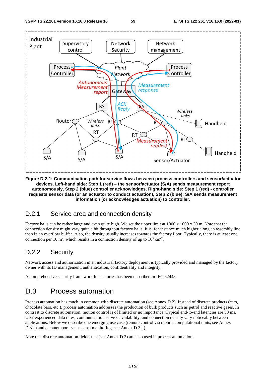

**Figure D.2-1: Communication path for service flows between process controllers and sensor/actuator devices. Left-hand side: Step 1 (red) – the sensor/actuator (S/A) sends measurement report autonomously, Step 2 (blue) controller acknowledges. Right-hand side: Step 1 (red) - controller requests sensor data (or an actuator to conduct actuation), Step 2 (blue): S/A sends measurement information (or acknowledges actuation) to controller.** 

### D.2.1 Service area and connection density

Factory halls can be rather large and even quite high. We set the upper limit at 1000 x 1000 x 30 m. Note that the connection density might vary quite a bit throughout factory halls. It is, for instance much higher along an assembly line than in an overflow buffer. Also, the density usually increases towards the factory floor. Typically, there is at least one connection per 10 m<sup>2</sup>, which results in a connection density of up to  $10^5 \text{ km}^2$ .

## D.2.2 Security

Network access and authorization in an industrial factory deployment is typically provided and managed by the factory owner with its ID management, authentication, confidentiality and integrity.

A comprehensive security framework for factories has been described in IEC 62443.

# D.3 Process automation

Process automation has much in common with discrete automation (see Annex D.2). Instead of discrete products (cars, chocolate bars, etc.), process automation addresses the production of bulk products such as petrol and reactive gases. In contrast to discrete automation, motion control is of limited or no importance. Typical end-to-end latencies are 50 ms. User experienced data rates, communication service availability, and connection density vary noticeably between applications. Below we describe one emerging use case (remote control via mobile computational units, see Annex D.3.1) and a contemporary use case (monitoring, see Annex D.3.2).

Note that discrete automation fieldbuses (see Annex D.2) are also used in process automation.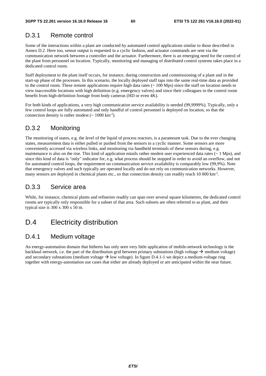# D.3.1 Remote control

Some of the interactions within a plant are conducted by automated control applications similar to those described in Annex D.2. Here too, sensor output is requested in a cyclic fashion, and actuator commands are sent via the communication network between a controller and the actuator. Furthermore, there is an emerging need for the control of the plant from personnel on location. Typically, monitoring and managing of distributed control systems takes place in a dedicated control room.

Staff deployment to the plant itself occurs, for instance, during construction and commissioning of a plant and in the start-up phase of the processes. In this scenario, the locally deployed staff taps into the same real-time data as provided to the control room. These remote applications require high data rates (~ 100 Mps) since the staff on location needs to view inaccessible locations with high definition (e.g. emergency valves) and since their colleagues in the control room benefit from high-definition footage from body cameras (HD or even 4K).

For both kinds of applications, a very high communication service availability is needed (99,9999%). Typically, only a few control loops are fully automated and only handful of control personnel is deployed on location, so that the connection density is rather modest  $({\sim 1000 \text{ km}^{-2}})$ .

# D.3.2 Monitoring

The monitoring of states, e.g. the level of the liquid of process reactors, is a paramount task. Due to the ever changing states, measurement data is either pulled or pushed from the sensors in a cyclic manner. Some sensors are more conveniently accessed via wireless links, and monitoring via handheld terminals of these sensors during, e.g. maintenance is also on the rise. This kind of application entails rather modest user experienced data rates  $(~ 1 \text{ Mps})$ , and since this kind of data is "only" indicator for, e.g. what process should be stopped in order to avoid an overflow, and not for automated control loops, the requirement on communication service availability is comparably low (99,9%). Note that emergency valves and such typically are operated locally and do not rely on communication networks. However, many sensors are deployed in chemical plants etc., so that connection density can readily reach 10 000 km<sup>-2</sup>.

### D.3.3 Service area

While, for instance, chemical plants and refineries readily can span over several square kilometres, the dedicated control rooms are typically only responsible for a subset of that area. Such subsets are often referred to as plant, and their typical size is 300 x 300 x 50 m.

# D.4 Electricity distribution

### D.4.1 Medium voltage

An energy-automation domain that hitherto has only seen very little application of mobile-network technology is the backhaul network, i.e. the part of the distribution grid between primary substations (high voltage  $\rightarrow$  medium voltage) and secondary substations (medium voltage  $\rightarrow$  low voltage). In figure D.4.1-1 we depict a medium-voltage ring together with energy-automation use cases that either are already deployed or are anticipated within the near future.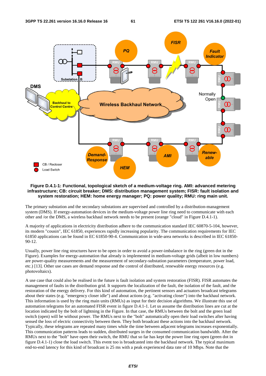

#### **Figure D.4.1-1: Functional, topological sketch of a medium-voltage ring. AMI: advanced metering infrastructure; CB: circuit breaker; DMS: distribution management system; FISR: fault isolation and system restoration; HEM: home energy manager; PQ: power quality; RMU: ring main unit.**

The primary substation and the secondary substations are supervised and controlled by a distribution-management system (DMS). If energy-automation devices in the medium-voltage power line ring need to communicate with each other and /or the DMS, a wireless backhaul network needs to be present (orange "cloud" in Figure D.4.1-1).

A majority of applications in electricity distribution adhere to the communication standard IEC 60870-5-104, however, its modern "cousin", IEC 61850, experiences rapidly increasing popularity. The communication requirements for IEC 61850 applications can be found in EC 61850-90-4. Communication in wide-area networks is described in IEC 61850- 90-12.

Usually, power line ring structures have to be open in order to avoid a power-imbalance in the ring (green dot in the Figure). Examples for energy-automation that already is implemented in medium-voltage grids (albeit in low numbers) are power-quality measurements and the measurement of secondary-substation parameters (temperature, power load, etc.) [13]. Other use cases are demand response and the control of distributed, renewable energy resources (e.g. photovoltaics).

A use case that could also be realised in the future is fault isolation and system restoration (FISR). FISR automates the management of faults in the distribution grid. It supports the localization of the fault, the isolation of the fault, and the restoration of the energy delivery. For this kind of automation, the pertinent sensors and actuators broadcast telegrams about their states (e.g. "emergency closer idle") and about actions (e.g. "activating closer") into the backhaul network. This information is used by the ring main units (RMUs) as input for their decision algorithms. We illustrate this use of automation telegrams for an automated FISR event in figure D.4.1-1. Let us assume the distribution lines are cut at the location indicated by the bolt of lightning in the Figure. In that case, the RMUs between the bolt and the green load switch (open) will be without power. The RMUs next to the "bolt" automatically open their load switches after having sensed the loss of electric connectivity between them. They both broadcast these actions into the backhaul network. Typically, these telegrams are repeated many times while the time between adjacent telegrams increases exponentially. This communication patterns leads to sudden, distributed surges in the consumed communication bandwidth. After the RMUs next to the "bolt" have open their switch, the RMU that so far has kept the power line ring open (green dot in figure D.4.1-1) close the load switch. This event too is broadcasted into the backhaul network. The typical maximum end-to-end latency for this kind of broadcast is 25 ms with a peak experienced data rate of 10 Mbps. Note that the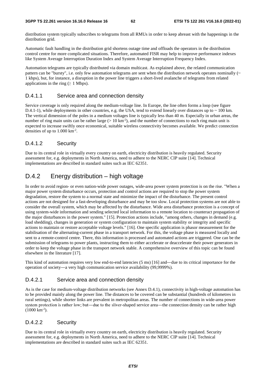distribution system typically subscribes to telegrams from all RMUs in order to keep abreast with the happenings in the distribution grid.

Automatic fault handling in the distribution grid shortens outage time and offloads the operators in the distribution control centre for more complicated situations. Therefore, automated FISR may help to improve performance indexes like System Average Interruption Duration Index and System Average Interruption Frequency Index.

Automation telegrams are typically distributed via domain multicast. As explained above, the related communication pattern can be "bursty", i.e. only few automation telegrams are sent when the distribution network operates nominally  $(\sim$ 1 kbps), but, for instance, a disruption in the power line triggers a short-lived avalanche of telegrams from related applications in the ring ( $\geq 1$  Mbps).

### D.4.1.1 Service area and connection density

Service coverage is only required along the medium-voltage line. In Europe, the line often forms a loop (see figure D.4.1-1), while deployments in other countries, e.g. the USA, tend to extend linearly over distances up to  $\sim$  100 km. The vertical dimension of the poles in a medium voltages line is typically less than 40 m. Especially in urban areas, the number of ring main units can be rather large ( $> 10 \text{ km}^2$ ), and the number of connections to each ring main unit is expected to increase swiftly once economical, suitable wireless connectivity becomes available. We predict connection densities of up to  $1.000 \mathrm{km}^2$ .

### D.4.1.2 Security

Due to its central role in virtually every country on earth, electricity distribution is heavily regulated. Security assessment for, e.g. deployments in North America, need to adhere to the NERC CIP suite [14]. Technical implementations are described in standard suites such as IEC 62351.

## D.4.2 Energy distribution – high voltage

In order to avoid region- or even nation-wide power outages, wide-area power system protection is on the rise. "When a major power system disturbance occurs, protection and control actions are required to stop the power system degradation, restore the system to a normal state and minimize the impact of the disturbance. The present control actions are not designed for a fast-developing disturbance and may be too slow. Local protection systems are not able to consider the overall system, which may be affected by the disturbance. Wide area disturbance protection is a concept of using system-wide information and sending selected local information to a remote location to counteract propagation of the major disturbances in the power system." [15]. Protection actions include, "among others, changes in demand (e.g. load shedding), changes in generation or system configuration to maintain system stability or integrity and specific actions to maintain or restore acceptable voltage levels." [16]. One specific application is phasor measurement for the stabilisation of the alternating-current phase in a transport network. For this, the voltage phase is measured locally and sent to a remote-control centre. There, this information is processed and automated actions are triggered. One can be the submission of telegrams to power plants, instructing them to either accelerate or deaccelerate their power generators in order to keep the voltage phase in the transport network stable. A comprehensive overview of this topic can be found elsewhere in the literature [17].

This kind of automation requires very low end-to-end latencies (5 ms) [16] and—due to its critical importance for the operation of society―a very high communication service availability (99,9999%).

### D.4.2.1 Service area and connection density

As is the case for medium-voltage distribution networks (see Annex D.4.1), connectivity in high-voltage automation has to be provided mainly along the power line. The distances to be covered can be substantial (hundreds of kilometres in rural settings), while shorter links are prevalent in metropolitan areas. The number of connections in wide-area power system protection is rather low; but—due to the sliver-shaped service area—the connection density can be rather high (1000 km<sup>-2</sup>).<br>(1000 km<sup>-2</sup>).<br>D.4.2.2 Security  $(1000 \text{ km}^{-2})$ .

### D.4.2.2 Security

Due to its central role in virtually every country on earth, electricity distribution is heavily regulated. Security assessment for, e.g. deployments in North America, need to adhere to the NERC CIP suite [14]. Technical implementations are described in standard suites such as IEC 62351.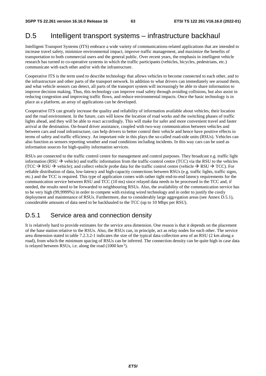# D.5 Intelligent transport systems – infrastructure backhaul

Intelligent Transport Systems (ITS) embrace a wide variety of communications-related applications that are intended to increase travel safety, minimize environmental impact, improve traffic management, and maximize the benefits of transportation to both commercial users and the general public. Over recent years, the emphasis in intelligent vehicle research has turned to co-operative systems in which the traffic participants (vehicles, bicycles, pedestrians, etc.) communicate with each other and/or with the infrastructure.

Cooperative ITS is the term used to describe technology that allows vehicles to become connected to each other, and to the infrastructure and other parts of the transport network. In addition to what drivers can immediately see around them, and what vehicle sensors can detect, all parts of the transport system will increasingly be able to share information to improve decision making. Thus, this technology can improve road safety through avoiding collisions, but also assist in reducing congestion and improving traffic flows, and reduce environmental impacts. Once the basic technology is in place as a platform, an array of applications can be developed.

Cooperative ITS can greatly increase the quality and reliability of information available about vehicles, their location and the road environment. In the future, cars will know the location of road works and the switching phases of traffic lights ahead, and they will be able to react accordingly. This will make for safer and more convenient travel and faster arrival at the destination. On-board driver assistance, coupled with two-way communication between vehicles and between cars and road infrastructure, can help drivers to better control their vehicle and hence have positive effects in terms of safety and traffic efficiency. An important role in this plays the so-called road-side units (RSUs). Vehicles can also function as sensors reporting weather and road conditions including incidents. In this way cars can be used as information sources for high-quality information services.

RSUs are connected to the traffic control centre for management and control purposes. They broadcast e.g. traffic light information (RSU  $\rightarrow$  vehicle) and traffic information from the traffic-control centre (TCC) via the RSU to the vehicles (TCC  $\rightarrow$  RSU  $\rightarrow$  vehicle); and collect vehicle probe data for the traffic control centre (vehicle  $\rightarrow$  RSU  $\rightarrow$  TCC). For reliable distribution of data, low-latency and high-capacity connections between RSUs (e.g. traffic lights, traffic signs, etc.) and the TCC is required. This type of application comes with rather tight end-to-end latency requirements for the communication service between RSU and TCC (10 ms) since relayed data needs to be processed in the TCC and, if needed, the results need to be forwarded to neighbouring RSUs. Also, the availability of the communication service has to be very high (99,9999%) in order to compete with existing wired technology and in order to justify the costly deployment and maintenance of RSUs. Furthermore, due to considerably large aggregation areas (see Annex D.5.1), considerable amounts of data need to be backhauled to the TCC (up to 10 Mbps per RSU).

# D.5.1 Service area and connection density

It is relatively hard to provide estimates for the service area dimension. One reason is that it depends on the placement of the base station relative to the RSUs. Also, the RSUs can, in principle, act as relay nodes for each other. The service area dimension stated in table 7.2.3.2-1 indicates the size of the typical data collection area of an RSU (2 km along a road), from which the minimum spacing of RSUs can be inferred. The connection density can be quite high in case data is relayed between RSUs, i.e. along the road (1000 km-2).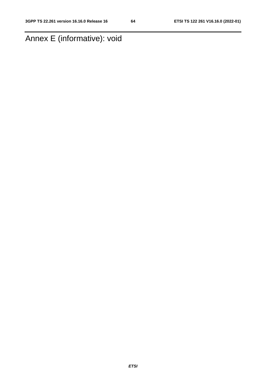# Annex E (informative): void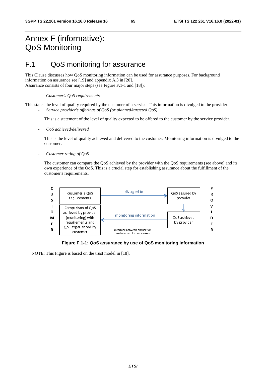# Annex F (informative): QoS Monitoring

# F.1 QoS monitoring for assurance

This Clause discusses how QoS monitoring information can be used for assurance purposes. For background information on assurance see [19] and appendix A.3 in [20]. Assurance consists of four major steps (see Figure F.1-1 and [18]):

This states the level of quality required by the customer of a service. This information is divulged to the provider. - *Service provider's offerings of QoS (or planned/targeted QoS)* 

This is a statement of the level of quality expected to be offered to the customer by the service provider.

- *QoS achieved/delivered* 

This is the level of quality achieved and delivered to the customer. Monitoring information is divulged to the customer.

- *Customer rating of QoS* 

The customer can compare the QoS achieved by the provider with the QoS requirements (see above) and its own experience of the QoS. This is a crucial step for establishing assurance about the fulfillment of the customer's requirements.



**Figure F.1-1: QoS assurance by use of QoS monitoring information** 

NOTE: This Figure is based on the trust model in [18].

<sup>-</sup> *Customer's QoS requirements*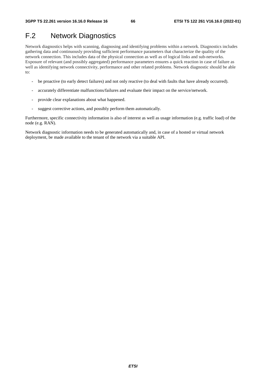# F.2 Network Diagnostics

Network diagnostics helps with scanning, diagnosing and identifying problems within a network. Diagnostics includes gathering data and continuously providing sufficient performance parameters that characterize the quality of the network connection. This includes data of the physical connection as well as of logical links and sub-networks. Exposure of relevant (and possibly aggregated) performance parameters ensures a quick reaction in case of failure as well as identifying network connectivity, performance and other related problems. Network diagnostic should be able to:

- be proactive (to early detect failures) and not only reactive (to deal with faults that have already occurred).
- accurately differentiate malfunctions/failures and evaluate their impact on the service/network.
- provide clear explanations about what happened.
- suggest corrective actions, and possibly perform them automatically.

Furthermore, specific connectivity information is also of interest as well as usage information (e.g. traffic load) of the node (e.g. RAN).

Network diagnostic information needs to be generated automatically and, in case of a hosted or virtual network deployment, be made available to the tenant of the network via a suitable API.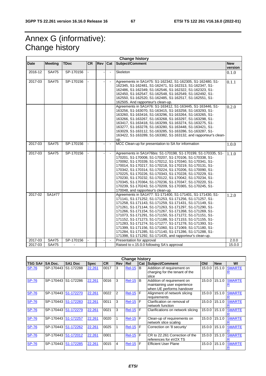# Annex G (informative): Change history

|             |                |             |           |     |                | <b>Change history</b>                                                                                                                                                                                                                                                                                                                                                                                                                                                                                                                                                                                                                                                     |                       |
|-------------|----------------|-------------|-----------|-----|----------------|---------------------------------------------------------------------------------------------------------------------------------------------------------------------------------------------------------------------------------------------------------------------------------------------------------------------------------------------------------------------------------------------------------------------------------------------------------------------------------------------------------------------------------------------------------------------------------------------------------------------------------------------------------------------------|-----------------------|
| Date        | <b>Meeting</b> | <b>TDoc</b> | <b>CR</b> | Rev | Cat            | Subject/Comment                                                                                                                                                                                                                                                                                                                                                                                                                                                                                                                                                                                                                                                           | <b>New</b><br>version |
| 2016-12     | SA#75          | SP-170156   |           |     | $\blacksquare$ | Skeleton                                                                                                                                                                                                                                                                                                                                                                                                                                                                                                                                                                                                                                                                  | 0.1.0                 |
| 2017-03     | <b>SA#75</b>   | SP-170156   |           |     | $\blacksquare$ | Agreements in SA1#75: S1-162342, S1-162305, S1-162480, S1-<br>162345, S1-162481, S1-162471, S1-162313, S1-162347, S1-<br>162486, S1-162349, S1-162546, S1-162322, S1-162323, S1-<br>162450, S1-162547, S1-162548, S1-162549, S1-162492, S1-<br>162550, S1-162520, S1-162485, S1-162517, S1-162551, S1-<br>162505. And rapporteur's clean-up.                                                                                                                                                                                                                                                                                                                              | 0.1.1                 |
|             |                |             |           |     |                | Agreements in SA1#76: S1-163412, S1-163445, S1-163446, S1-<br>163256, S1-163070, S1-163415, S1-163258, S1-163293, S1-<br>163260, S1-163416, S1-163296, S1-163264, S1-163265, S1-<br>163266, S1-163267, S1-163268, S1-163297, S1-163298, S1-<br>163417, S1-163418, S1-163299, S1-163274, S1-163275, S1-<br>163277, S1-163278, S1-163280, S1-163448, S1-163421, S1-<br>163029, S1-163112, S1-163285, S1-163286, S1-163287, S1-<br>163422, S1-163289, S1-163382, S1-163132, and rapporteur's clean-<br>up.                                                                                                                                                                   | 0.2.0                 |
| 2017-03     | SA#75          | SP-170156   |           |     | $\blacksquare$ | MCC Clean-up for presentation to SA for information                                                                                                                                                                                                                                                                                                                                                                                                                                                                                                                                                                                                                       | 1.0.0                 |
| 2017-03     | <b>SA#75</b>   | SP-170156   |           |     |                | Agreements in SA1#76bis: S1-170198, S1-170199, S1-170335, S1-<br>170201, S1-170008, S1-170207, S1-170106, S1-170338, S1-<br>170092, S1-170339, S1-170212, S1-170340, S1-170341, S1-<br>170014, S1-170217, S1-170218, S1-170219, S1-170131, S1-<br>170342, S1-170314, S1-170224, S1-170206, S1-170090, S1-<br>170225, S1-170226, S1-170343, S1-170228, S1-170229, S1-<br>170230, S1-170232, S1-170122, S1-170042, S1-170234, S1-<br>170345, S1-170364, S1-170236, S1-170347, S1-170220, S1-<br>170239, S1-170243, S1-170209, S1-170365, S1-170245, S1-<br>170048, and rapporteur's clean-up.                                                                               | 1.1.0                 |
| 2017-02     | SA1#77         |             |           |     |                | Agreements in SA1#77: S1-171400, S1-171401, S1-171430, S1-<br>171141, S1-171252, S1-171253, S1-171256, S1-171257, S1-<br>171258, S1-171143, S1-171259, S1-171431, S1-171149, S1-<br>171261, S1-171144, S1-171263, S1-171297, S1-171290, S1-<br>171266, S1-171154, S1-171267, S1-171268, S1-171269, S1-<br>171073, S1-171291, S1-171150, S1-171272, S1-171151, S1-<br>171152, S1-171273, S1-171188, S1-171153, S1-171155, S1-<br>171283, S1-171274, S1-171277, S1-171278, S1-171393, S1-<br>171399, S1-171156, S1-171060, S1-171069, S1-171180, S1-<br>171284, S1-171285, S1-171140, S1-171286, S1-171288, S1-<br>171398, S1-171292, S1-171435, and rapporteur's clean-up. | 1.2.0                 |
| $2017 - 03$ | SA#75          | SP-170156   |           |     | $\blacksquare$ | Presentation for approval                                                                                                                                                                                                                                                                                                                                                                                                                                                                                                                                                                                                                                                 | 2.0.0                 |
| 2017-03     | SA#75          |             |           |     |                | Raised to v.15.0.0 following SA's approval                                                                                                                                                                                                                                                                                                                                                                                                                                                                                                                                                                                                                                | 15.0.0                |

|                | <b>Change history</b> |                     |             |           |                |                 |            |                                                                                        |        |            |               |  |  |  |
|----------------|-----------------------|---------------------|-------------|-----------|----------------|-----------------|------------|----------------------------------------------------------------------------------------|--------|------------|---------------|--|--|--|
| <b>TSG SA#</b> | <b>SA Doc.</b>        | SA <sub>1</sub> Doc | <b>Spec</b> | <b>CR</b> | <b>Rev Rel</b> |                 | <b>Cat</b> | Subject/Comment                                                                        | Old    | <b>New</b> | WI            |  |  |  |
| <b>SP-76</b>   | SP-170443 S1-172288   |                     | 22.261      | 0017      | 3              | <b>Rel-15</b>   | B          | Addition of requirement on<br>charging for the tenant of the<br>slice                  | 15.0.0 | 15.1.0     | <b>SMARTE</b> |  |  |  |
| <b>SP-76</b>   | SP-170443 S1-172286   |                     | 22.261      | 0016      | 3              | <b>Rel-15</b>   | l B        | Addition of requirement on<br>maintaining user experience<br>when UE performs handover | 15.0.0 | 15.1.0     | <b>SMARTE</b> |  |  |  |
| <b>SP-76</b>   | SP-170443 S1-172270   |                     | 22.261      | 0022      | 2              | <b>Rel-15 F</b> |            | Alignment of network slicing<br>requirements                                           | 15.0.0 | 15.1.0     | <b>SMARTE</b> |  |  |  |
| <b>SP-76</b>   | SP-170443             | S1-172283           | 22.261      | 0011      | 3              | <b>Rel-15</b>   | F          | Clarification on removal of<br>network function                                        | 15.0.0 | 15.1.0     | <b>SMARTE</b> |  |  |  |
| <b>SP-76</b>   | SP-170443 S1-172279   |                     | 22.261      | 0021      | 3              | <b>Rel-15 F</b> |            | Clarifications on network slicing                                                      | 15.0.0 | 15.1.0     | <b>SMARTE</b> |  |  |  |
| <b>SP-76</b>   | SP-170443             | S1-172257           | 22.261      | 0020      |                | <b>Rel-15 F</b> |            | Clean-up of requirements on<br>network slice scaling                                   | 15.0.0 | 15.1.0     | <b>SMARTE</b> |  |  |  |
| <b>SP-76</b>   | SP-170443             | S1-172262           | 22.261      | 0025      |                | <b>Rel-15</b>   | F          | Correction on '8 securtiy'                                                             | 15.0.0 | 15.1.0     | <b>SMARTE</b> |  |  |  |
| <b>SP-76</b>   | SP-170443 S1-172012   |                     | 22.261      | 0001      |                | $Rel-15$        | F          | CR to 22.261 Correction of the<br>references for eV2X TS                               | 15.0.0 | 15.1.0     | <b>SMARTE</b> |  |  |  |
| <b>SP-76</b>   | SP-170443             | S1-172285           | 22.261      | 0015      | 4              | <b>Rel-15 F</b> |            | <b>Efficient User Plane</b>                                                            | 15.0.0 | 15.1.0     | <b>SMARTE</b> |  |  |  |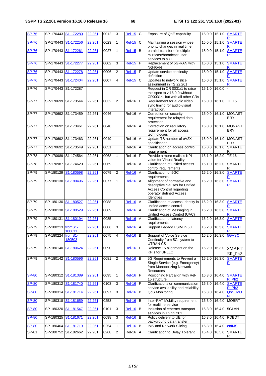| <b>SP-76</b> |                     | SP-170443 S1-172280 | 22.261 | 0012 | 3              | <b>Rel-15</b> | $\mathsf{C}$   | Exposure of QoE capability                                                                                                         | 15.0.0 15.1.0 |        | <b>SMARTE</b>                            |
|--------------|---------------------|---------------------|--------|------|----------------|---------------|----------------|------------------------------------------------------------------------------------------------------------------------------------|---------------|--------|------------------------------------------|
| <b>SP-76</b> |                     | SP-170443 S1-172256 | 22.261 | 0023 | $\mathbf{1}$   | <b>Rel-15</b> | C              | Maintaining a session whose<br>priority changes in real time                                                                       | 15.0.0        | 15.1.0 | <b>SMARTE</b>                            |
| <b>SP-76</b> | SP-170443 S1-172261 |                     | 22.261 | 0027 | 1              | <b>Rel-15</b> | B              | parallel transfer of multiple<br>multicast/broadcast user<br>services to a UE                                                      | 15.0.0 15.1.0 |        | <b>SMARTE</b><br>R                       |
| <b>SP-76</b> |                     | SP-170443 S1-172277 | 22.261 | 0002 | 3              | <b>Rel-15</b> | F              | Replacement of 5G-RAN with<br>NG-RAN                                                                                               | 15.0.0 15.1.0 |        | <b>SMARTE</b>                            |
| <b>SP-76</b> |                     | SP-170443 S1-172278 | 22.261 | 0006 | 2              | <b>Rel-15</b> | $\mathsf F$    | Update service continuity<br>definition                                                                                            | 15.0.0        | 15.1.0 | <b>SMARTE</b>                            |
| <b>SP-76</b> | SP-170443           | S1-172404           | 22.261 | 0007 | 4              | <b>Rel-15</b> | C              | Updates to network slice<br>assignment in TS 22.261                                                                                | 15.0.0        | 15.1.0 | <b>SMARTE</b>                            |
| $SP-76$      |                     | SP-170443 S1-172287 |        |      |                |               |                | Request in CR 0031r1 to raise<br>this spec to v.16.0.0 without<br>CR0031r1 but with all other CRs                                  | 15.1.0        | 16.0.0 |                                          |
| <b>SP-77</b> |                     | SP-170699 S1-173544 | 22.261 | 0032 | $\overline{2}$ | Rel-16        | E              | Requirement for audio video<br>sync timing for audio-visual<br>interaction.                                                        | 16.0.0        | 16.1.0 | <b>TEI15</b>                             |
| $SP-77$      |                     | SP-170692 S1-173459 | 22.261 | 0046 |                | <b>Rel-16</b> | $\overline{A}$ | Correction on security<br>requirement for relayed data<br>protection                                                               | 16.0.0 16.1.0 |        | <b>MONAST</b><br><b>ERY</b>              |
| <b>SP-77</b> | SP-170692 S1-173461 |                     | 22.261 | 0048 |                | <b>Rel-16</b> | $\overline{A}$ | Correction on regulatory<br>requirement for all access<br>technologies                                                             | 16.0.0        | 16.1.0 | <b>MONAST</b><br><b>ERY</b>              |
| $SP-77$      |                     | SP-170692 S1-173463 | 22.261 | 0049 |                | Rel-16        | A              | Update TS number of eV2X<br>specification                                                                                          | 16.0.0        | 16.1.0 | <b>MONAST</b><br>ERY                     |
| $SP-77$      |                     | SP-170692 S1-173549 | 22.261 | 0051 |                | $Rel-16$      | A              | Clarification on access control<br>requirement                                                                                     | 16.0.0        | 16.1.0 | <b>SMARTE</b><br>R                       |
| <b>SP-78</b> | SP-170989           | S1-174564           | 22.261 | 0068 | $\mathbf{1}$   | Rel-16        | E              | Provide a more realistic KPI<br>value for Virtual Reality                                                                          | 16.1.0        | 16.2.0 | <b>TEI16</b>                             |
| $SP-78$      | SP-170987           | S1-174620           | 22.261 | 0069 |                | Rel-16        | A              | Clarification of unified access<br>control requirements                                                                            | 16.1.0        | 16.2.0 | <b>SMARTE</b><br>R                       |
| $SP-79$      | SP-180129           | S1-180598           | 22.261 | 0079 | $\overline{2}$ | <b>Rel-16</b> | Α              | Clarification of 5GC<br>requirements                                                                                               | 16.2.0        | 16.3.0 | <b>SMARTE</b>                            |
| $SP-79$      |                     | SP-180130 S1-180496 | 22.261 | 0077 | $\mathbf{1}$   | $ReI-16$      | A              | Alignment of normative and<br>descriptive clauses for Unified<br>Access Control regarding<br>operator defined Access<br>Identities | 16.2.0        | 16.3.0 | <b>SMARTE</b><br>$\overline{\mathsf{R}}$ |
| SP-79        | SP-180130           | S1-180527           | 22.261 | 0088 |                | <b>Rel-16</b> | A              | Clarification of access Identity in<br>unified access control                                                                      | 16.2.0        | 16.3.0 | <b>SMARTE</b><br>R                       |
| SP-79        | SP-180130           | S1-180529           | 22.261 | 0089 |                | <b>Rel-16</b> | A              | Clarification of Messaging in<br>Unified Access Control (UAC)                                                                      | 16.2.0        | 16.3.0 | <b>SMARTE</b>                            |
| SP-79        | SP-180131           | S1-180194           | 22.261 | 0085 |                | <b>Rel-16</b> | A              | Clarification of latency<br>requirements                                                                                           | 16.2.0        | 16.3.0 | <b>SMARTE</b>                            |
| $SP-79$      | SP-180213 fromS1-   | 180611              | 22.261 | 0086 | 3              | <b>Rel-16</b> | A              | Support Legacy USIM in 5G                                                                                                          | 16.2.0 16.3.0 |        | <b>SMARTE</b>                            |
| SP-79        | SP-180224           | fromS1-<br>180503   | 22.261 | 0075 | $\overline{4}$ | <b>Rel-16</b> | B              | Support of Voice Service<br>Continuity from 5G system to<br><b>UTRAN CS</b>                                                        | 16.2.0        | 16.3.0 | 5GVSC                                    |
| SP-79        | SP-180140           | S1-180624           | 22.261 | 0090 |                | $Rel-16$      | E              | Release 15 alignment on the<br>KPIs for URLLC                                                                                      | 16.2.0        | 16.3.0 | <b>SMART</b><br>ER_Ph <sub>2</sub>       |
| SP-79        |                     | SP-180142 S1-180596 | 22.261 | 0081 | 2              | <b>Rel-16</b> | B              | 5G Requirements to Prevent a<br>Single Service (e.g. Emergency)<br>from Monopolizing Network<br>Resources                          | 16.2.0 16.3.0 |        | <b>SMARTE</b><br>$\overline{\mathbf{R}}$ |
| <b>SP-80</b> |                     | SP-180312 S1-181389 | 22.261 | 0095 | $\mathbf{1}$   | <b>Rel-16</b> | F              | Positioning Part align with Rel-<br>15 structure                                                                                   | 16.3.0 16.4.0 |        | <b>SMARTE</b><br>R_Ph <sub>2</sub>       |
| <b>SP-80</b> |                     | SP-180312 S1-181740 | 22.261 | 0103 | 3              | $Rel-16$      | F              | Clarifications on communication<br>service availability and reliability                                                            | 16.3.0        | 16.4.0 | <b>SMARTE</b><br>R Ph <sub>2</sub>       |
| <b>SP-80</b> | SP-180314           | S1-181714           | 22.261 | 0097 | 3              | <b>Rel-16</b> | B              | QoS Monitoring                                                                                                                     | 16.3.0        | 16.4.0 | QoS_MO                                   |
| <b>SP-80</b> | SP-180318           | S1-181659           | 22.261 | 0253 |                | <b>Rel-16</b> | B              | Inter-RAT Mobility requirement<br>for realtime service                                                                             | 16.3.0 16.4.0 |        | <b>MOBRT</b>                             |
| <b>SP-80</b> | SP-180320           | S1-181547           | 22.261 | 0101 | $\overline{3}$ | <b>Rel-16</b> | B              | Inclusion of ethernet transport<br>services in TS 22.261                                                                           | 16.3.0        | 16.4.0 | 5GLAN                                    |
| <b>SP-80</b> |                     | SP-180325 S1-181671 | 22.261 | 0098 | $\overline{3}$ | <b>Rel-16</b> | B              | Policy delivery to UE for<br>background data transfer                                                                              | 16.3.0 16.4.0 |        | PDBDT                                    |
| <b>SP-80</b> |                     | SP-180464 S1-181719 | 22.261 | 0254 | 1              | <b>Rel-16</b> | B              | <b>IMS and Network Slicing</b>                                                                                                     | 16.3.0 16.4.0 |        | enIMS                                    |
| SP-81        |                     | SP-180752 S1-182662 | 22.261 | 0268 | $\overline{2}$ | Rel-16        | A              | <b>Clarification to Delay Tolerant</b>                                                                                             | 16.4.0 16.5.0 |        | <b>SMARTE</b><br>R                       |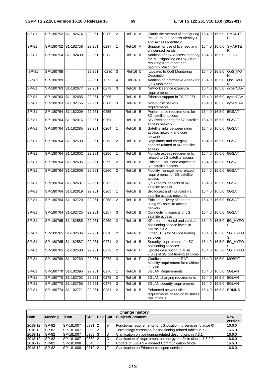| SP-81   | SP-180752 S1-182674 |        | 22.261 | 0289 | $\overline{2}$ | $Rel-16$ $A$ |   | Clarify the method of configuring<br>the UE to use Access Identity 1<br>and Access Identity 2                         | 16.4.0 |        | 16.5.0 SMARTE<br>R         |
|---------|---------------------|--------|--------|------|----------------|--------------|---|-----------------------------------------------------------------------------------------------------------------------|--------|--------|----------------------------|
| SP-81   | SP-180752 S1-182758 |        | 22.261 | 0297 | 1              | $Rel-16$ $A$ |   | Support for use of licensed and<br>unlicensed bands                                                                   | 16.4.0 | 16.5.0 | <b>SMARTE</b><br>R         |
| SP-81   | SP-180754 S1-182438 |        | 22.261 | 0283 | 1              | $Rel-16$ $A$ |   | Addition of new Access category<br>for 'MO signalling on RRC level<br>resulting from other than<br>paging'- Mirror CR | 16.4.0 | 16.5.0 | <b>TEI15</b>               |
| $SP-81$ | SP-180788           | $\sim$ | 22.261 | 0280 | 3              | $Rel-16$ C   |   | Updates to QoS Monitoring<br>Description                                                                              | 16.4.0 | 16.5.0 | QoS_MO<br>N                |
| $SP-81$ | SP-180789           | $\sim$ | 22.261 | 0292 | 4              | $Rel-16$ C   |   | Addition of Informative Annex for<br>QoS Monitoring                                                                   | 16.4.0 | 16.5.0 | QoS_MO<br>N                |
| SP-81   | SP-180763 S1-182677 |        | 22.261 | 0278 | 3              | $Rel-16$ B   |   | Network service exposure<br>requirements                                                                              | 16.4.0 | 16.5.0 | cyberCAV                   |
| $SP-81$ | SP-180763 S1-182685 |        | 22.261 | 0295 | 1              | $Rel-16$ $B$ |   | Ethernet support in TS 22.261                                                                                         | 16.4.0 | 16.5.0 | cyberCAV                   |
| SP-81   | SP-180763 S1-182756 |        | 22.261 | 0286 | 3              | $Rel-16$ B   |   | Non-public network<br>requirements                                                                                    | 16.4.0 | 16.5.0 | cyberCAV                   |
| SP-81   | SP-180764 S1-182009 |        | 22.261 | 0255 |                | $Rel-16$ B   |   | Performance requirements for<br>5G satellite access                                                                   | 16.4.0 | 16.5.0 | 5GSAT                      |
| $SP-81$ | SP-180764 S1-182016 |        | 22.261 | 0261 |                | $Rel-16$     | B | NG-RAN sharing for 5G satellite<br>access network                                                                     | 16.4.0 |        | 16.5.0 5GSAT               |
| SP-81   | SP-180764 S1-182385 |        | 22.261 | 0264 | 1              | $Rel-16$ B   |   | Satellite links between radio<br>access network and core<br>network                                                   | 16.4.0 | 16.5.0 | 5GSAT                      |
| SP-81   | SP-180764 S1-182590 |        | 22.261 | 0263 | 2              | $ReI-16$ B   |   | Regulatory and charging<br>aspects related to 5G satellite<br>access                                                  | 16.4.0 |        | 16.5.0 5GSAT               |
| SP-81   | SP-180764 S1-182602 |        | 22.261 | 0256 | 1              | $ReI-16$ B   |   | Multiple access requirements<br>related to 5G satellite access                                                        | 16.4.0 | 16.5.0 | 5GSAT                      |
| $SP-81$ | SP-180764 S1-182605 |        | 22.261 | 0259 | $\overline{2}$ | $Rel-16$ B   |   | Efficient user plane aspects of<br>5G satellite access                                                                | 16.4.0 |        | 16.5.0 5GSAT               |
| SP-81   | SP-180764 S1-182606 |        | 22.261 | 0260 | 2              | $ReI-16$ B   |   | Mobility management related<br>requirements for 5G satellite<br>access                                                | 16.4.0 | 16.5.0 | 5GSAT                      |
| SP-81   | SP-180764 S1-182607 |        | 22.261 | 0262 | 1              | $Rel-16$ B   |   | QoS control aspects of 5G<br>satellite access                                                                         | 16.4.0 | 16.5.0 | 5GSAT                      |
| SP-81   | SP-180764 S1-182619 |        | 22.261 | 0265 | 1              | $Rel-16$ B   |   | Broadcast and multicast via<br>satellite access networks                                                              | 16.4.0 |        | 16.5.0 5GSAT               |
| SP-81   | SP-180764 S1-182720 |        | 22.261 | 0258 | $\overline{2}$ | $Rel-16$ B   |   | Efficient delivery of content<br>using 5G satellite access<br>network                                                 | 16.4.0 |        | 16.5.0 5GSAT               |
| $SP-81$ | SP-180764 S1-182725 |        | 22.261 | 0257 | 3              | $ReI-16$ B   |   | Connectivity aspects of 5G<br>satellite access                                                                        | 16.4.0 |        | 16.5.0 5GSAT               |
| SP-81   | SP-180765 S1-182585 |        | 22.261 | 0269 | $\overline{2}$ | $Rel-16$ B   |   | KPIs for horizontal and vertical<br>positioning service levels in<br>clause 7.3.2                                     | 16.4.0 |        | 16.5.0 5G_HYPO<br>S        |
| $SP-81$ | SP-180765 S1-182586 |        | 22.261 | 0270 | 2              | $Rel-16$ B   |   | Other KPIS for 5G positioning<br>services                                                                             |        |        | 16.4.0 16.5.0 5G_HYPO<br>S |
| $SP-81$ | SP-180765 S1-182587 |        | 22.261 | 0271 | 2              | $Rel-16$ $B$ |   | Security requirements for 5G<br>positioning services                                                                  | 16.4.0 |        | 16.5.0 5G_HYPO             |
| $SP-81$ | SP-180765 S1-182588 |        | 22.261 | 0272 | 2              | $Rel-16$ C   |   | Update description (clause<br>7.3.1) of 5G positioning services                                                       | 16.4.0 |        | 16.5.0 5G_HYPO<br>S        |
| SP-81   | SP-180769 S1-182769 |        | 22.261 | 0273 | 3              | $Rel-16$ $F$ |   | Clarification for Inter-RAT<br>Mobility requirement for realtime<br>service                                           | 16.4.0 | 16.5.0 | <b>MOBRT</b>               |
| $SP-81$ | SP-180770 S1-182395 |        | 22.261 | 0276 | $\mathbf{1}$   | $Rel-16$ B   |   | <b>5GLAN Requirements</b>                                                                                             | 16.4.0 |        | 16.5.0 5GLAN               |
| $SP-81$ | SP-180770 S1-182702 |        | 22.261 | 0275 | 2              | $Rel-16$ B   |   | 5GLAN charging requirements                                                                                           | 16.4.0 |        | 16.5.0 5GLAN               |
| SP-81   | SP-180770 S1-182755 |        | 22.261 | 0274 | 3              | $Rel-16$ B   |   | 5GLAN security requirements                                                                                           | 16.4.0 |        | 16.5.0 5GLAN               |
| SP-81   | SP-180774 S1-182771 |        | 22.261 | 0281 | 2              | $Rel-16$ B   |   | Enhanced network slice<br>requirements based on business<br>role models                                               | 16.4.0 | 16.5.0 | <b>BRMNS</b>               |

|             | <b>Change history</b> |             |            |                |   |                                                                  |                       |  |  |  |  |  |  |  |
|-------------|-----------------------|-------------|------------|----------------|---|------------------------------------------------------------------|-----------------------|--|--|--|--|--|--|--|
| <b>Date</b> | <b>Meeting</b>        | <b>TDoc</b> | <b>ICR</b> | <b>Rev Cat</b> |   | Subject/Comment                                                  | <b>New</b><br>version |  |  |  |  |  |  |  |
| 2018-12     | SP-82                 | SP-181007   | 0331 2     |                | B | Functional requirements for 5G positioning services (clause 6)   | 16.6.0                |  |  |  |  |  |  |  |
| 2018-12     | SP-82                 | SP-181007   | 0309 2     |                | Е | Termnology correction for positioning-related tables in 7.3.2    | 16.6.0                |  |  |  |  |  |  |  |
| 2018-12     | SP-82                 | SP-181007   | 0308 3     |                | D | Clarification on positioning-related descriptions in 7.3.1       | 16.6.0                |  |  |  |  |  |  |  |
| 2018-12     | SP-82                 | SP-181007   | 0330 2     |                | C | Clarification of requirement on energy per fix in clause 7.3.2.3 | 16.6.0                |  |  |  |  |  |  |  |
| 2018-12     | SP-82                 | SP-181008   | 0340       |                | C | Update of 5GLAN - Indirect Communication Mode                    | 16.6.0                |  |  |  |  |  |  |  |
| 2018-12     | SP-82                 | SP-181008   | 0319 2     |                | F | Clarification on Ethernet transport services                     | 16.6.0                |  |  |  |  |  |  |  |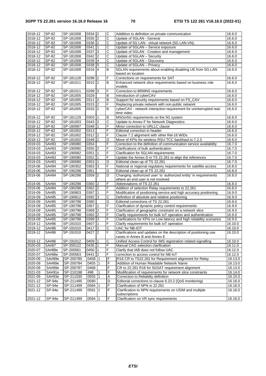| 2018-12 | SP-82     | SP-181008 | 0334 2     |                | C              | Addittion to definition on private communication                      | 16.6.0  |
|---------|-----------|-----------|------------|----------------|----------------|-----------------------------------------------------------------------|---------|
| 2018-12 | SP-82     | SP-181008 | 0335 2     |                | $\mathsf{C}$   | Update of 5GLAN - General                                             | 16.6.0  |
| 2018-12 | SP-82     | SP-181008 | 0336 2     |                | C              | Update of 5G LAN - virtual network (5G LAN-VN).                       | 16.6.0  |
| 2018-12 | SP-82     | SP-181008 | 0341       | $\mathbf{1}$   | C              | Update of 5GLAN - Service exposure                                    | 16.6.0  |
| 2018-12 | SP-82     | SP-181008 | 0337       | <sub>3</sub>   | C              | Update of 5GLAN - Creation and management                             | 16.6.0  |
| 2018-12 | SP-82     | SP-181008 | 0342       | $\overline{2}$ | C              | Update of 5GLAN - Security                                            | 16.6.0  |
| 2018-12 | SP-82     | SP-181008 | 0339       | $\vert$ 4      | C              | Update of 5GLAN - Discovery                                           | 16.6.0  |
| 2018-12 | SP-82     | SP-181008 | 0338       | 5              | $\mathsf{C}$   | Update of 5GLAN - Privacy                                             | 16.6.0  |
| 2018-12 | SP-82     | SP-181008 | 0316 4     |                | B              | 5GLAN requirements about enabling disabling UE from 5G-LAN            | 16.6.0  |
|         |           |           |            |                |                | based on location                                                     |         |
| 2018-12 | SP-82     | SP-181128 | 0298       | $\overline{c}$ | F              | Corrections on requirements for SAT                                   | 16.6.0  |
| 2018-12 | SP-82     | SP-181011 | 0310       | 2              | B              | Enhanced network slice requirements based on business role            | 16.6.0  |
|         |           |           |            |                |                | models                                                                |         |
| 2018-12 | SP-82     | SP-181011 | 0299       | 3              | F              | Correction to BRMNS requirements                                      | 16.6.0  |
| 2018-12 | SP-82     | SP-181005 | 0329       |                | B              | Introduction of cyberCAV                                              | 16.6.0  |
| 2018-12 | SP-82     | SP-181005 | $0311$   2 |                | B              | Support for security requirements based on FS_CAV                     | 16.6.0  |
| 2018-12 | SP-82     | SP-181005 | 0315       | $\overline{2}$ | F              | Replacing private network with non-public network                     | 16.6.0  |
| 2018-12 | SP-82     | SP-181005 | 0333 2     |                | B              | cyberCAV - network interaction requirement for uninterrupted real-    | 16.6.0  |
|         |           |           |            |                |                | time video                                                            |         |
| 2018-12 | SP-82     | SP-181129 | 0303 1     |                | B              | MSGin5G requirements on the 5G system                                 | 16.6.0  |
| 2018-12 | SP-82     | SP-181003 | $0343$ 2   |                | C              | Update to Annex F for Network Diagnostics                             | 16.6.0  |
| 2018-12 | SP-82     | SP-180997 | 0348       | $\mathbf{1}$   | F              | Minor correction to URLLC clause                                      | 16.6.0  |
| 2018-12 | SP-82     | SP-181002 | 0313       |                | F              | Editorial correction in header                                        | 16.6.0  |
| 2018-12 | $SP-82$   | SP-181002 | $0312$ 2   |                | F              | Clause 7.2 alignment with other Rel-16 WIDs                           | 16.6.0  |
| 2018-12 | SP-82     | SP-181002 | 0349       | 2              | D              | Move of KPIs for wireless RSU-TCC backhaul to 7.2.3                   | 16.6.0  |
| 2019-03 | SA#83     | SP-190080 | 0354       |                | F              | Correction to the definition of communication service availability    | 16.7.0  |
| 2019-03 | SA#83     | SP-190080 | 0355 2     |                | F              | Clarifications of bulk authentication                                 | 16.7.0  |
| 2019-03 | SA#83     | SP-190082 | 0351       | $\mathbf{1}$   | F              | Clarification for 5GLAN requirements                                  | 16.7.0  |
| 2019-03 | SA#83     | SP-190080 | 0352       | $\mathbf{1}$   | F              | Update the Annex D in TS 22.261 to align the references               | 16.7.0  |
| 2019-03 | SA#83     | SP-190080 | 0353       | 1              | D              | Editorial clean-up of TS 22.261                                       | 16.7.0  |
| 2019-06 | SA#84     | SP-190302 | 0363       | <sub>3</sub>   | F              | National or regional regulatory requirements for satellite access     | 16.8.0  |
| 2019-06 | SA#84     | SP-190298 | 0361       |                | D              | Editorial clean-up of TS 22.261                                       | 16.8.0  |
| 2019-06 | SA#84     | SP-190298 | 0359       | 2              | D              | Changing 'authorized user' to 'authorized entity' in requirements     | 16.8.0  |
|         |           |           |            |                |                | where an end user is not involved                                     |         |
| 2019-06 | SA#84     | SP-190298 | 0360       | 2              | F              | Abbreviations of TS 22.261                                            | 16.8.0  |
| 2019-06 | SA#84     | SP-190298 | $0362$ 2   |                | F              | Addition of selection Relay requirements to 22.261                    | 16.8.0  |
| 2019-09 | SA#85     | SP-190803 | 0397       | $\mathbf{1}$   | F              | Modification of positioning service and high accuracy positioning     | 16.9.0  |
| 2019-09 | SA#85     | SP-190812 | 0392       | 3              | C              | Definition of absolute and relative positioning                       | 16.9.0  |
| 2019-09 | SA#85     | SP-190798 | 0380       |                | $\overline{D}$ | Editorial corrections of TS 22.261                                    | 16.9.0  |
| 2019-09 | SA#85     | SP-190798 | 0367       | $\mathbf{1}$   | F              | Clarification of dynamic policy control requirements                  | 16.9.0  |
| 2019-09 | SA#85     | SP-190798 | 0368 2     |                | F              |                                                                       | 16.9.0  |
|         |           |           |            |                |                | Clarification of geographic constraint on a network slice             |         |
| 2019-09 | SA#85     | SP-190798 | $0383$ 2   |                | F              | Clarify requirements for bulk IoT operation and authentication        | 16.9.0  |
| 2019-09 | SA#85     | SP-190798 | 0399       | 3              | F              | Clarifications for KPIs on Low latency and high reliability scenarios | 16.9.0  |
| 2019-12 | SA#86     | SP-191010 | 0407       | $\mathbf{1}$   | F              | Clarify requirements for bulk IoT operation                           | 16.10.0 |
| 2019-12 | SA#86     | SP-191010 | $0417$ 2   |                | C              | UAC for NB-IOT                                                        | 16.10.0 |
| 2019-12 | SA#86     | SP-191010 | $0427$  2  |                | IF             | Clarifications and updates on the description of positioning use      | 16.10.0 |
|         |           |           |            |                |                | cases in Annex B and Annex E                                          |         |
| 2019-12 | SA#86     | SP-191012 | 0409       | 1              | C              | Unified Access Control for IMS registration related signalling        | 16.10.0 |
| 2020-03 | SA#87     | SP-200122 | 0435 1     |                | F              | Manual CAG selection clarification                                    | 16.11.0 |
| 2020-07 | SA#88e    | SP-200561 | 0450       | $\vert$ 1      | F              | Clarify that IAB does not follow UAC                                  | 16.12.0 |
| 2020-07 | SA#88e    | SP-200563 | 0441       | $\overline{2}$ | F              | correction to access control for NB-IoT                               | 16.12.0 |
| 2020-09 | SA#89e    | SP-200785 | 0458 1     |                | F              | R16 CR to TS22.261 for Requirement alignment for Relay                | 16.13.0 |
| 2020-09 | SA#89e    | SP-200784 | 0455       | $\mathbf{1}$   | F              | Addition of Human Readable Network Name                               | 16.13.0 |
| 2020-09 | SA#89e    | SP-200787 | 0468       |                | F              | CR to 22.261 R16 for 5GSAT requirement alignment                      | 16.13.0 |
| 2021-03 | SA#91e    | SP-210198 | 498        | 1              | F              | Modification of requirements for network slice constraints            | 16.14.0 |
| 2021-09 | SA#93e    | SP-211030 | 0555       | $\mathbf{1}$   | A              | Correction to Reliabilty definition                                   | 16.15.0 |
| 2021-12 | $S P-94e$ | SP-211495 | 0580       |                | D              | Editorial corrections to clause 6.23.2 (QoS monitoring)               | 16.16.0 |
| 2021-12 | SP-94e    | SP-211499 | 0584       |                | F              | Clarification of NPN in 22.261                                        | 16.16.0 |
| 2021-12 | SP-94e    | SP-211499 | 0591       | $\vert$ 1      | F              | Clarification to NPN requirements on USIM and multiple                | 16.16.0 |
|         |           |           |            |                |                | subscriptions                                                         |         |
| 2021-12 | SP-94e    | SP-211499 | 0594       | $\vert$ 1      | $\overline{F}$ | Clarification on VR sync requirements                                 | 16.16.0 |
|         |           |           |            |                |                |                                                                       |         |